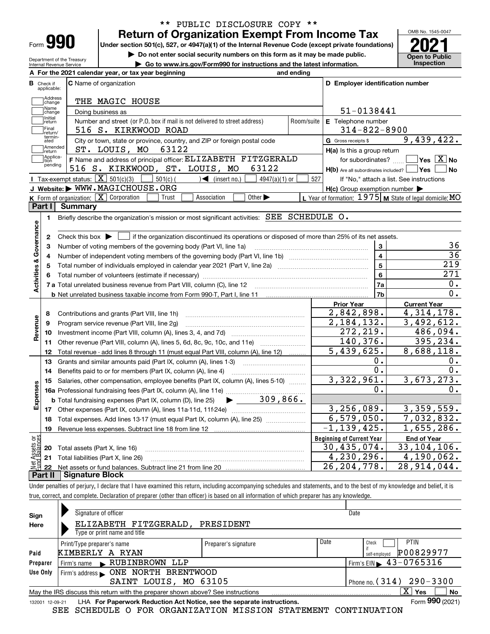| Form |  |
|------|--|

Department of the Treasury Internal Revenue Service

# **Return of Organization Exempt From Income Tax** \*\* PUBLIC DISCLOSURE COPY \*\*

Under section 501(c), 527, or 4947(a)(1) of the Internal Revenue Code (except private foundations) **2021** 

**| Do not enter social security numbers on this form as it may be made public.**

**| Go to www.irs.gov/Form990 for instructions and the latest information. Inspection**



|                         |                               | A For the 2021 calendar year, or tax year beginning                                                                                                 | and ending |                                                     |                                                           |
|-------------------------|-------------------------------|-----------------------------------------------------------------------------------------------------------------------------------------------------|------------|-----------------------------------------------------|-----------------------------------------------------------|
|                         | <b>B</b> Check if applicable: | <b>C</b> Name of organization                                                                                                                       |            | D Employer identification number                    |                                                           |
|                         | Address<br>change             | THE MAGIC HOUSE                                                                                                                                     |            |                                                     |                                                           |
|                         | Name<br>change                | Doing business as                                                                                                                                   |            | 51-0138441                                          |                                                           |
|                         | Initial<br>return             | Number and street (or P.O. box if mail is not delivered to street address)                                                                          | Room/suite | E Telephone number                                  |                                                           |
|                         | Final<br>return/              | 516 S. KIRKWOOD ROAD                                                                                                                                |            | $314 - 822 - 8900$                                  |                                                           |
|                         | termin-<br>ated               | City or town, state or province, country, and ZIP or foreign postal code                                                                            |            | G Gross receipts \$                                 | 9,439,422.                                                |
|                         | Amended<br>return             | 63122<br>ST. LOUIS, MO                                                                                                                              |            | $H(a)$ is this a group return                       |                                                           |
|                         | Applica-<br>Ition             | F Name and address of principal officer: ELIZABETH FITZGERALD                                                                                       |            | for subordinates?                                   | $\overline{Y}$ es $\overline{X}$ No                       |
|                         | pending                       | 516 S. KIRKWOOD, ST. LOUIS, MO<br>63122                                                                                                             |            | H(b) Are all subordinates included?   Yes           | ∣No                                                       |
|                         |                               | Tax-exempt status: $\boxed{\mathbf{X}}$ 501(c)(3)<br>$501(c)$ (<br>$\sqrt{\frac{1}{1}}$ (insert no.)<br>$4947(a)(1)$ or                             | 527        |                                                     | If "No," attach a list. See instructions                  |
|                         |                               | J Website: WWW.MAGICHOUSE.ORG                                                                                                                       |            | $H(c)$ Group exemption number $\blacktriangleright$ |                                                           |
|                         |                               | <b>K</b> Form of organization: $\boxed{\mathbf{X}}$ Corporation<br>Other $\blacktriangleright$<br>Trust<br>Association                              |            |                                                     | L Year of formation: $1975$ M State of legal domicile: MO |
|                         | Part I                        | Summary                                                                                                                                             |            |                                                     |                                                           |
|                         | 1.                            | Briefly describe the organization's mission or most significant activities: SEE SCHEDULE O.                                                         |            |                                                     |                                                           |
|                         |                               |                                                                                                                                                     |            |                                                     |                                                           |
| Activities & Governance | 2                             | Check this box $\blacktriangleright$ $\blacksquare$ if the organization discontinued its operations or disposed of more than 25% of its net assets. |            |                                                     |                                                           |
|                         | 3                             | Number of voting members of the governing body (Part VI, line 1a)                                                                                   |            | 3                                                   | 36                                                        |
|                         | 4                             |                                                                                                                                                     |            | $\overline{\mathbf{4}}$                             | $\overline{36}$                                           |
|                         | 5                             |                                                                                                                                                     |            | 5                                                   | $\overline{219}$                                          |
|                         | 6                             |                                                                                                                                                     |            | $\bf{6}$                                            | 271                                                       |
|                         |                               |                                                                                                                                                     |            | 7a                                                  | 0.                                                        |
|                         |                               |                                                                                                                                                     |            | 7b                                                  | 0.                                                        |
|                         |                               |                                                                                                                                                     |            | <b>Prior Year</b>                                   | <b>Current Year</b>                                       |
|                         | 8                             | Contributions and grants (Part VIII, line 1h)                                                                                                       |            | 2,842,898.                                          | 4, 314, 178.                                              |
| Revenue                 | 9                             | Program service revenue (Part VIII, line 2g)                                                                                                        |            | 2,184,132.                                          | 3,492,612.                                                |
|                         | 10                            |                                                                                                                                                     |            | 272, 219.                                           | 486,094.                                                  |
|                         | 11                            | Other revenue (Part VIII, column (A), lines 5, 6d, 8c, 9c, 10c, and 11e)                                                                            |            | 140,376.                                            | 395, 234.                                                 |
|                         | 12                            | Total revenue - add lines 8 through 11 (must equal Part VIII, column (A), line 12)                                                                  |            | $\overline{5,439},625.$                             | 8,688,118.                                                |
|                         | 13                            | Grants and similar amounts paid (Part IX, column (A), lines 1-3)                                                                                    |            | О.                                                  | 0.                                                        |
|                         | 14                            | Benefits paid to or for members (Part IX, column (A), line 4)                                                                                       |            | $0$ .                                               | 0.                                                        |
|                         | 15                            | Salaries, other compensation, employee benefits (Part IX, column (A), lines 5-10)                                                                   |            | 3,322,961.                                          | 3,673,273.                                                |
| Expenses                |                               | 16a Professional fundraising fees (Part IX, column (A), line 11e)                                                                                   |            | 0.                                                  | 0.                                                        |
|                         |                               | $\blacktriangleright$ 309,866.<br><b>b</b> Total fundraising expenses (Part IX, column (D), line 25)                                                |            |                                                     |                                                           |
|                         |                               |                                                                                                                                                     |            | 3, 256, 089.                                        | 3,359,559.                                                |
|                         | 18                            | Total expenses. Add lines 13-17 (must equal Part IX, column (A), line 25)                                                                           |            | 6,579,050.                                          | 7,032,832.                                                |
|                         | 19                            |                                                                                                                                                     |            | $-1, 139, 425.$                                     | 1,655,286.                                                |
| ăğ                      |                               |                                                                                                                                                     |            | <b>Beginning of Current Year</b>                    | <b>End of Year</b>                                        |
| ssets<br>Raisers        |                               | 20 Total assets (Part X, line 16)                                                                                                                   |            | 30,435,074.                                         | 33,104,106.                                               |
|                         |                               | 21 Total liabilities (Part X, line 26)                                                                                                              |            | 4,230,296.                                          | 4,190,062.                                                |
| Net                     |                               |                                                                                                                                                     |            |                                                     |                                                           |

**Part II Signature Block**

Under penalties of perjury, I declare that I have examined this return, including accompanying schedules and statements, and to the best of my knowledge and belief, it is true, correct, and complete. Declaration of preparer (other than officer) is based on all information of which preparer has any knowledge.

| Sign            | Signature of officer                                                                                         |                      |      | Date                                   |                 |  |  |  |  |
|-----------------|--------------------------------------------------------------------------------------------------------------|----------------------|------|----------------------------------------|-----------------|--|--|--|--|
| Here            | ELIZABETH FITZGERALD,                                                                                        | PRESIDENT            |      |                                        |                 |  |  |  |  |
|                 | Type or print name and title                                                                                 |                      |      |                                        |                 |  |  |  |  |
|                 | Print/Type preparer's name                                                                                   | Preparer's signature | Date | Check                                  | <b>PTIN</b>     |  |  |  |  |
| Paid            | KIMBERLY A RYAN                                                                                              |                      |      | self-emploved                          | P00829977       |  |  |  |  |
| Preparer        | Firm's name RUBINBROWN<br>LLP                                                                                |                      |      | Firm's EIN $\triangleright$ 43-0765316 |                 |  |  |  |  |
| Use Only        |                                                                                                              |                      |      |                                        |                 |  |  |  |  |
|                 | Phone no. $(314)$ 290 - 3300<br>SAINT LOUIS, MO 63105                                                        |                      |      |                                        |                 |  |  |  |  |
|                 | $\mathbf{x}$<br>No<br>Yes<br>May the IRS discuss this return with the preparer shown above? See instructions |                      |      |                                        |                 |  |  |  |  |
| 132001 12-09-21 | LHA For Paperwork Reduction Act Notice, see the separate instructions.                                       |                      |      |                                        | Form 990 (2021) |  |  |  |  |
|                 | SCHEDULE O FOR ORGANIZATION MISSION STATEMENT CONTINUATION<br>SEE                                            |                      |      |                                        |                 |  |  |  |  |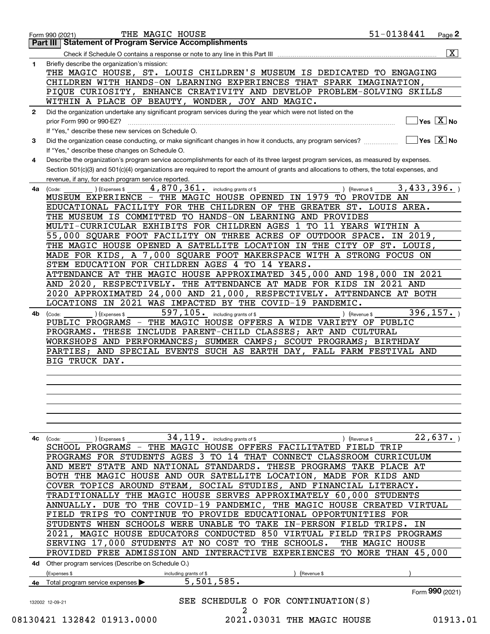| 1.           | $\overline{\mathtt{x}}$ )                                                                                                                                                      |
|--------------|--------------------------------------------------------------------------------------------------------------------------------------------------------------------------------|
|              | Briefly describe the organization's mission:                                                                                                                                   |
|              | THE MAGIC HOUSE, ST. LOUIS CHILDREN'S MUSEUM IS DEDICATED TO ENGAGING                                                                                                          |
|              | CHILDREN WITH HANDS-ON LEARNING EXPERIENCES THAT SPARK IMAGINATION,                                                                                                            |
|              | PIQUE CURIOSITY, ENHANCE CREATIVITY AND DEVELOP PROBLEM-SOLVING SKILLS                                                                                                         |
|              | WITHIN A PLACE OF BEAUTY, WONDER, JOY AND MAGIC.                                                                                                                               |
| $\mathbf{2}$ | Did the organization undertake any significant program services during the year which were not listed on the                                                                   |
|              | $\sqrt{}$ Yes $\sqrt{X}$ No<br>prior Form 990 or 990-EZ?                                                                                                                       |
|              | If "Yes," describe these new services on Schedule O.                                                                                                                           |
| 3            | $\overline{\mathsf{Yes}\mathrel{\hspace{0.05cm}\mathbf{X}}$ No<br>Did the organization cease conducting, or make significant changes in how it conducts, any program services? |
|              |                                                                                                                                                                                |
|              | If "Yes," describe these changes on Schedule O.                                                                                                                                |
| 4            | Describe the organization's program service accomplishments for each of its three largest program services, as measured by expenses.                                           |
|              | Section 501(c)(3) and 501(c)(4) organizations are required to report the amount of grants and allocations to others, the total expenses, and                                   |
|              | revenue, if any, for each program service reported.                                                                                                                            |
| 4a           | $\overline{4,870}$ , $361$ . including grants of \$<br>3,433,396.<br>) (Expenses \$<br>(Revenue \$<br>(Code:                                                                   |
|              | MUSEUM EXPERIENCE - THE MAGIC HOUSE OPENED IN 1979 TO PROVIDE AN                                                                                                               |
|              | EDUCATIONAL FACILITY FOR THE CHILDREN OF THE GREATER ST. LOUIS AREA.                                                                                                           |
|              | THE MUSEUM IS COMMITTED TO HANDS-ON LEARNING AND PROVIDES                                                                                                                      |
|              | MULTI-CURRICULAR EXHIBITS FOR CHILDREN AGES 1 TO 11 YEARS WITHIN A                                                                                                             |
|              | 55,000 SQUARE FOOT FACILITY ON THREE ACRES OF OUTDOOR SPACE. IN 2019,                                                                                                          |
|              | THE MAGIC HOUSE OPENED A SATELLITE LOCATION IN THE CITY OF ST. LOUIS,                                                                                                          |
|              | MADE FOR KIDS, A 7,000 SQUARE FOOT MAKERSPACE WITH A STRONG FOCUS ON                                                                                                           |
|              | STEM EDUCATION FOR CHILDREN AGES 4 TO 14 YEARS.                                                                                                                                |
|              | ATTENDANCE AT THE MAGIC HOUSE APPROXIMATED 345,000 AND 198,000 IN 2021                                                                                                         |
|              | AND 2020, RESPECTIVELY. THE ATTENDANCE AT MADE FOR KIDS IN 2021 AND                                                                                                            |
|              | 2020 APPROXIMATED 24,000 AND 21,000, RESPECTIVELY. ATTENDANCE AT BOTH                                                                                                          |
|              | LOCATIONS IN 2021 WAS IMPACTED BY THE COVID-19 PANDEMIC.                                                                                                                       |
| 4b           | 597, 105. including grants of \$<br>396, 157.<br>) (Expenses \$<br>) (Revenue \$<br>(Code:                                                                                     |
|              | THE MAGIC HOUSE OFFERS A WIDE VARIETY OF PUBLIC<br>PUBLIC PROGRAMS -                                                                                                           |
|              | PROGRAMS. THESE INCLUDE PARENT-CHILD CLASSES; ART AND CULTURAL                                                                                                                 |
|              | WORKSHOPS AND PERFORMANCES; SUMMER CAMPS; SCOUT PROGRAMS; BIRTHDAY                                                                                                             |
|              | PARTIES; AND SPECIAL EVENTS SUCH AS EARTH DAY, FALL FARM FESTIVAL AND                                                                                                          |
|              | BIG TRUCK DAY.                                                                                                                                                                 |
|              |                                                                                                                                                                                |
|              |                                                                                                                                                                                |
|              |                                                                                                                                                                                |
|              |                                                                                                                                                                                |
|              |                                                                                                                                                                                |
|              |                                                                                                                                                                                |
|              |                                                                                                                                                                                |
|              |                                                                                                                                                                                |
|              |                                                                                                                                                                                |
| 4c           | 22,637.<br>34, 119. including grants of \$<br>) (Expenses \$<br>(Code:<br>) (Revenue \$                                                                                        |
|              | THE MAGIC HOUSE OFFERS FACILITATED<br>SCHOOL PROGRAMS -<br>FIELD TRIP                                                                                                          |
|              | PROGRAMS FOR STUDENTS AGES 3 TO 14 THAT CONNECT CLASSROOM CURRICULUM                                                                                                           |
|              | AND MEET<br>STATE AND NATIONAL STANDARDS.<br>THESE PROGRAMS TAKE PLACE AT                                                                                                      |
|              | BOTH THE MAGIC HOUSE AND OUR SATELLITE LOCATION,<br>MADE FOR KIDS AND                                                                                                          |
|              | COVER TOPICS AROUND STEAM, SOCIAL STUDIES, AND FINANCIAL LITERACY.                                                                                                             |
|              | TRADITIONALLY                                                                                                                                                                  |
|              | THE MAGIC HOUSE SERVES APPROXIMATELY 60,000 STUDENTS<br>ANNUALLY. DUE                                                                                                          |
|              | THE COVID-19 PANDEMIC,<br>TO<br>THE MAGIC HOUSE CREATED VIRTUAL                                                                                                                |
|              | PROVIDE EDUCATIONAL OPPORTUNITIES FOR<br>TO CONTINUE<br>FIELD<br>TRIPS<br>TO                                                                                                   |
|              | STUDENTS WHEN SCHOOLS WERE UNABLE TO TAKE<br>FIELD<br>TRIPS.<br>IN<br><b>IN-PERSON</b>                                                                                         |
|              | MAGIC HOUSE EDUCATORS CONDUCTED 850<br>2021.<br>VIRTUAL FIELD<br>TRIPS PROGRAMS                                                                                                |
|              | SERVING 17,000 STUDENTS AT NO COST TO<br>THE SCHOOLS.<br>THE<br>MAGIC HOUSE                                                                                                    |
|              | PROVIDED FREE ADMISSION AND INTERACTIVE EXPERIENCES<br>TO MORE THAN 45,000                                                                                                     |
|              | 4d Other program services (Describe on Schedule O.)                                                                                                                            |
|              | (Expenses \$<br>including grants of \$<br>(Revenue \$                                                                                                                          |
|              | 5,501,585.<br><b>4e</b> Total program service expenses                                                                                                                         |
|              | Form 990 (2021)                                                                                                                                                                |
|              | SEE SCHEDULE O FOR CONTINUATION(S)<br>132002 12-09-21                                                                                                                          |

Form 990 (2021) Page THE MAGIC HOUSE 51-0138441

**2** Form 990 (2021) THE MAGIC HOUSE **Program Service Accompany S1-0138441** Page 2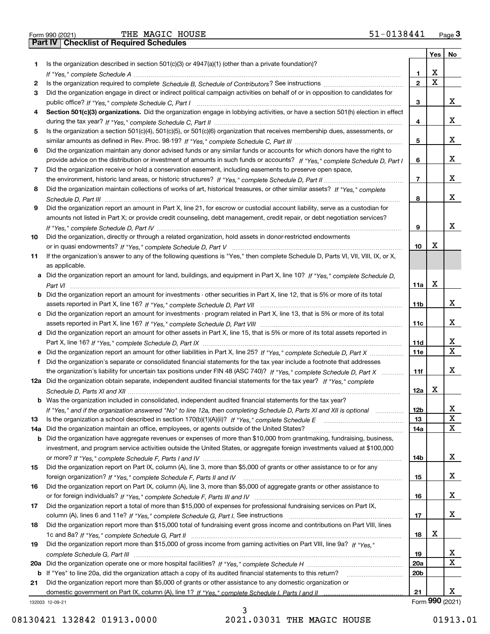|  | Form 990 (2021) |
|--|-----------------|

|     |                                                                                                                                       |                 | Yes         | No                      |
|-----|---------------------------------------------------------------------------------------------------------------------------------------|-----------------|-------------|-------------------------|
| 1   | Is the organization described in section $501(c)(3)$ or $4947(a)(1)$ (other than a private foundation)?                               |                 |             |                         |
|     |                                                                                                                                       | 1               | х           |                         |
| 2   |                                                                                                                                       | $\overline{2}$  | $\mathbf X$ |                         |
| З   | Did the organization engage in direct or indirect political campaign activities on behalf of or in opposition to candidates for       |                 |             |                         |
|     |                                                                                                                                       | з               |             | X.                      |
| 4   | Section 501(c)(3) organizations. Did the organization engage in lobbying activities, or have a section 501(h) election in effect      |                 |             |                         |
|     |                                                                                                                                       | 4               |             | X.                      |
| 5   | Is the organization a section 501(c)(4), 501(c)(5), or 501(c)(6) organization that receives membership dues, assessments, or          |                 |             |                         |
|     |                                                                                                                                       | 5               |             | x                       |
| 6   | Did the organization maintain any donor advised funds or any similar funds or accounts for which donors have the right to             |                 |             |                         |
|     | provide advice on the distribution or investment of amounts in such funds or accounts? If "Yes," complete Schedule D, Part I          | 6               |             | x                       |
| 7   | Did the organization receive or hold a conservation easement, including easements to preserve open space,                             |                 |             |                         |
|     |                                                                                                                                       | $\overline{7}$  |             | x                       |
| 8   | Did the organization maintain collections of works of art, historical treasures, or other similar assets? If "Yes," complete          |                 |             |                         |
|     |                                                                                                                                       | 8               |             | x                       |
| 9   | Did the organization report an amount in Part X, line 21, for escrow or custodial account liability, serve as a custodian for         |                 |             |                         |
|     | amounts not listed in Part X; or provide credit counseling, debt management, credit repair, or debt negotiation services?             |                 |             |                         |
|     |                                                                                                                                       | 9               |             | x                       |
| 10  | Did the organization, directly or through a related organization, hold assets in donor-restricted endowments                          |                 |             |                         |
|     |                                                                                                                                       | 10              | х           |                         |
|     |                                                                                                                                       |                 |             |                         |
| 11  | If the organization's answer to any of the following questions is "Yes," then complete Schedule D, Parts VI, VII, VIII, IX, or X,     |                 |             |                         |
|     | as applicable.                                                                                                                        |                 |             |                         |
| a   | Did the organization report an amount for land, buildings, and equipment in Part X, line 10? If "Yes," complete Schedule D,           |                 | х           |                         |
|     |                                                                                                                                       | 11a             |             |                         |
|     | <b>b</b> Did the organization report an amount for investments - other securities in Part X, line 12, that is 5% or more of its total |                 |             |                         |
|     |                                                                                                                                       | 11 <sub>b</sub> |             | x                       |
|     | c Did the organization report an amount for investments - program related in Part X, line 13, that is 5% or more of its total         |                 |             |                         |
|     |                                                                                                                                       | 11c             |             | X.                      |
|     | d Did the organization report an amount for other assets in Part X, line 15, that is 5% or more of its total assets reported in       |                 |             |                         |
|     |                                                                                                                                       | <b>11d</b>      |             | X                       |
|     | e Did the organization report an amount for other liabilities in Part X, line 25? If "Yes," complete Schedule D, Part X               | 11e             |             | $\overline{\mathbf{x}}$ |
| f.  | Did the organization's separate or consolidated financial statements for the tax year include a footnote that addresses               |                 |             |                         |
|     | the organization's liability for uncertain tax positions under FIN 48 (ASC 740)? If "Yes," complete Schedule D, Part X                | 11f             |             | х                       |
|     | 12a Did the organization obtain separate, independent audited financial statements for the tax year? If "Yes," complete               |                 |             |                         |
|     |                                                                                                                                       | 12a             | x           |                         |
|     | b Was the organization included in consolidated, independent audited financial statements for the tax year?                           |                 |             |                         |
|     | If "Yes," and if the organization answered "No" to line 12a, then completing Schedule D, Parts XI and XII is optional                 | 12 <sub>b</sub> |             | X                       |
| 13  | Is the organization a school described in section 170(b)(1)(A)(ii)? If "Yes," complete Schedule E                                     | 13              |             | X                       |
| 14a | Did the organization maintain an office, employees, or agents outside of the United States?                                           | 14a             |             | X                       |
| b   | Did the organization have aggregate revenues or expenses of more than \$10,000 from grantmaking, fundraising, business,               |                 |             |                         |
|     | investment, and program service activities outside the United States, or aggregate foreign investments valued at \$100,000            |                 |             |                         |
|     |                                                                                                                                       | 14b             |             | X,                      |
| 15  | Did the organization report on Part IX, column (A), line 3, more than \$5,000 of grants or other assistance to or for any             |                 |             |                         |
|     |                                                                                                                                       | 15              |             | X,                      |
| 16  | Did the organization report on Part IX, column (A), line 3, more than \$5,000 of aggregate grants or other assistance to              |                 |             |                         |
|     |                                                                                                                                       | 16              |             | X.                      |
| 17  | Did the organization report a total of more than \$15,000 of expenses for professional fundraising services on Part IX,               |                 |             |                         |
|     |                                                                                                                                       | 17              |             | X.                      |
| 18  | Did the organization report more than \$15,000 total of fundraising event gross income and contributions on Part VIII, lines          |                 |             |                         |
|     |                                                                                                                                       | 18              | X           |                         |
| 19  | Did the organization report more than \$15,000 of gross income from gaming activities on Part VIII, line 9a? If "Yes."                |                 |             |                         |
|     |                                                                                                                                       | 19              |             | X                       |
|     |                                                                                                                                       | 20a             |             | $\mathbf x$             |
| b   | If "Yes" to line 20a, did the organization attach a copy of its audited financial statements to this return?                          | 20 <sub>b</sub> |             |                         |
| 21  | Did the organization report more than \$5,000 of grants or other assistance to any domestic organization or                           |                 |             |                         |
|     |                                                                                                                                       | 21              |             | x                       |
|     | 132003 12-09-21                                                                                                                       |                 |             | Form 990 (2021)         |
|     |                                                                                                                                       |                 |             |                         |

3 08130421 132842 01913.0000 2021.03031 THE MAGIC HOUSE 01913.01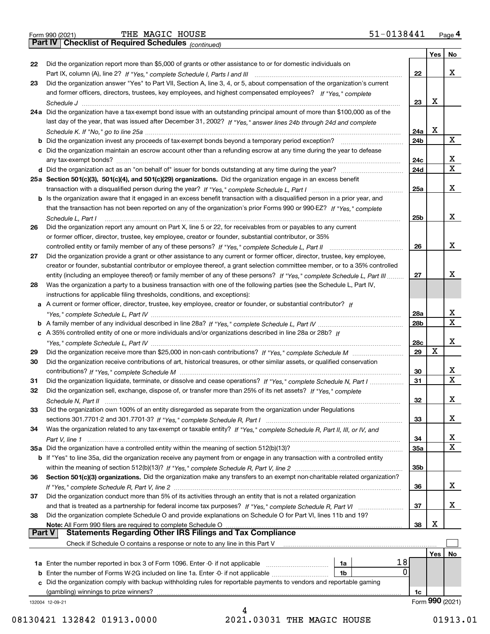|  | Form 990 (2021) |
|--|-----------------|
|  |                 |

*(continued)*

|    |                                                                                                                                                                                                                                |                 | Yes | <b>No</b>        |
|----|--------------------------------------------------------------------------------------------------------------------------------------------------------------------------------------------------------------------------------|-----------------|-----|------------------|
| 22 | Did the organization report more than \$5,000 of grants or other assistance to or for domestic individuals on                                                                                                                  |                 |     |                  |
|    |                                                                                                                                                                                                                                | 22              |     | x                |
| 23 | Did the organization answer "Yes" to Part VII, Section A, line 3, 4, or 5, about compensation of the organization's current                                                                                                    |                 |     |                  |
|    | and former officers, directors, trustees, key employees, and highest compensated employees? If "Yes," complete                                                                                                                 |                 |     |                  |
|    |                                                                                                                                                                                                                                | 23              | X   |                  |
|    | 24a Did the organization have a tax-exempt bond issue with an outstanding principal amount of more than \$100,000 as of the                                                                                                    |                 |     |                  |
|    | last day of the year, that was issued after December 31, 2002? If "Yes," answer lines 24b through 24d and complete                                                                                                             |                 | X   |                  |
|    | <b>b</b> Did the organization invest any proceeds of tax-exempt bonds beyond a temporary period exception?                                                                                                                     | 24a<br>24b      |     | X                |
|    | c Did the organization maintain an escrow account other than a refunding escrow at any time during the year to defease                                                                                                         |                 |     |                  |
|    |                                                                                                                                                                                                                                | 24c             |     | х                |
|    | d Did the organization act as an "on behalf of" issuer for bonds outstanding at any time during the year?                                                                                                                      | 24d             |     | $\mathbf X$      |
|    | 25a Section 501(c)(3), 501(c)(4), and 501(c)(29) organizations. Did the organization engage in an excess benefit                                                                                                               |                 |     |                  |
|    |                                                                                                                                                                                                                                | 25a             |     | х                |
|    | b Is the organization aware that it engaged in an excess benefit transaction with a disqualified person in a prior year, and                                                                                                   |                 |     |                  |
|    | that the transaction has not been reported on any of the organization's prior Forms 990 or 990-EZ? If "Yes," complete                                                                                                          |                 |     |                  |
|    | Schedule L, Part I                                                                                                                                                                                                             | 25b             |     | x                |
| 26 | Did the organization report any amount on Part X, line 5 or 22, for receivables from or payables to any current                                                                                                                |                 |     |                  |
|    | or former officer, director, trustee, key employee, creator or founder, substantial contributor, or 35%                                                                                                                        |                 |     |                  |
|    | controlled entity or family member of any of these persons? If "Yes," complete Schedule L, Part II                                                                                                                             | 26              |     | x                |
| 27 | Did the organization provide a grant or other assistance to any current or former officer, director, trustee, key employee,                                                                                                    |                 |     |                  |
|    | creator or founder, substantial contributor or employee thereof, a grant selection committee member, or to a 35% controlled                                                                                                    |                 |     |                  |
|    | entity (including an employee thereof) or family member of any of these persons? If "Yes," complete Schedule L, Part III                                                                                                       | 27              |     | х                |
| 28 | Was the organization a party to a business transaction with one of the following parties (see the Schedule L, Part IV,                                                                                                         |                 |     |                  |
|    | instructions for applicable filing thresholds, conditions, and exceptions):                                                                                                                                                    |                 |     |                  |
|    | a A current or former officer, director, trustee, key employee, creator or founder, or substantial contributor? If                                                                                                             |                 |     |                  |
|    |                                                                                                                                                                                                                                | <b>28a</b>      |     | x<br>$\mathbf X$ |
|    |                                                                                                                                                                                                                                | 28 <sub>b</sub> |     |                  |
|    | c A 35% controlled entity of one or more individuals and/or organizations described in line 28a or 28b? If                                                                                                                     | 28c             |     | x                |
| 29 |                                                                                                                                                                                                                                | 29              | X   |                  |
| 30 | Did the organization receive contributions of art, historical treasures, or other similar assets, or qualified conservation                                                                                                    |                 |     |                  |
|    |                                                                                                                                                                                                                                | 30              |     | x                |
| 31 | Did the organization liquidate, terminate, or dissolve and cease operations? If "Yes," complete Schedule N, Part I                                                                                                             | 31              |     | $\mathbf X$      |
| 32 | Did the organization sell, exchange, dispose of, or transfer more than 25% of its net assets? If "Yes," complete                                                                                                               |                 |     |                  |
|    | Schedule N, Part II                                                                                                                                                                                                            | 32              |     | х                |
| 33 | Did the organization own 100% of an entity disregarded as separate from the organization under Regulations                                                                                                                     |                 |     |                  |
|    |                                                                                                                                                                                                                                | 33              |     | х                |
| 34 | Was the organization related to any tax-exempt or taxable entity? If "Yes," complete Schedule R, Part II, III, or IV, and                                                                                                      |                 |     |                  |
|    |                                                                                                                                                                                                                                | 34              |     | х                |
|    | 35a Did the organization have a controlled entity within the meaning of section 512(b)(13)?                                                                                                                                    | 35a             |     | $\mathbf X$      |
|    | b If "Yes" to line 35a, did the organization receive any payment from or engage in any transaction with a controlled entity                                                                                                    |                 |     |                  |
|    |                                                                                                                                                                                                                                | 35b             |     |                  |
| 36 | Section 501(c)(3) organizations. Did the organization make any transfers to an exempt non-charitable related organization?                                                                                                     |                 |     |                  |
|    |                                                                                                                                                                                                                                | 36              |     | x                |
| 37 | Did the organization conduct more than 5% of its activities through an entity that is not a related organization                                                                                                               |                 |     | x                |
| 38 | and that is treated as a partnership for federal income tax purposes? If "Yes," complete Schedule R, Part VI<br>Did the organization complete Schedule O and provide explanations on Schedule O for Part VI, lines 11b and 19? | 37              |     |                  |
|    | Note: All Form 990 filers are required to complete Schedule O                                                                                                                                                                  | 38              | х   |                  |
|    | <b>Part V</b><br><b>Statements Regarding Other IRS Filings and Tax Compliance</b>                                                                                                                                              |                 |     |                  |
|    | Check if Schedule O contains a response or note to any line in this Part V                                                                                                                                                     |                 |     |                  |
|    |                                                                                                                                                                                                                                |                 | Yes | No               |
|    | 18<br>1a Enter the number reported in box 3 of Form 1096. Enter -0- if not applicable<br>1a                                                                                                                                    |                 |     |                  |
|    | 0<br><b>b</b> Enter the number of Forms W-2G included on line 1a. Enter -0- if not applicable <i>manumumum</i><br>1b                                                                                                           |                 |     |                  |
| c  | Did the organization comply with backup withholding rules for reportable payments to vendors and reportable gaming                                                                                                             |                 |     |                  |
|    | (gambling) winnings to prize winners?                                                                                                                                                                                          | 1c              |     |                  |
|    | 132004 12-09-21                                                                                                                                                                                                                |                 |     | Form 990 (2021)  |

4 08130421 132842 01913.0000 2021.03031 THE MAGIC HOUSE 01913.01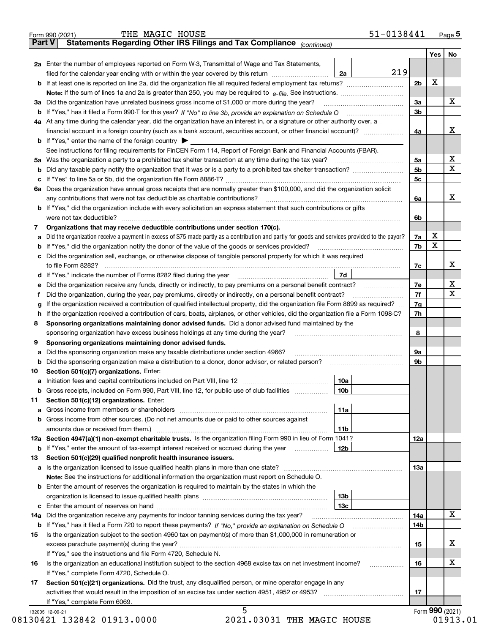|        | 51-0138441<br>THE MAGIC HOUSE<br>Form 990 (2021)                                                                                                |                |     | Page 5          |
|--------|-------------------------------------------------------------------------------------------------------------------------------------------------|----------------|-----|-----------------|
| Part V | Statements Regarding Other IRS Filings and Tax Compliance (continued)                                                                           |                |     |                 |
|        |                                                                                                                                                 |                | Yes | No              |
|        | 2a Enter the number of employees reported on Form W-3, Transmittal of Wage and Tax Statements,                                                  |                |     |                 |
|        | 219<br>filed for the calendar year ending with or within the year covered by this return<br>2a                                                  |                |     |                 |
|        | <b>b</b> If at least one is reported on line 2a, did the organization file all required federal employment tax returns?                         | 2 <sub>b</sub> | X   |                 |
|        | Note: If the sum of lines 1a and 2a is greater than 250, you may be required to e-file. See instructions.                                       |                |     |                 |
|        | 3a Did the organization have unrelated business gross income of \$1,000 or more during the year?                                                | За             |     | X               |
|        | <b>b</b> If "Yes," has it filed a Form 990-T for this year? If "No" to line 3b, provide an explanation on Schedule O                            | 3b             |     |                 |
|        | 4a At any time during the calendar year, did the organization have an interest in, or a signature or other authority over, a                    |                |     |                 |
|        | financial account in a foreign country (such as a bank account, securities account, or other financial account)?                                | 4a             |     | х               |
|        | <b>b</b> If "Yes," enter the name of the foreign country $\triangleright$                                                                       |                |     |                 |
|        | See instructions for filing requirements for FinCEN Form 114, Report of Foreign Bank and Financial Accounts (FBAR).                             |                |     |                 |
|        | 5a Was the organization a party to a prohibited tax shelter transaction at any time during the tax year?                                        | 5a             |     | X               |
| b      |                                                                                                                                                 | 5 <sub>b</sub> |     | X               |
| с      |                                                                                                                                                 | 5 <sub>c</sub> |     |                 |
| 6а     | Does the organization have annual gross receipts that are normally greater than \$100,000, and did the organization solicit                     |                |     |                 |
|        | any contributions that were not tax deductible as charitable contributions?                                                                     | 6a             |     | х               |
|        | <b>b</b> If "Yes," did the organization include with every solicitation an express statement that such contributions or gifts                   |                |     |                 |
|        | were not tax deductible?                                                                                                                        | 6b             |     |                 |
| 7      | Organizations that may receive deductible contributions under section 170(c).                                                                   |                |     |                 |
| a      | Did the organization receive a payment in excess of \$75 made partly as a contribution and partly for goods and services provided to the payor? | 7a             | X   |                 |
| b      | If "Yes," did the organization notify the donor of the value of the goods or services provided?                                                 | 7b             | X   |                 |
| c      | Did the organization sell, exchange, or otherwise dispose of tangible personal property for which it was required<br>to file Form 8282?         | 7с             |     | х               |
|        | 7d                                                                                                                                              |                |     |                 |
| е      | Did the organization receive any funds, directly or indirectly, to pay premiums on a personal benefit contract?                                 | 7e             |     | х               |
| Ť      | Did the organization, during the year, pay premiums, directly or indirectly, on a personal benefit contract?                                    | 7f             |     | $\mathbf X$     |
| g      | If the organization received a contribution of qualified intellectual property, did the organization file Form 8899 as required?                | 7g             |     |                 |
| h      | If the organization received a contribution of cars, boats, airplanes, or other vehicles, did the organization file a Form 1098-C?              | 7h             |     |                 |
| 8      | Sponsoring organizations maintaining donor advised funds. Did a donor advised fund maintained by the                                            |                |     |                 |
|        | sponsoring organization have excess business holdings at any time during the year?                                                              | 8              |     |                 |
| 9      | Sponsoring organizations maintaining donor advised funds.                                                                                       |                |     |                 |
| а      | Did the sponsoring organization make any taxable distributions under section 4966?                                                              | 9а             |     |                 |
| b      | Did the sponsoring organization make a distribution to a donor, donor advisor, or related person?                                               | 9b             |     |                 |
| 10     | Section 501(c)(7) organizations. Enter:                                                                                                         |                |     |                 |
| а      | Initiation fees and capital contributions included on Part VIII, line 12<br>10a                                                                 |                |     |                 |
| b      | Gross receipts, included on Form 990, Part VIII, line 12, for public use of club facilities<br>10b                                              |                |     |                 |
| 11     | Section 501(c)(12) organizations. Enter:                                                                                                        |                |     |                 |
| а      | 11a                                                                                                                                             |                |     |                 |
| b      | Gross income from other sources. (Do not net amounts due or paid to other sources against                                                       |                |     |                 |
|        | amounts due or received from them.)<br>11b                                                                                                      |                |     |                 |
|        | 12a Section 4947(a)(1) non-exempt charitable trusts. Is the organization filing Form 990 in lieu of Form 1041?                                  | 12a            |     |                 |
| b      | If "Yes," enter the amount of tax-exempt interest received or accrued during the year<br>12b                                                    |                |     |                 |
| 13     | Section 501(c)(29) qualified nonprofit health insurance issuers.                                                                                |                |     |                 |
| а      | Is the organization licensed to issue qualified health plans in more than one state?                                                            | 13а            |     |                 |
|        | <b>Note:</b> See the instructions for additional information the organization must report on Schedule O.                                        |                |     |                 |
| b      | Enter the amount of reserves the organization is required to maintain by the states in which the                                                |                |     |                 |
|        | 13b                                                                                                                                             |                |     |                 |
| с      | 13с                                                                                                                                             |                |     |                 |
| 14a    | Did the organization receive any payments for indoor tanning services during the tax year?                                                      | 14a            |     | X               |
| b      |                                                                                                                                                 | 14b            |     |                 |
| 15     | Is the organization subject to the section 4960 tax on payment(s) of more than \$1,000,000 in remuneration or                                   |                |     | х               |
|        |                                                                                                                                                 | 15             |     |                 |
|        | If "Yes," see the instructions and file Form 4720, Schedule N.                                                                                  |                |     | х               |
| 16     | Is the organization an educational institution subject to the section 4968 excise tax on net investment income?                                 | 16             |     |                 |
|        | If "Yes," complete Form 4720, Schedule O.                                                                                                       |                |     |                 |
| 17     | Section 501(c)(21) organizations. Did the trust, any disqualified person, or mine operator engage in any                                        |                |     |                 |
|        |                                                                                                                                                 | 17             |     |                 |
|        | If "Yes," complete Form 6069.<br>5                                                                                                              |                |     | Form 990 (2021) |
|        | 132005 12-09-21                                                                                                                                 |                |     |                 |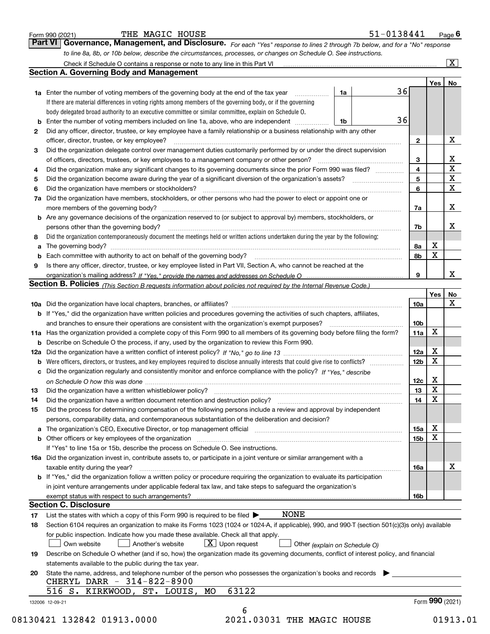|    | to line 8a, 8b, or 10b below, describe the circumstances, processes, or changes on Schedule O. See instructions.                                                           |    |                 |                         | $\overline{\mathbf{x}}$ |
|----|----------------------------------------------------------------------------------------------------------------------------------------------------------------------------|----|-----------------|-------------------------|-------------------------|
|    | <b>Section A. Governing Body and Management</b>                                                                                                                            |    |                 |                         |                         |
|    |                                                                                                                                                                            |    |                 | Yes                     | No                      |
|    | 1a<br>1a Enter the number of voting members of the governing body at the end of the tax year <i>manumum</i>                                                                | 36 |                 |                         |                         |
|    | If there are material differences in voting rights among members of the governing body, or if the governing                                                                |    |                 |                         |                         |
|    | body delegated broad authority to an executive committee or similar committee, explain on Schedule O.                                                                      |    |                 |                         |                         |
| b  | Enter the number of voting members included on line 1a, above, who are independent<br>1b                                                                                   | 36 |                 |                         |                         |
| 2  | Did any officer, director, trustee, or key employee have a family relationship or a business relationship with any other                                                   |    |                 |                         |                         |
|    | officer, director, trustee, or key employee?                                                                                                                               |    | $\mathbf{2}$    |                         | Х                       |
| з  | Did the organization delegate control over management duties customarily performed by or under the direct supervision                                                      |    |                 |                         |                         |
|    | of officers, directors, trustees, or key employees to a management company or other person?                                                                                |    | 3               |                         | $\frac{X}{X}$           |
| 4  | Did the organization make any significant changes to its governing documents since the prior Form 990 was filed?                                                           |    | 4               |                         |                         |
| 5  |                                                                                                                                                                            |    | 5               |                         | $\overline{\mathbf{x}}$ |
| 6  | Did the organization have members or stockholders?                                                                                                                         |    | 6               |                         | $\overline{\mathbf{x}}$ |
| 7a | Did the organization have members, stockholders, or other persons who had the power to elect or appoint one or                                                             |    |                 |                         |                         |
|    |                                                                                                                                                                            |    | 7a              |                         | X                       |
|    | b Are any governance decisions of the organization reserved to (or subject to approval by) members, stockholders, or                                                       |    |                 |                         | х                       |
|    | persons other than the governing body?                                                                                                                                     |    | 7b              |                         |                         |
| 8  | Did the organization contemporaneously document the meetings held or written actions undertaken during the year by the following:                                          |    |                 | х                       |                         |
|    |                                                                                                                                                                            |    | 8a<br>8b        | $\mathbf X$             |                         |
| 9  | Is there any officer, director, trustee, or key employee listed in Part VII, Section A, who cannot be reached at the                                                       |    |                 |                         |                         |
|    |                                                                                                                                                                            |    | 9               |                         | X                       |
|    | Section B. Policies (This Section B requests information about policies not required by the Internal Revenue Code.)                                                        |    |                 |                         |                         |
|    |                                                                                                                                                                            |    |                 | Yes                     | No                      |
|    |                                                                                                                                                                            |    | 10a             |                         | $\mathbf x$             |
|    | b If "Yes," did the organization have written policies and procedures governing the activities of such chapters, affiliates,                                               |    |                 |                         |                         |
|    | and branches to ensure their operations are consistent with the organization's exempt purposes?                                                                            |    | 10 <sub>b</sub> |                         |                         |
|    | 11a Has the organization provided a complete copy of this Form 990 to all members of its governing body before filing the form?                                            |    | 11a             | X                       |                         |
|    | <b>b</b> Describe on Schedule O the process, if any, used by the organization to review this Form 990.                                                                     |    |                 |                         |                         |
|    |                                                                                                                                                                            |    | 12a             | X                       |                         |
|    | Were officers, directors, or trustees, and key employees required to disclose annually interests that could give rise to conflicts?                                        |    | 12 <sub>b</sub> | $\mathbf x$             |                         |
|    | c Did the organization regularly and consistently monitor and enforce compliance with the policy? If "Yes," describe                                                       |    |                 |                         |                         |
|    |                                                                                                                                                                            |    | 12c             | х                       |                         |
| 13 |                                                                                                                                                                            |    | 13              | $\overline{\mathbf{x}}$ |                         |
| 14 | Did the organization have a written document retention and destruction policy? manufactured and the organization have a written document retention and destruction policy? |    | 14              | X                       |                         |
| 15 | Did the process for determining compensation of the following persons include a review and approval by independent                                                         |    |                 |                         |                         |
|    | persons, comparability data, and contemporaneous substantiation of the deliberation and decision?                                                                          |    |                 |                         |                         |
|    |                                                                                                                                                                            |    | 15a             | х                       |                         |
|    | <b>b</b> Other officers or key employees of the organization                                                                                                               |    | 15b             | X                       |                         |
|    | If "Yes" to line 15a or 15b, describe the process on Schedule O. See instructions.                                                                                         |    |                 |                         |                         |
|    | 16a Did the organization invest in, contribute assets to, or participate in a joint venture or similar arrangement with a                                                  |    |                 |                         |                         |
|    | taxable entity during the year?                                                                                                                                            |    | 16a             |                         | x                       |
|    | <b>b</b> If "Yes," did the organization follow a written policy or procedure requiring the organization to evaluate its participation                                      |    |                 |                         |                         |
|    | in joint venture arrangements under applicable federal tax law, and take steps to safequard the organization's                                                             |    |                 |                         |                         |
|    | exempt status with respect to such arrangements?                                                                                                                           |    | 16b             |                         |                         |
|    | <b>Section C. Disclosure</b><br>NONE                                                                                                                                       |    |                 |                         |                         |
|    | List the states with which a copy of this Form 990 is required to be filed $\blacktriangleright$                                                                           |    |                 |                         |                         |
|    | Section 6104 requires an organization to make its Forms 1023 (1024 or 1024-A, if applicable), 990, and 990-T (section 501(c)(3)s only) available                           |    |                 |                         |                         |
| 18 |                                                                                                                                                                            |    |                 |                         |                         |
|    | for public inspection. Indicate how you made these available. Check all that apply.                                                                                        |    |                 |                         |                         |
| 17 | $X$ Upon request<br>Own website<br>Another's website<br>Other (explain on Schedule O)                                                                                      |    |                 |                         |                         |
| 19 | Describe on Schedule O whether (and if so, how) the organization made its governing documents, conflict of interest policy, and financial                                  |    |                 |                         |                         |
|    | statements available to the public during the tax year.                                                                                                                    |    |                 |                         |                         |
| 20 | State the name, address, and telephone number of the person who possesses the organization's books and records                                                             |    |                 |                         |                         |
|    | CHERYL DARR - 314-822-8900<br>63122<br>516 S. KIRKWOOD, ST. LOUIS, MO                                                                                                      |    |                 |                         |                         |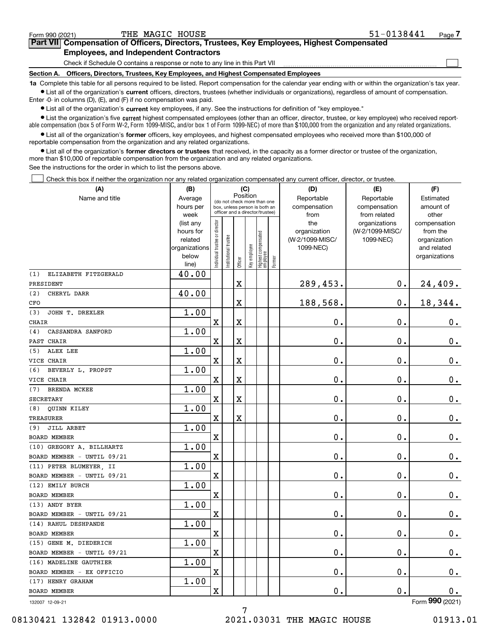| Form 990 (2021) | THE MAGIC HOUSE                                                                                                                                            | 51-0138441 | Page i |
|-----------------|------------------------------------------------------------------------------------------------------------------------------------------------------------|------------|--------|
|                 | Part VII Compensation of Officers, Directors, Trustees, Key Employees, Highest Compensated                                                                 |            |        |
|                 | <b>Employees, and Independent Contractors</b>                                                                                                              |            |        |
|                 | Check if Schedule O contains a response or note to any line in this Part VII                                                                               |            |        |
| Section A.      | Officers, Directors, Trustees, Key Employees, and Highest Compensated Employees                                                                            |            |        |
|                 | 1a Complete this table for all persons required to be listed. Report compensation for the calendar year ending with or within the organization's tax year. |            |        |

**•** List all of the organization's current officers, directors, trustees (whether individuals or organizations), regardless of amount of compensation. Enter -0- in columns (D), (E), and (F) if no compensation was paid.

 $\bullet$  List all of the organization's  $\sf current$  key employees, if any. See the instructions for definition of "key employee."

**•** List the organization's five current highest compensated employees (other than an officer, director, trustee, or key employee) who received reportable compensation (box 5 of Form W-2, Form 1099-MISC, and/or box 1 of Form 1099-NEC) of more than \$100,000 from the organization and any related organizations.

**•** List all of the organization's former officers, key employees, and highest compensated employees who received more than \$100,000 of reportable compensation from the organization and any related organizations.

**former directors or trustees**  ¥ List all of the organization's that received, in the capacity as a former director or trustee of the organization, more than \$10,000 of reportable compensation from the organization and any related organizations.

See the instructions for the order in which to list the persons above.

Check this box if neither the organization nor any related organization compensated any current officer, director, or trustee.  $\mathcal{L}^{\text{max}}$ 

| (A)                         | (B)                    | (C)                                     |                                                                  |         |              |                                  |        | (D)                             | (E)                              | (F)                      |
|-----------------------------|------------------------|-----------------------------------------|------------------------------------------------------------------|---------|--------------|----------------------------------|--------|---------------------------------|----------------------------------|--------------------------|
| Name and title              | Average                | Position<br>(do not check more than one |                                                                  |         |              |                                  |        | Reportable                      | Reportable                       | Estimated                |
|                             | hours per              |                                         | box, unless person is both an<br>officer and a director/trustee) |         |              |                                  |        | compensation                    | compensation                     | amount of                |
|                             | week                   |                                         |                                                                  |         |              |                                  |        | from                            | from related                     | other                    |
|                             | (list any<br>hours for |                                         |                                                                  |         |              |                                  |        | the                             | organizations<br>(W-2/1099-MISC/ | compensation<br>from the |
|                             | related                |                                         |                                                                  |         |              |                                  |        | organization<br>(W-2/1099-MISC/ | 1099-NEC)                        | organization             |
|                             | organizations          |                                         |                                                                  |         |              |                                  |        | 1099-NEC)                       |                                  | and related              |
|                             | below                  | ndividual trustee or director           |                                                                  |         |              |                                  |        |                                 |                                  | organizations            |
|                             | line)                  |                                         | Institutional trustee                                            | Officer | Key employee | Highest compensated<br> employee | Former |                                 |                                  |                          |
| ELIZABETH FITZGERALD<br>(1) | 40.00                  |                                         |                                                                  |         |              |                                  |        |                                 |                                  |                          |
| PRESIDENT                   |                        |                                         |                                                                  | X       |              |                                  |        | 289,453.                        | 0.                               | 24,409.                  |
| (2)<br>CHERYL DARR          | 40.00                  |                                         |                                                                  |         |              |                                  |        |                                 |                                  |                          |
| CFO                         |                        |                                         |                                                                  | X       |              |                                  |        | 188,568.                        | 0.                               | 18,344.                  |
| JOHN T. DREXLER<br>(3)      | 1.00                   |                                         |                                                                  |         |              |                                  |        |                                 |                                  |                          |
| <b>CHAIR</b>                |                        | $\mathbf X$                             |                                                                  | X       |              |                                  |        | $\mathbf 0$ .                   | 0.                               | $\mathbf 0$ .            |
| CASSANDRA SANFORD<br>(4)    | 1.00                   |                                         |                                                                  |         |              |                                  |        |                                 |                                  |                          |
| PAST CHAIR                  |                        | $\mathbf x$                             |                                                                  | X       |              |                                  |        | 0.                              | $\mathbf{0}$ .                   | $\mathbf 0$ .            |
| ALEX LEE<br>(5)             | 1.00                   |                                         |                                                                  |         |              |                                  |        |                                 |                                  |                          |
| VICE CHAIR                  |                        | $\mathbf x$                             |                                                                  | X       |              |                                  |        | $0$ .                           | $\mathbf 0$ .                    | 0.                       |
| (6)<br>BEVERLY L. PROPST    | 1.00                   |                                         |                                                                  |         |              |                                  |        |                                 |                                  |                          |
| VICE CHAIR                  |                        | $\mathbf x$                             |                                                                  | X       |              |                                  |        | 0.                              | 0.                               | $0_{.}$                  |
| BRENDA MCKEE<br>(7)         | 1.00                   |                                         |                                                                  |         |              |                                  |        |                                 |                                  |                          |
| <b>SECRETARY</b>            |                        | $\mathbf x$                             |                                                                  | X       |              |                                  |        | 0.                              | 0.                               | $\mathbf 0$ .            |
| <b>OUINN KILEY</b><br>(8)   | 1.00                   |                                         |                                                                  |         |              |                                  |        |                                 |                                  |                          |
| <b>TREASURER</b>            |                        | $\mathbf X$                             |                                                                  | X       |              |                                  |        | 0.                              | 0.                               | $\mathbf 0$ .            |
| JILL ARBET<br>(9)           | 1.00                   |                                         |                                                                  |         |              |                                  |        |                                 |                                  |                          |
| BOARD MEMBER                |                        | $\mathbf X$                             |                                                                  |         |              |                                  |        | $\mathbf 0$ .                   | 0.                               | $\mathbf 0$ .            |
| (10) GREGORY A. BILLHARTZ   | 1.00                   |                                         |                                                                  |         |              |                                  |        |                                 |                                  |                          |
| BOARD MEMBER - UNTIL 09/21  |                        | $\mathbf x$                             |                                                                  |         |              |                                  |        | $\mathbf 0$ .                   | 0.                               | $\mathbf 0$ .            |
| (11) PETER BLUMEYER, II     | 1.00                   |                                         |                                                                  |         |              |                                  |        |                                 |                                  |                          |
| BOARD MEMBER - UNTIL 09/21  |                        | $\mathbf X$                             |                                                                  |         |              |                                  |        | $\mathbf 0$ .                   | 0.                               | $\mathbf 0$ .            |
| (12) EMILY BURCH            | 1.00                   |                                         |                                                                  |         |              |                                  |        |                                 |                                  |                          |
| <b>BOARD MEMBER</b>         |                        | $\mathbf x$                             |                                                                  |         |              |                                  |        | 0.                              | 0.                               | $\mathbf 0$ .            |
| (13) ANDY BYER              | 1.00                   |                                         |                                                                  |         |              |                                  |        |                                 |                                  |                          |
| BOARD MEMBER - UNTIL 09/21  |                        | $\mathbf X$                             |                                                                  |         |              |                                  |        | 0.                              | 0.                               | 0.                       |
| (14) RAHUL DESHPANDE        | 1.00                   |                                         |                                                                  |         |              |                                  |        |                                 |                                  |                          |
| <b>BOARD MEMBER</b>         |                        | $\mathbf X$                             |                                                                  |         |              |                                  |        | 0.                              | 0.                               | $0_{.}$                  |
| (15) GENE M. DIEDERICH      | 1.00                   |                                         |                                                                  |         |              |                                  |        |                                 |                                  |                          |
| BOARD MEMBER - UNTIL 09/21  |                        | $\mathbf X$                             |                                                                  |         |              |                                  |        | 0.                              | 0.                               | 0.                       |
| (16) MADELINE GAUTHIER      | 1.00                   |                                         |                                                                  |         |              |                                  |        |                                 |                                  |                          |
| BOARD MEMBER - EX OFFICIO   |                        | $\mathbf X$                             |                                                                  |         |              |                                  |        | 0.                              | 0.                               | 0.                       |
| (17) HENRY GRAHAM           | 1.00                   |                                         |                                                                  |         |              |                                  |        |                                 |                                  |                          |
| BOARD MEMBER                |                        | $\mathbf X$                             |                                                                  |         |              |                                  |        | 0.                              | 0.                               | 0.                       |
|                             |                        |                                         |                                                                  |         |              |                                  |        |                                 |                                  | $\overline{2}$           |

7

132007 12-09-21

Form (2021) **990**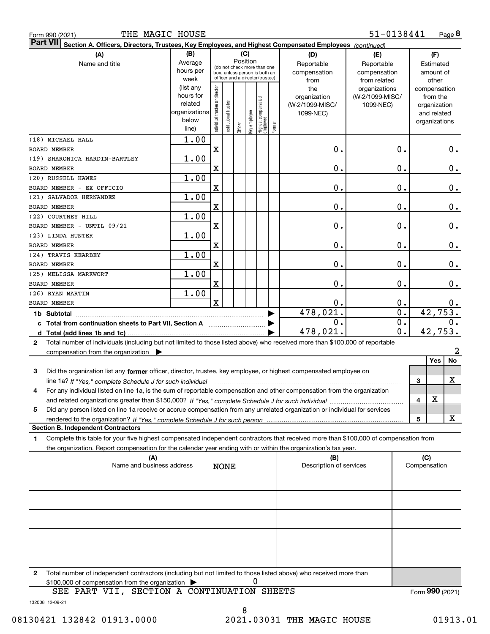| Part VII <br>Section A. Officers, Directors, Trustees, Key Employees, and Highest Compensated Employees (continued)                                                                                                                             |                      |                                |                       |                                         |              |                                 |        |                              |                 |                  |         |                             |                |
|-------------------------------------------------------------------------------------------------------------------------------------------------------------------------------------------------------------------------------------------------|----------------------|--------------------------------|-----------------------|-----------------------------------------|--------------|---------------------------------|--------|------------------------------|-----------------|------------------|---------|-----------------------------|----------------|
| (A)                                                                                                                                                                                                                                             | (B)                  |                                |                       | (C)                                     |              |                                 |        | (D)                          | (E)             |                  | (F)     |                             |                |
| Name and title                                                                                                                                                                                                                                  | Average              |                                |                       | Position<br>(do not check more than one |              |                                 |        | Reportable                   | Reportable      | Estimated        |         |                             |                |
|                                                                                                                                                                                                                                                 | hours per            |                                |                       | box, unless person is both an           |              |                                 |        | compensation                 | compensation    |                  |         | amount of                   |                |
|                                                                                                                                                                                                                                                 | week                 |                                |                       | officer and a director/trustee)         |              |                                 |        | from                         | from related    |                  |         | other                       |                |
|                                                                                                                                                                                                                                                 | (list any            |                                |                       |                                         |              |                                 |        | the                          | organizations   |                  |         | compensation                |                |
|                                                                                                                                                                                                                                                 | hours for<br>related |                                |                       |                                         |              |                                 |        | organization                 | (W-2/1099-MISC/ |                  |         | from the                    |                |
|                                                                                                                                                                                                                                                 | organizations        |                                |                       |                                         |              |                                 |        | (W-2/1099-MISC/<br>1099-NEC) | 1099-NEC)       |                  |         | organization<br>and related |                |
|                                                                                                                                                                                                                                                 | below                |                                |                       |                                         |              |                                 |        |                              |                 |                  |         | organizations               |                |
|                                                                                                                                                                                                                                                 | line)                | Individual trustee or director | Institutional trustee | Officer                                 | Key employee | Highest compensated<br>employee | Former |                              |                 |                  |         |                             |                |
| (18) MICHAEL HALL                                                                                                                                                                                                                               | 1.00                 |                                |                       |                                         |              |                                 |        |                              |                 |                  |         |                             |                |
| <b>BOARD MEMBER</b>                                                                                                                                                                                                                             |                      | $\mathbf X$                    |                       |                                         |              |                                 |        | $\mathbf 0$ .                |                 | 0.               |         |                             | $0$ .          |
| (19) SHARONICA HARDIN-BARTLEY                                                                                                                                                                                                                   | 1.00                 |                                |                       |                                         |              |                                 |        |                              |                 |                  |         |                             |                |
| <b>BOARD MEMBER</b>                                                                                                                                                                                                                             |                      | X                              |                       |                                         |              |                                 |        | 0.                           |                 | 0.               |         |                             | $0$ .          |
| (20) RUSSELL HAWES                                                                                                                                                                                                                              | 1.00                 |                                |                       |                                         |              |                                 |        |                              |                 |                  |         |                             |                |
| BOARD MEMBER - EX OFFICIO                                                                                                                                                                                                                       |                      | $\mathbf X$                    |                       |                                         |              |                                 |        | $\mathbf 0$ .                |                 | $\mathbf 0$ .    |         |                             | $0$ .          |
| (21) SALVADOR HERNANDEZ                                                                                                                                                                                                                         | 1.00                 |                                |                       |                                         |              |                                 |        |                              |                 |                  |         |                             |                |
| <b>BOARD MEMBER</b>                                                                                                                                                                                                                             |                      | $\mathbf X$                    |                       |                                         |              |                                 |        | $\mathbf 0$ .                |                 | $\mathbf 0$ .    |         |                             | $0$ .          |
| (22) COURTNEY HILL                                                                                                                                                                                                                              | 1.00                 |                                |                       |                                         |              |                                 |        |                              |                 |                  |         |                             |                |
| BOARD MEMBER - UNTIL 09/21                                                                                                                                                                                                                      |                      | $\mathbf X$                    |                       |                                         |              |                                 |        | $\mathbf 0$ .                |                 | $\mathbf 0$ .    |         |                             | $0$ .          |
| (23) LINDA HUNTER                                                                                                                                                                                                                               | 1.00                 |                                |                       |                                         |              |                                 |        |                              |                 |                  |         |                             |                |
| <b>BOARD MEMBER</b>                                                                                                                                                                                                                             |                      | $\mathbf X$                    |                       |                                         |              |                                 |        | $\mathbf 0$ .                |                 | $\mathbf 0$ .    |         |                             | $0$ .          |
| (24) TRAVIS KEARBEY                                                                                                                                                                                                                             | 1.00                 |                                |                       |                                         |              |                                 |        |                              |                 |                  |         |                             |                |
| <b>BOARD MEMBER</b>                                                                                                                                                                                                                             |                      | $\mathbf X$                    |                       |                                         |              |                                 |        | $\mathbf 0$ .                |                 | $\mathbf 0$ .    |         |                             | $0$ .          |
| (25) MELISSA MARKWORT                                                                                                                                                                                                                           | 1.00                 |                                |                       |                                         |              |                                 |        |                              |                 |                  |         |                             |                |
| <b>BOARD MEMBER</b>                                                                                                                                                                                                                             |                      | $\mathbf X$                    |                       |                                         |              |                                 |        | $\mathbf 0$ .                |                 | 0.               |         |                             | $\mathbf 0$ .  |
| (26) RYAN MARTIN                                                                                                                                                                                                                                | 1.00                 |                                |                       |                                         |              |                                 |        |                              |                 |                  |         |                             |                |
| <b>BOARD MEMBER</b>                                                                                                                                                                                                                             |                      | $\mathbf x$                    |                       |                                         |              |                                 |        | $0$ .                        |                 | 0.               |         | 42,753.                     | $0$ .          |
| 1b Subtotal                                                                                                                                                                                                                                     |                      |                                |                       |                                         |              |                                 |        | 478,021.                     |                 | $\overline{0}$ . |         |                             |                |
|                                                                                                                                                                                                                                                 |                      |                                |                       |                                         |              |                                 |        | $\mathbf 0$ .<br>478,021.    |                 | 0.<br>0.         |         |                             | $0$ .          |
|                                                                                                                                                                                                                                                 |                      |                                |                       |                                         |              |                                 |        |                              |                 |                  | 42,753. |                             |                |
| Total number of individuals (including but not limited to those listed above) who received more than \$100,000 of reportable<br>2                                                                                                               |                      |                                |                       |                                         |              |                                 |        |                              |                 |                  |         |                             | $\overline{a}$ |
| compensation from the organization $\blacktriangleright$                                                                                                                                                                                        |                      |                                |                       |                                         |              |                                 |        |                              |                 |                  |         | <b>Yes</b>                  | No             |
| 3                                                                                                                                                                                                                                               |                      |                                |                       |                                         |              |                                 |        |                              |                 |                  |         |                             |                |
| Did the organization list any former officer, director, trustee, key employee, or highest compensated employee on                                                                                                                               |                      |                                |                       |                                         |              |                                 |        |                              |                 |                  | 3       |                             | х              |
| line 1a? If "Yes," complete Schedule J for such individual manumental content to the content of the Schedule J<br>For any individual listed on line 1a, is the sum of reportable compensation and other compensation from the organization<br>4 |                      |                                |                       |                                         |              |                                 |        |                              |                 |                  |         |                             |                |
|                                                                                                                                                                                                                                                 |                      |                                |                       |                                         |              |                                 |        |                              |                 |                  | 4       | $\rm X$                     |                |
| Did any person listed on line 1a receive or accrue compensation from any unrelated organization or individual for services<br>5                                                                                                                 |                      |                                |                       |                                         |              |                                 |        |                              |                 |                  |         |                             |                |
|                                                                                                                                                                                                                                                 |                      |                                |                       |                                         |              |                                 |        |                              |                 |                  | 5       |                             | x              |
| <b>Section B. Independent Contractors</b>                                                                                                                                                                                                       |                      |                                |                       |                                         |              |                                 |        |                              |                 |                  |         |                             |                |
| Complete this table for your five highest compensated independent contractors that received more than \$100,000 of compensation from<br>1                                                                                                       |                      |                                |                       |                                         |              |                                 |        |                              |                 |                  |         |                             |                |
| the organization. Report compensation for the calendar year ending with or within the organization's tax year.                                                                                                                                  |                      |                                |                       |                                         |              |                                 |        |                              |                 |                  |         |                             |                |
| (A)                                                                                                                                                                                                                                             |                      |                                |                       |                                         |              |                                 |        | (B)                          |                 |                  | (C)     |                             |                |
| Name and business address                                                                                                                                                                                                                       |                      |                                | <b>NONE</b>           |                                         |              |                                 |        | Description of services      |                 |                  |         | Compensation                |                |
|                                                                                                                                                                                                                                                 |                      |                                |                       |                                         |              |                                 |        |                              |                 |                  |         |                             |                |
|                                                                                                                                                                                                                                                 |                      |                                |                       |                                         |              |                                 |        |                              |                 |                  |         |                             |                |
|                                                                                                                                                                                                                                                 |                      |                                |                       |                                         |              |                                 |        |                              |                 |                  |         |                             |                |
|                                                                                                                                                                                                                                                 |                      |                                |                       |                                         |              |                                 |        |                              |                 |                  |         |                             |                |
|                                                                                                                                                                                                                                                 |                      |                                |                       |                                         |              |                                 |        |                              |                 |                  |         |                             |                |
|                                                                                                                                                                                                                                                 |                      |                                |                       |                                         |              |                                 |        |                              |                 |                  |         |                             |                |
|                                                                                                                                                                                                                                                 |                      |                                |                       |                                         |              |                                 |        |                              |                 |                  |         |                             |                |
| Total number of independent contractors (including but not limited to those listed above) who received more than<br>2<br>\$100,000 of compensation from the organization                                                                        |                      |                                |                       |                                         | 0            |                                 |        |                              |                 |                  |         |                             |                |

Form 990 (2021) **THE MAGIC HOUSE** 51-0138441 Page

132008 12-09-21 SEE PART VII, SECTION A CONTINUATION SHEETS 8

**8**

51-0138441

Form (2021) **990**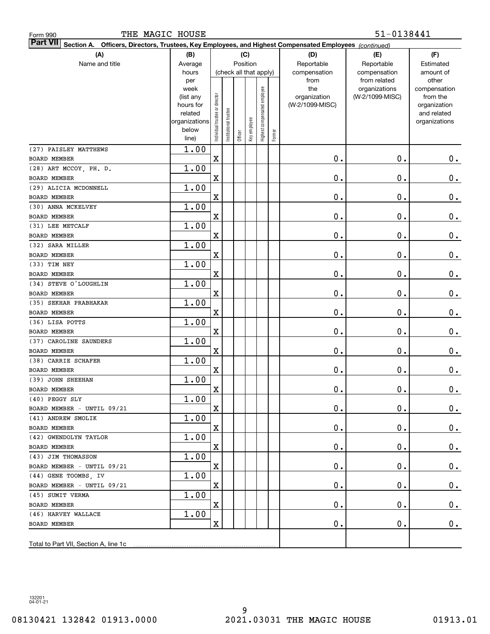| THE MAGIC HOUSE<br>Form 990                                                                                               | 51-0138441                                                |                    |                       |                        |              |                              |        |                                                                |                                                                  |                                                                               |
|---------------------------------------------------------------------------------------------------------------------------|-----------------------------------------------------------|--------------------|-----------------------|------------------------|--------------|------------------------------|--------|----------------------------------------------------------------|------------------------------------------------------------------|-------------------------------------------------------------------------------|
| <b>Part VII</b><br>Section A. Officers, Directors, Trustees, Key Employees, and Highest Compensated Employees (continued) |                                                           |                    |                       |                        |              |                              |        |                                                                |                                                                  |                                                                               |
| (A)                                                                                                                       | (B)                                                       |                    |                       |                        | (C)          |                              |        | (D)                                                            | (E)                                                              | (F)                                                                           |
| Name and title                                                                                                            | Average                                                   |                    |                       | Position               |              |                              |        | Reportable                                                     | Reportable                                                       | Estimated                                                                     |
|                                                                                                                           | hours<br>per<br>week<br>(list any<br>hours for<br>related | or director        |                       | (check all that apply) |              | Highest compensated employee |        | compensation<br>from<br>the<br>organization<br>(W-2/1099-MISC) | compensation<br>from related<br>organizations<br>(W-2/1099-MISC) | amount of<br>other<br>compensation<br>from the<br>organization<br>and related |
|                                                                                                                           | organizations<br>below<br>line)                           | Individual trustee | Institutional trustee | Officer                | Key employee |                              | Former |                                                                |                                                                  | organizations                                                                 |
| (27) PAISLEY MATTHEWS                                                                                                     | 1.00                                                      |                    |                       |                        |              |                              |        |                                                                |                                                                  |                                                                               |
| <b>BOARD MEMBER</b>                                                                                                       |                                                           | X                  |                       |                        |              |                              |        | 0.                                                             | $\mathbf 0$ .                                                    | $0_{.}$                                                                       |
| (28) ART MCCOY, PH. D.                                                                                                    | 1.00                                                      |                    |                       |                        |              |                              |        |                                                                |                                                                  |                                                                               |
| <b>BOARD MEMBER</b>                                                                                                       |                                                           | X                  |                       |                        |              |                              |        | 0.                                                             | 0.                                                               | $\mathbf 0$ .                                                                 |
| (29) ALICIA MCDONNELL                                                                                                     | 1.00                                                      |                    |                       |                        |              |                              |        |                                                                |                                                                  |                                                                               |
| <b>BOARD MEMBER</b>                                                                                                       |                                                           | X                  |                       |                        |              |                              |        | 0.                                                             | $\mathbf 0$ .                                                    | $\mathbf 0$ .                                                                 |
| (30) ANNA MCKELVEY                                                                                                        | 1.00                                                      |                    |                       |                        |              |                              |        |                                                                |                                                                  |                                                                               |
| <b>BOARD MEMBER</b>                                                                                                       |                                                           | X                  |                       |                        |              |                              |        | 0.                                                             | 0.                                                               | $0_{.}$                                                                       |
| (31) LEE METCALF                                                                                                          | 1.00                                                      |                    |                       |                        |              |                              |        |                                                                |                                                                  |                                                                               |
| <b>BOARD MEMBER</b>                                                                                                       |                                                           | X                  |                       |                        |              |                              |        | 0.                                                             | 0.                                                               | $0_{.}$                                                                       |
| (32) SARA MILLER                                                                                                          | 1.00                                                      |                    |                       |                        |              |                              |        |                                                                |                                                                  |                                                                               |
| <b>BOARD MEMBER</b>                                                                                                       |                                                           | X                  |                       |                        |              |                              |        | 0.                                                             | $\mathbf 0$ .                                                    | $0_{.}$                                                                       |
| $(33)$ TIM NEY                                                                                                            | 1.00                                                      |                    |                       |                        |              |                              |        |                                                                |                                                                  |                                                                               |
| <b>BOARD MEMBER</b>                                                                                                       |                                                           | X                  |                       |                        |              |                              |        | 0.                                                             | $\mathbf 0$ .                                                    | 0.                                                                            |
| (34) STEVE O'LOUGHLIN                                                                                                     | 1.00                                                      |                    |                       |                        |              |                              |        |                                                                |                                                                  |                                                                               |
| <b>BOARD MEMBER</b>                                                                                                       |                                                           | X                  |                       |                        |              |                              |        | 0.                                                             | $\mathbf 0$ .                                                    | $\mathbf 0$ .                                                                 |
| (35) SEKHAR PRABHAKAR                                                                                                     | 1.00                                                      |                    |                       |                        |              |                              |        |                                                                |                                                                  |                                                                               |
| <b>BOARD MEMBER</b>                                                                                                       |                                                           | X                  |                       |                        |              |                              |        | 0.                                                             | $\mathbf 0$ .                                                    | 0.                                                                            |
| (36) LISA POTTS                                                                                                           | 1.00                                                      |                    |                       |                        |              |                              |        |                                                                |                                                                  |                                                                               |
| <b>BOARD MEMBER</b>                                                                                                       |                                                           | X                  |                       |                        |              |                              |        | 0.                                                             | $\mathbf 0$ .                                                    | 0.                                                                            |
| (37) CAROLINE SAUNDERS                                                                                                    | 1.00                                                      |                    |                       |                        |              |                              |        |                                                                |                                                                  |                                                                               |
| <b>BOARD MEMBER</b>                                                                                                       |                                                           | X                  |                       |                        |              |                              |        | 0.                                                             | $\mathbf 0$ .                                                    | 0.                                                                            |
| (38) CARRIE SCHAFER                                                                                                       | 1.00                                                      |                    |                       |                        |              |                              |        |                                                                |                                                                  |                                                                               |
| <b>BOARD MEMBER</b>                                                                                                       |                                                           | X                  |                       |                        |              |                              |        | 0.                                                             | $\mathbf 0$ .                                                    | 0.                                                                            |
| (39) JOHN SHEEHAN                                                                                                         | 1.00                                                      |                    |                       |                        |              |                              |        |                                                                |                                                                  |                                                                               |
| BOARD MEMBER                                                                                                              |                                                           | x                  |                       |                        |              |                              |        | $\mathbf 0$ .                                                  | $\mathbf 0$ .                                                    | 0.                                                                            |
| (40) PEGGY SLY                                                                                                            | 1.00                                                      |                    |                       |                        |              |                              |        |                                                                |                                                                  |                                                                               |
| BOARD MEMBER - UNTIL 09/21                                                                                                |                                                           | X                  |                       |                        |              |                              |        | $\mathbf 0$ .                                                  | $\mathbf 0$ .                                                    | $0$ .                                                                         |
| (41) ANDREW SMOLIK                                                                                                        | 1.00                                                      |                    |                       |                        |              |                              |        |                                                                |                                                                  |                                                                               |
| BOARD MEMBER                                                                                                              |                                                           | X                  |                       |                        |              |                              |        | 0.                                                             | $\mathbf 0$ .                                                    | $\mathbf 0$ .                                                                 |
| (42) GWENDOLYN TAYLOR                                                                                                     | 1.00                                                      |                    |                       |                        |              |                              |        |                                                                |                                                                  |                                                                               |
| BOARD MEMBER                                                                                                              |                                                           | X                  |                       |                        |              |                              |        | 0.                                                             | $\mathbf 0$ .                                                    | $\mathbf 0$ .                                                                 |
| (43) JIM THOMASSON                                                                                                        | 1.00                                                      |                    |                       |                        |              |                              |        |                                                                |                                                                  |                                                                               |
| BOARD MEMBER - UNTIL 09/21                                                                                                |                                                           | X                  |                       |                        |              |                              |        | 0.                                                             | $\mathbf 0$ .                                                    | $\mathbf 0$ .                                                                 |
| (44) GENE TOOMBS, IV                                                                                                      | 1.00                                                      |                    |                       |                        |              |                              |        |                                                                |                                                                  |                                                                               |
| BOARD MEMBER - UNTIL 09/21                                                                                                |                                                           | X                  |                       |                        |              |                              |        | 0.                                                             | $\mathbf 0$ .                                                    | $\mathbf 0$ .                                                                 |
| (45) SUMIT VERMA                                                                                                          | 1.00                                                      |                    |                       |                        |              |                              |        |                                                                |                                                                  |                                                                               |
| BOARD MEMBER                                                                                                              |                                                           | X                  |                       |                        |              |                              |        | 0.                                                             | $\mathbf 0$ .                                                    | $\mathbf 0$ .                                                                 |
| (46) HARVEY WALLACE                                                                                                       | 1.00                                                      |                    |                       |                        |              |                              |        |                                                                |                                                                  |                                                                               |
| BOARD MEMBER                                                                                                              |                                                           | X                  |                       |                        |              |                              |        | 0.                                                             | $\mathbf 0$ .                                                    | $0$ .                                                                         |
| Total to Part VII, Section A, line 1c                                                                                     |                                                           |                    |                       |                        |              |                              |        |                                                                |                                                                  |                                                                               |

132201 04-01-21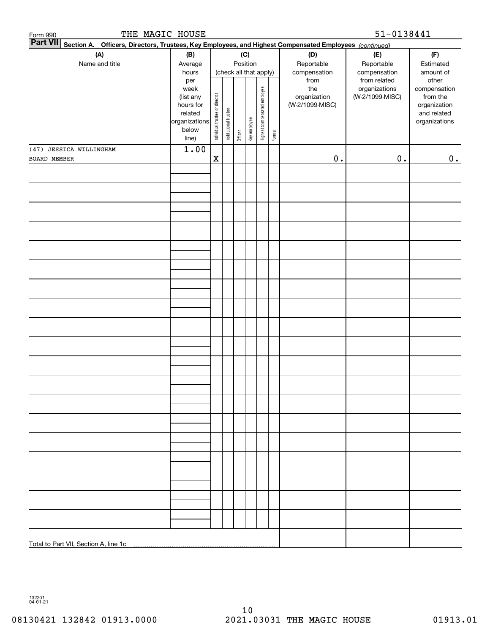| THE MAGIC HOUSE<br>Form 990                                                                                        |                                                                                     | $51 - 0138441$                 |                       |         |                                           |                              |        |                                                |                                                  |                                                                                   |
|--------------------------------------------------------------------------------------------------------------------|-------------------------------------------------------------------------------------|--------------------------------|-----------------------|---------|-------------------------------------------|------------------------------|--------|------------------------------------------------|--------------------------------------------------|-----------------------------------------------------------------------------------|
| Part VII<br>Section A. Officers, Directors, Trustees, Key Employees, and Highest Compensated Employees (continued) |                                                                                     |                                |                       |         |                                           |                              |        |                                                |                                                  |                                                                                   |
| (A)<br>Name and title                                                                                              | (B)<br>Average<br>hours                                                             |                                |                       |         | (C)<br>Position<br>(check all that apply) |                              |        | (D)<br>Reportable<br>compensation              | (E)<br>Reportable<br>compensation                | (F)<br>Estimated<br>amount of                                                     |
|                                                                                                                    | per<br>week<br>(list any<br>hours for<br>related<br>organizations<br>below<br>line) | Individual trustee or director | Institutional trustee | Officer | Key employee                              | Highest compensated employee | Former | from<br>the<br>organization<br>(W-2/1099-MISC) | from related<br>organizations<br>(W-2/1099-MISC) | other<br>compensation<br>from the<br>organization<br>and related<br>organizations |
| (47) JESSICA WILLINGHAM                                                                                            | 1.00                                                                                |                                |                       |         |                                           |                              |        |                                                |                                                  |                                                                                   |
| BOARD MEMBER                                                                                                       |                                                                                     | $\mathbf X$                    |                       |         |                                           |                              |        | $\mathbf 0$ .                                  | $0$ .                                            | $0_{.}$                                                                           |
|                                                                                                                    |                                                                                     |                                |                       |         |                                           |                              |        |                                                |                                                  |                                                                                   |
|                                                                                                                    |                                                                                     |                                |                       |         |                                           |                              |        |                                                |                                                  |                                                                                   |
|                                                                                                                    |                                                                                     |                                |                       |         |                                           |                              |        |                                                |                                                  |                                                                                   |
|                                                                                                                    |                                                                                     |                                |                       |         |                                           |                              |        |                                                |                                                  |                                                                                   |
|                                                                                                                    |                                                                                     |                                |                       |         |                                           |                              |        |                                                |                                                  |                                                                                   |
|                                                                                                                    |                                                                                     |                                |                       |         |                                           |                              |        |                                                |                                                  |                                                                                   |
|                                                                                                                    |                                                                                     |                                |                       |         |                                           |                              |        |                                                |                                                  |                                                                                   |
|                                                                                                                    |                                                                                     |                                |                       |         |                                           |                              |        |                                                |                                                  |                                                                                   |
|                                                                                                                    |                                                                                     |                                |                       |         |                                           |                              |        |                                                |                                                  |                                                                                   |
|                                                                                                                    |                                                                                     |                                |                       |         |                                           |                              |        |                                                |                                                  |                                                                                   |
|                                                                                                                    |                                                                                     |                                |                       |         |                                           |                              |        |                                                |                                                  |                                                                                   |
|                                                                                                                    |                                                                                     |                                |                       |         |                                           |                              |        |                                                |                                                  |                                                                                   |
| Total to Part VII, Section A, line 1c                                                                              |                                                                                     |                                |                       |         |                                           |                              |        |                                                |                                                  |                                                                                   |

132201 04-01-21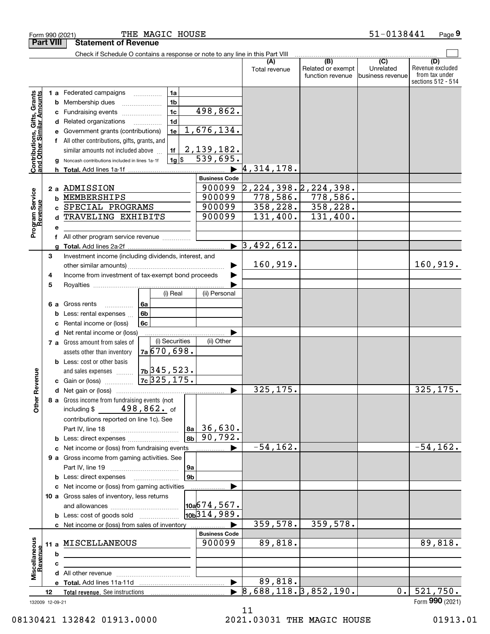|                                                           | Check if Schedule O contains a response or note to any line in this Part VIII |                                                                                                             |                                        |                               |                          |                                              |                                      |                                                                 |  |  |  |  |  |
|-----------------------------------------------------------|-------------------------------------------------------------------------------|-------------------------------------------------------------------------------------------------------------|----------------------------------------|-------------------------------|--------------------------|----------------------------------------------|--------------------------------------|-----------------------------------------------------------------|--|--|--|--|--|
|                                                           |                                                                               |                                                                                                             |                                        |                               | Total revenue            | (B)<br>Related or exempt<br>function revenue | (C)<br>Unrelated<br>business revenue | (D)<br>Revenue excluded<br>from tax under<br>sections 512 - 514 |  |  |  |  |  |
|                                                           | b<br>с                                                                        | <b>1 a</b> Federated campaigns<br>Membership dues<br>Fundraising events                                     | 1a<br>1 <sub>b</sub><br>1 <sub>c</sub> | 498,862.                      |                          |                                              |                                      |                                                                 |  |  |  |  |  |
|                                                           | d                                                                             | Related organizations<br>Government grants (contributions)<br>f All other contributions, gifts, grants, and | 1 <sub>d</sub><br>.<br>1e              | 1,676,134.                    |                          |                                              |                                      |                                                                 |  |  |  |  |  |
| Contributions, Gifts, Grants<br>and Other Similar Amounts | a                                                                             | similar amounts not included above<br>Noncash contributions included in lines 1a-1f                         | 1f<br>$1g$ s                           | 2, 139, 182.<br>539,695.      | 4,314,178.               |                                              |                                      |                                                                 |  |  |  |  |  |
|                                                           |                                                                               |                                                                                                             |                                        | <b>Business Code</b>          |                          |                                              |                                      |                                                                 |  |  |  |  |  |
|                                                           |                                                                               | 2 a ADMISSION                                                                                               |                                        | 900099                        | 2, 224, 398.2, 224, 398. |                                              |                                      |                                                                 |  |  |  |  |  |
| Program Service<br>Revenue                                | b                                                                             | MEMBERSHIPS                                                                                                 |                                        | 900099                        | 778,586.                 | 778,586.                                     |                                      |                                                                 |  |  |  |  |  |
|                                                           | C.                                                                            | SPECIAL PROGRAMS                                                                                            |                                        | 900099                        | 358, 228.                | 358, 228.                                    |                                      |                                                                 |  |  |  |  |  |
|                                                           |                                                                               | TRAVELING EXHIBITS                                                                                          |                                        | 900099                        | 131,400.                 | 131,400.                                     |                                      |                                                                 |  |  |  |  |  |
|                                                           | е                                                                             |                                                                                                             |                                        |                               |                          |                                              |                                      |                                                                 |  |  |  |  |  |
|                                                           | f                                                                             | All other program service revenue                                                                           |                                        |                               |                          |                                              |                                      |                                                                 |  |  |  |  |  |
|                                                           |                                                                               |                                                                                                             |                                        | $\blacktriangleright$         | 3,492,612.               |                                              |                                      |                                                                 |  |  |  |  |  |
|                                                           | 3                                                                             | Investment income (including dividends, interest, and                                                       |                                        |                               | 160,919.                 |                                              |                                      | 160,919.                                                        |  |  |  |  |  |
|                                                           |                                                                               | Income from investment of tax-exempt bond proceeds                                                          |                                        |                               |                          |                                              |                                      |                                                                 |  |  |  |  |  |
|                                                           | 4<br>5                                                                        |                                                                                                             |                                        |                               |                          |                                              |                                      |                                                                 |  |  |  |  |  |
|                                                           |                                                                               |                                                                                                             | (i) Real                               | (ii) Personal                 |                          |                                              |                                      |                                                                 |  |  |  |  |  |
|                                                           | 6а                                                                            | Gross rents<br>.                                                                                            | 6a                                     |                               |                          |                                              |                                      |                                                                 |  |  |  |  |  |
|                                                           | b                                                                             | Less: rental expenses                                                                                       | 6b                                     |                               |                          |                                              |                                      |                                                                 |  |  |  |  |  |
|                                                           | с                                                                             | Rental income or (loss)                                                                                     | 6c                                     |                               |                          |                                              |                                      |                                                                 |  |  |  |  |  |
|                                                           | d                                                                             | Net rental income or (loss)                                                                                 |                                        |                               |                          |                                              |                                      |                                                                 |  |  |  |  |  |
|                                                           |                                                                               | 7 a Gross amount from sales of                                                                              | (i) Securities                         | (ii) Other                    |                          |                                              |                                      |                                                                 |  |  |  |  |  |
|                                                           |                                                                               | assets other than inventory                                                                                 | 7a 670,698.                            |                               |                          |                                              |                                      |                                                                 |  |  |  |  |  |
|                                                           |                                                                               | <b>b</b> Less: cost or other basis                                                                          |                                        |                               |                          |                                              |                                      |                                                                 |  |  |  |  |  |
|                                                           |                                                                               | and sales expenses                                                                                          | $7b$ 345, 523.                         |                               |                          |                                              |                                      |                                                                 |  |  |  |  |  |
|                                                           |                                                                               | Gain or (loss) <i></i>                                                                                      | 7c 325, 175.                           |                               |                          |                                              |                                      |                                                                 |  |  |  |  |  |
| ther Revenue                                              |                                                                               |                                                                                                             |                                        |                               | 325,175.                 |                                              |                                      | 325, 175.                                                       |  |  |  |  |  |
|                                                           |                                                                               | 8 a Gross income from fundraising events (not                                                               |                                        |                               |                          |                                              |                                      |                                                                 |  |  |  |  |  |
| o                                                         |                                                                               | including \$ 498,862. of                                                                                    |                                        |                               |                          |                                              |                                      |                                                                 |  |  |  |  |  |
|                                                           |                                                                               | contributions reported on line 1c). See                                                                     |                                        |                               |                          |                                              |                                      |                                                                 |  |  |  |  |  |
|                                                           |                                                                               |                                                                                                             |                                        | 36,630.<br>8al                |                          |                                              |                                      |                                                                 |  |  |  |  |  |
|                                                           | b                                                                             |                                                                                                             |                                        | 90,792.<br>8b                 |                          |                                              |                                      | $-54, 162.$                                                     |  |  |  |  |  |
|                                                           | c                                                                             | Net income or (loss) from fundraising events                                                                |                                        |                               | $-54, 162.$              |                                              |                                      |                                                                 |  |  |  |  |  |
|                                                           |                                                                               | 9 a Gross income from gaming activities. See                                                                |                                        |                               |                          |                                              |                                      |                                                                 |  |  |  |  |  |
|                                                           |                                                                               | <b>b</b> Less: direct expenses <b>contained b</b> Less: direct expenses                                     |                                        | 9a<br>9 <sub>b</sub>          |                          |                                              |                                      |                                                                 |  |  |  |  |  |
|                                                           |                                                                               | c Net income or (loss) from gaming activities                                                               |                                        |                               |                          |                                              |                                      |                                                                 |  |  |  |  |  |
|                                                           |                                                                               | 10 a Gross sales of inventory, less returns                                                                 |                                        |                               |                          |                                              |                                      |                                                                 |  |  |  |  |  |
|                                                           |                                                                               |                                                                                                             |                                        | $\vert$ 10a $\vert$ 674, 567. |                          |                                              |                                      |                                                                 |  |  |  |  |  |
|                                                           |                                                                               | <b>b</b> Less: cost of goods sold                                                                           |                                        | 10b314,989.                   |                          |                                              |                                      |                                                                 |  |  |  |  |  |
|                                                           |                                                                               | c Net income or (loss) from sales of inventory                                                              |                                        |                               | 359,578.                 | 359,578.                                     |                                      |                                                                 |  |  |  |  |  |
|                                                           |                                                                               |                                                                                                             |                                        | <b>Business Code</b>          |                          |                                              |                                      |                                                                 |  |  |  |  |  |
|                                                           |                                                                               | 11 a MISCELLANEOUS                                                                                          |                                        | 900099                        | 89,818.                  |                                              |                                      | 89,818.                                                         |  |  |  |  |  |
|                                                           | b                                                                             |                                                                                                             |                                        |                               |                          |                                              |                                      |                                                                 |  |  |  |  |  |
|                                                           | c                                                                             |                                                                                                             |                                        |                               |                          |                                              |                                      |                                                                 |  |  |  |  |  |
| Miscellaneous<br>Revenue                                  | d                                                                             |                                                                                                             |                                        |                               |                          |                                              |                                      |                                                                 |  |  |  |  |  |
|                                                           |                                                                               |                                                                                                             |                                        |                               | 89,818.                  |                                              |                                      |                                                                 |  |  |  |  |  |
|                                                           | 12                                                                            |                                                                                                             |                                        |                               |                          | 8,688,118.3,852,190.                         | $0$ .                                | 521,750.                                                        |  |  |  |  |  |
|                                                           | 132009 12-09-21                                                               |                                                                                                             |                                        |                               |                          |                                              |                                      | Form 990 (2021)                                                 |  |  |  |  |  |

Form 990 (2021) 'I'HE' MAGILC HOUSE 51−0138441 Page

**Part VIII Statement of Revenue**

THE MAGIC HOUSE

08130421 132842 01913.0000 2021.03031 THE MAGIC HOUSE 01913.01

11

**9**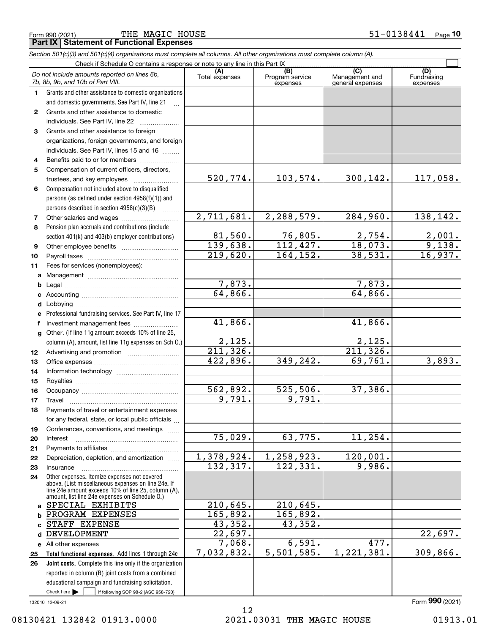Form 990 (2021) Page THE MAGIC HOUSE 51-0138441 **Part IX Statement of Functional Expenses**

|              | Section 501(c)(3) and 501(c)(4) organizations must complete all columns. All other organizations must complete column (A).                                   |                          |                                    |                                           |                                |  |  |  |  |  |  |  |  |
|--------------|--------------------------------------------------------------------------------------------------------------------------------------------------------------|--------------------------|------------------------------------|-------------------------------------------|--------------------------------|--|--|--|--|--|--|--|--|
|              | Check if Schedule O contains a response or note to any line in this Part IX                                                                                  |                          |                                    |                                           |                                |  |  |  |  |  |  |  |  |
|              | Do not include amounts reported on lines 6b,<br>7b, 8b, 9b, and 10b of Part VIII.                                                                            | (A)<br>Total expenses    | (B)<br>Program service<br>expenses | (C)<br>Management and<br>general expenses | (D)<br>Fundraising<br>expenses |  |  |  |  |  |  |  |  |
| 1.           | Grants and other assistance to domestic organizations                                                                                                        |                          |                                    |                                           |                                |  |  |  |  |  |  |  |  |
|              | and domestic governments. See Part IV, line 21                                                                                                               |                          |                                    |                                           |                                |  |  |  |  |  |  |  |  |
| $\mathbf{2}$ | Grants and other assistance to domestic                                                                                                                      |                          |                                    |                                           |                                |  |  |  |  |  |  |  |  |
|              | individuals. See Part IV, line 22                                                                                                                            |                          |                                    |                                           |                                |  |  |  |  |  |  |  |  |
| 3            | Grants and other assistance to foreign                                                                                                                       |                          |                                    |                                           |                                |  |  |  |  |  |  |  |  |
|              | organizations, foreign governments, and foreign                                                                                                              |                          |                                    |                                           |                                |  |  |  |  |  |  |  |  |
|              | individuals. See Part IV, lines 15 and 16                                                                                                                    |                          |                                    |                                           |                                |  |  |  |  |  |  |  |  |
| 4            | Benefits paid to or for members                                                                                                                              |                          |                                    |                                           |                                |  |  |  |  |  |  |  |  |
| 5            | Compensation of current officers, directors,                                                                                                                 |                          |                                    |                                           |                                |  |  |  |  |  |  |  |  |
|              | trustees, and key employees                                                                                                                                  | 520,774.                 | 103,574.                           | 300, 142.                                 | 117,058.                       |  |  |  |  |  |  |  |  |
| 6            | Compensation not included above to disqualified                                                                                                              |                          |                                    |                                           |                                |  |  |  |  |  |  |  |  |
|              | persons (as defined under section 4958(f)(1)) and                                                                                                            |                          |                                    |                                           |                                |  |  |  |  |  |  |  |  |
|              | persons described in section 4958(c)(3)(B)<br>.                                                                                                              |                          |                                    |                                           |                                |  |  |  |  |  |  |  |  |
| 7            |                                                                                                                                                              | 2,711,681.               | 2,288,579.                         | 284,960.                                  | 138, 142.                      |  |  |  |  |  |  |  |  |
| 8            | Pension plan accruals and contributions (include                                                                                                             |                          |                                    |                                           |                                |  |  |  |  |  |  |  |  |
|              | section 401(k) and 403(b) employer contributions)                                                                                                            | $\frac{81,560}{139,638}$ | $\frac{76,805.112,427.}$           | $\frac{2,754}{18,073}$ .                  | $\frac{2,001.}{9,138.}$        |  |  |  |  |  |  |  |  |
| 9            |                                                                                                                                                              |                          |                                    |                                           |                                |  |  |  |  |  |  |  |  |
| 10           |                                                                                                                                                              | 219,620.                 | 164, 152.                          | 38,531.                                   | 16,937.                        |  |  |  |  |  |  |  |  |
| 11           | Fees for services (nonemployees):                                                                                                                            |                          |                                    |                                           |                                |  |  |  |  |  |  |  |  |
| a            |                                                                                                                                                              |                          |                                    |                                           |                                |  |  |  |  |  |  |  |  |
| b            |                                                                                                                                                              | $\frac{7,873.}{64,866.}$ |                                    | 7,873.                                    |                                |  |  |  |  |  |  |  |  |
| c            |                                                                                                                                                              |                          |                                    | 64,866.                                   |                                |  |  |  |  |  |  |  |  |
| d            |                                                                                                                                                              |                          |                                    |                                           |                                |  |  |  |  |  |  |  |  |
| е            | Professional fundraising services. See Part IV, line 17                                                                                                      |                          |                                    |                                           |                                |  |  |  |  |  |  |  |  |
| f            | Investment management fees                                                                                                                                   | 41,866.                  |                                    | 41,866.                                   |                                |  |  |  |  |  |  |  |  |
| g            | Other. (If line 11g amount exceeds 10% of line 25,                                                                                                           |                          |                                    |                                           |                                |  |  |  |  |  |  |  |  |
|              | column (A), amount, list line 11g expenses on Sch O.)                                                                                                        | $\frac{2,125}{211,326}$  |                                    | $\frac{2,125}{211,326}$                   |                                |  |  |  |  |  |  |  |  |
| 12           |                                                                                                                                                              |                          |                                    |                                           |                                |  |  |  |  |  |  |  |  |
| 13           |                                                                                                                                                              | 422,896.                 | 349,242.                           | 69,761.                                   | 3,893.                         |  |  |  |  |  |  |  |  |
| 14           |                                                                                                                                                              |                          |                                    |                                           |                                |  |  |  |  |  |  |  |  |
| 15           |                                                                                                                                                              |                          |                                    |                                           |                                |  |  |  |  |  |  |  |  |
| 16           |                                                                                                                                                              | 562,892.                 | 525,506.                           | 37,386.                                   |                                |  |  |  |  |  |  |  |  |
| 17           |                                                                                                                                                              | 9,791.                   | 9,791.                             |                                           |                                |  |  |  |  |  |  |  |  |
| 18           | Payments of travel or entertainment expenses                                                                                                                 |                          |                                    |                                           |                                |  |  |  |  |  |  |  |  |
|              | for any federal, state, or local public officials                                                                                                            |                          |                                    |                                           |                                |  |  |  |  |  |  |  |  |
| 19           | Conferences, conventions, and meetings<br>$\sim$                                                                                                             | 75,029.                  | 63,775.                            | 11,254.                                   |                                |  |  |  |  |  |  |  |  |
| 20           | Interest                                                                                                                                                     |                          |                                    |                                           |                                |  |  |  |  |  |  |  |  |
| 21           |                                                                                                                                                              | 1,378,924.               | 1,258,923.                         | 120,001.                                  |                                |  |  |  |  |  |  |  |  |
| 22           | Depreciation, depletion, and amortization                                                                                                                    | 132, 317.                | 122, 331.                          | 9,986.                                    |                                |  |  |  |  |  |  |  |  |
| 23           | Insurance<br>Other expenses. Itemize expenses not covered                                                                                                    |                          |                                    |                                           |                                |  |  |  |  |  |  |  |  |
| 24           | above. (List miscellaneous expenses on line 24e. If<br>line 24e amount exceeds 10% of line 25, column (A),<br>amount, list line 24e expenses on Schedule 0.) |                          |                                    |                                           |                                |  |  |  |  |  |  |  |  |
| a            | SPECIAL EXHIBITS                                                                                                                                             | 210,645.                 | 210,645.                           |                                           |                                |  |  |  |  |  |  |  |  |
| b            | PROGRAM EXPENSES                                                                                                                                             | 165,892.                 | 165,892.                           |                                           |                                |  |  |  |  |  |  |  |  |
| c            | STAFF EXPENSE                                                                                                                                                | 43,352.                  | 43,352.                            |                                           |                                |  |  |  |  |  |  |  |  |
| d            | DEVELOPMENT                                                                                                                                                  | 22,697.                  |                                    |                                           | 22,697.                        |  |  |  |  |  |  |  |  |
|              | e All other expenses                                                                                                                                         | 7,068.                   | 6,591.                             | $\overline{477}$ .                        |                                |  |  |  |  |  |  |  |  |
| 25           | Total functional expenses. Add lines 1 through 24e                                                                                                           | 7,032,832.               | 5,501,585.                         | 1, 221, 381.                              | 309,866.                       |  |  |  |  |  |  |  |  |
| 26           | Joint costs. Complete this line only if the organization                                                                                                     |                          |                                    |                                           |                                |  |  |  |  |  |  |  |  |
|              | reported in column (B) joint costs from a combined                                                                                                           |                          |                                    |                                           |                                |  |  |  |  |  |  |  |  |
|              | educational campaign and fundraising solicitation.                                                                                                           |                          |                                    |                                           |                                |  |  |  |  |  |  |  |  |
|              | Check here $\blacktriangleright$<br>if following SOP 98-2 (ASC 958-720)                                                                                      |                          |                                    |                                           |                                |  |  |  |  |  |  |  |  |

132010 12-09-21

Form (2021) **990**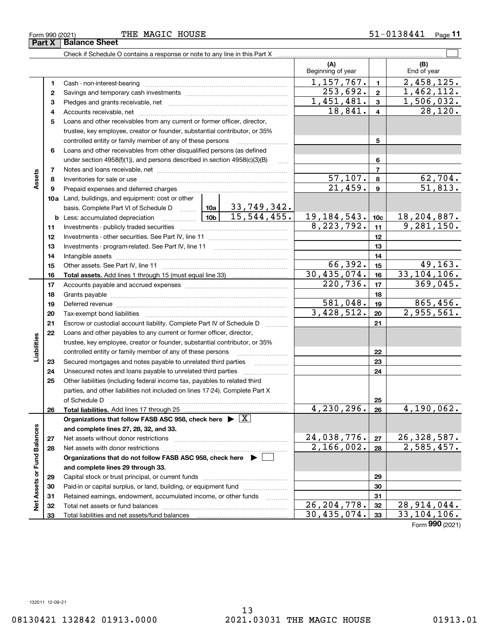|                             | Part X   | <b>Balance Sheet</b>                                                                                                                                                                                                          |                          |                         |                           |
|-----------------------------|----------|-------------------------------------------------------------------------------------------------------------------------------------------------------------------------------------------------------------------------------|--------------------------|-------------------------|---------------------------|
|                             |          |                                                                                                                                                                                                                               |                          |                         |                           |
|                             |          |                                                                                                                                                                                                                               | (A)<br>Beginning of year |                         | (B)<br>End of year        |
|                             | 1.       |                                                                                                                                                                                                                               | 1,157,767.               | $\mathbf{1}$            | 2,458,125.                |
|                             | 2        |                                                                                                                                                                                                                               | 253,692.                 | $\overline{\mathbf{2}}$ | 1,462,112.                |
|                             | З        |                                                                                                                                                                                                                               | 1,451,481.               | $\mathbf{3}$            | 1,506,032.                |
|                             | 4        |                                                                                                                                                                                                                               | 18,841.                  | $\overline{\mathbf{4}}$ | 28,120.                   |
|                             | 5        | Loans and other receivables from any current or former officer, director,                                                                                                                                                     |                          |                         |                           |
|                             |          | trustee, key employee, creator or founder, substantial contributor, or 35%                                                                                                                                                    |                          |                         |                           |
|                             |          | controlled entity or family member of any of these persons                                                                                                                                                                    |                          | 5                       |                           |
|                             | 6        | Loans and other receivables from other disqualified persons (as defined                                                                                                                                                       |                          |                         |                           |
|                             |          | under section $4958(f)(1)$ , and persons described in section $4958(c)(3)(B)$<br>$\ldots$                                                                                                                                     |                          | 6                       |                           |
|                             | 7        |                                                                                                                                                                                                                               |                          | $\overline{7}$          |                           |
| Assets                      | 8        |                                                                                                                                                                                                                               | 57,107.                  | 8                       |                           |
|                             | 9        | Prepaid expenses and deferred charges                                                                                                                                                                                         | 21,459.                  | $\boldsymbol{9}$        | $\frac{62,704.}{51,813.}$ |
|                             |          | <b>10a</b> Land, buildings, and equipment: cost or other                                                                                                                                                                      |                          |                         |                           |
|                             |          | basis. Complete Part VI of Schedule D  10a<br><u>33,749,342.</u>                                                                                                                                                              |                          |                         |                           |
|                             | b        | 15,544,455.<br><u>  10b</u>  <br>Less: accumulated depreciation                                                                                                                                                               | 19, 184, 543.            | 10 <sub>c</sub>         | 18, 204, 887.             |
|                             | 11       |                                                                                                                                                                                                                               | 8, 223, 792.             | 11                      | 9,281,150.                |
|                             | 12       |                                                                                                                                                                                                                               |                          | 12                      |                           |
|                             | 13       |                                                                                                                                                                                                                               |                          | 13                      |                           |
|                             | 14       |                                                                                                                                                                                                                               |                          | 14                      |                           |
|                             | 15       |                                                                                                                                                                                                                               | 66,392.                  | 15                      | 49, 163.                  |
|                             | 16       |                                                                                                                                                                                                                               | 30, 435, 074.            | 16                      | 33, 104, 106.             |
|                             | 17       |                                                                                                                                                                                                                               | 220, 736.                | 17                      | 369,045.                  |
|                             | 18       |                                                                                                                                                                                                                               |                          | 18                      |                           |
|                             | 19       | Deferred revenue manual contracts and contracts are all the manual contracts and contracts are all the contracts of the contracts of the contracts of the contracts of the contracts of the contracts of the contracts of the | 581,048.                 | 19                      | 865,456.                  |
|                             | 20       |                                                                                                                                                                                                                               | 3,428,512.               | 20                      | 2,955,561.                |
|                             | 21       | Escrow or custodial account liability. Complete Part IV of Schedule D<br>1.1.1.1.1.1.1.1.1                                                                                                                                    |                          | 21                      |                           |
|                             | 22       | Loans and other payables to any current or former officer, director,                                                                                                                                                          |                          |                         |                           |
|                             |          | trustee, key employee, creator or founder, substantial contributor, or 35%                                                                                                                                                    |                          |                         |                           |
| Liabilities                 |          | controlled entity or family member of any of these persons                                                                                                                                                                    |                          | 22                      |                           |
|                             | 23       | Secured mortgages and notes payable to unrelated third parties                                                                                                                                                                |                          | 23                      |                           |
|                             | 24       | Unsecured notes and loans payable to unrelated third parties                                                                                                                                                                  |                          | 24                      |                           |
|                             | 25       | Other liabilities (including federal income tax, payables to related third                                                                                                                                                    |                          |                         |                           |
|                             |          | parties, and other liabilities not included on lines 17-24). Complete Part X                                                                                                                                                  |                          |                         |                           |
|                             |          | of Schedule D.                                                                                                                                                                                                                | 4,230,296.               | 25                      | 4,190,062.                |
|                             | 26       | Total liabilities. Add lines 17 through 25                                                                                                                                                                                    |                          | 26                      |                           |
|                             |          | Organizations that follow FASB ASC 958, check here $\blacktriangleright \boxed{X}$                                                                                                                                            |                          |                         |                           |
|                             |          | and complete lines 27, 28, 32, and 33.                                                                                                                                                                                        | 24,038,776.              | 27                      | 26,328,587.               |
|                             | 27<br>28 | Net assets with donor restrictions                                                                                                                                                                                            | 2, 166, 002.             | 28                      | 2,585,457.                |
|                             |          | Organizations that do not follow FASB ASC 958, check here $\blacktriangleright$                                                                                                                                               |                          |                         |                           |
|                             |          | and complete lines 29 through 33.                                                                                                                                                                                             |                          |                         |                           |
|                             | 29       |                                                                                                                                                                                                                               |                          | 29                      |                           |
|                             | 30       | Paid-in or capital surplus, or land, building, or equipment fund                                                                                                                                                              |                          | 30                      |                           |
|                             | 31       | Retained earnings, endowment, accumulated income, or other funds                                                                                                                                                              |                          | 31                      |                           |
| Net Assets or Fund Balances | 32       | .<br>Total net assets or fund balances                                                                                                                                                                                        | 26, 204, 778.            | 32                      | 28,914,044.               |
|                             | 33       |                                                                                                                                                                                                                               | 30,435,074.              | 33                      | 33, 104, 106.             |
|                             |          |                                                                                                                                                                                                                               |                          |                         |                           |

Form (2021) **990**

THE MAGIC HOUSE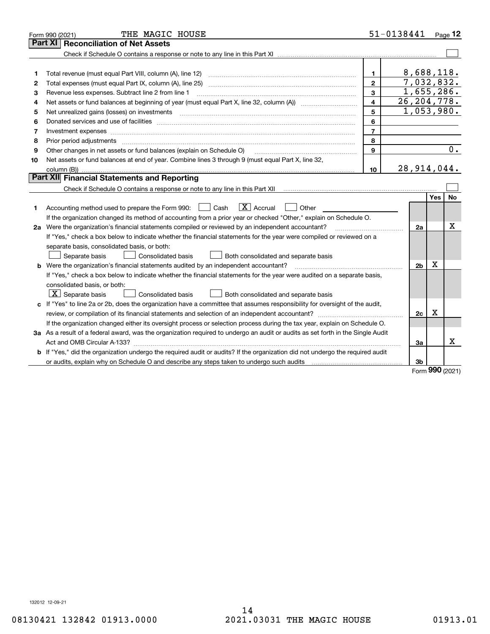|    | THE MAGIC HOUSE<br>Form 990 (2021)                                                                                                                                                                                                                                                                                                                                                                                                                                         |                  | 51-0138441     |            | Page $12$ |  |  |  |
|----|----------------------------------------------------------------------------------------------------------------------------------------------------------------------------------------------------------------------------------------------------------------------------------------------------------------------------------------------------------------------------------------------------------------------------------------------------------------------------|------------------|----------------|------------|-----------|--|--|--|
|    | Part XI<br><b>Reconciliation of Net Assets</b>                                                                                                                                                                                                                                                                                                                                                                                                                             |                  |                |            |           |  |  |  |
|    |                                                                                                                                                                                                                                                                                                                                                                                                                                                                            |                  |                |            |           |  |  |  |
|    |                                                                                                                                                                                                                                                                                                                                                                                                                                                                            |                  |                |            |           |  |  |  |
| 1  |                                                                                                                                                                                                                                                                                                                                                                                                                                                                            | 1.               | 8,688,118.     |            |           |  |  |  |
| 2  |                                                                                                                                                                                                                                                                                                                                                                                                                                                                            | $\mathbf{2}$     | 7,032,832.     |            |           |  |  |  |
| з  | Revenue less expenses. Subtract line 2 from line 1                                                                                                                                                                                                                                                                                                                                                                                                                         | 3                | 1,655,286.     |            |           |  |  |  |
| 4  | $\overline{26}$ , 204, 778.<br>4                                                                                                                                                                                                                                                                                                                                                                                                                                           |                  |                |            |           |  |  |  |
| 5  | Net unrealized gains (losses) on investments<br>$\overline{a_1, \ldots, a_n, \ldots, a_n, \ldots, a_n, \ldots, a_n, \ldots, a_n, \ldots, a_n, \ldots, a_n, \ldots, a_n, \ldots, a_n, \ldots, a_n, \ldots, a_n, \ldots, a_n, \ldots, a_n, \ldots, a_n, \ldots, a_n, \ldots, a_n, \ldots, a_n, \ldots, a_n, \ldots, a_n, \ldots, a_n, \ldots, a_n, \ldots, a_n, \ldots, a_n, \ldots, a_n, \ldots, a_n, \ldots, a_n, \ldots, a_n, \ldots, a_n, \ldots, a_n, \ldots, a_n, \ld$ | 5                | 1,053,980.     |            |           |  |  |  |
| 6  |                                                                                                                                                                                                                                                                                                                                                                                                                                                                            | 6                |                |            |           |  |  |  |
| 7  | Investment expenses                                                                                                                                                                                                                                                                                                                                                                                                                                                        | $\overline{7}$   |                |            |           |  |  |  |
| 8  | Prior period adjustments manufactured content content of the content of the content of the content of the content of the content of the content of the content of the content of the content of the content of the content of                                                                                                                                                                                                                                              | 8                |                |            |           |  |  |  |
| 9  | Other changes in net assets or fund balances (explain on Schedule O)                                                                                                                                                                                                                                                                                                                                                                                                       | 9                |                |            | 0.        |  |  |  |
| 10 | Net assets or fund balances at end of year. Combine lines 3 through 9 (must equal Part X, line 32,                                                                                                                                                                                                                                                                                                                                                                         |                  |                |            |           |  |  |  |
|    |                                                                                                                                                                                                                                                                                                                                                                                                                                                                            | 10 <sup>10</sup> | 28,914,044.    |            |           |  |  |  |
|    | Part XII Financial Statements and Reporting                                                                                                                                                                                                                                                                                                                                                                                                                                |                  |                |            |           |  |  |  |
|    |                                                                                                                                                                                                                                                                                                                                                                                                                                                                            |                  |                |            |           |  |  |  |
|    |                                                                                                                                                                                                                                                                                                                                                                                                                                                                            |                  |                | Yes        | No        |  |  |  |
| 1  | $\boxed{\mathbf{X}}$ Accrual<br>Accounting method used to prepare the Form 990: <u>[</u> Cash<br>Other                                                                                                                                                                                                                                                                                                                                                                     |                  |                |            |           |  |  |  |
|    | If the organization changed its method of accounting from a prior year or checked "Other," explain on Schedule O.                                                                                                                                                                                                                                                                                                                                                          |                  |                |            |           |  |  |  |
|    | 2a Were the organization's financial statements compiled or reviewed by an independent accountant?                                                                                                                                                                                                                                                                                                                                                                         |                  | 2a             |            | X         |  |  |  |
|    | If "Yes," check a box below to indicate whether the financial statements for the year were compiled or reviewed on a                                                                                                                                                                                                                                                                                                                                                       |                  |                |            |           |  |  |  |
|    | separate basis, consolidated basis, or both:                                                                                                                                                                                                                                                                                                                                                                                                                               |                  |                |            |           |  |  |  |
|    | Separate basis<br>Consolidated basis<br>Both consolidated and separate basis                                                                                                                                                                                                                                                                                                                                                                                               |                  |                |            |           |  |  |  |
|    | <b>b</b> Were the organization's financial statements audited by an independent accountant?                                                                                                                                                                                                                                                                                                                                                                                |                  | 2 <sub>b</sub> | Х          |           |  |  |  |
|    | If "Yes," check a box below to indicate whether the financial statements for the year were audited on a separate basis,                                                                                                                                                                                                                                                                                                                                                    |                  |                |            |           |  |  |  |
|    | consolidated basis, or both:                                                                                                                                                                                                                                                                                                                                                                                                                                               |                  |                |            |           |  |  |  |
|    | $\lfloor x \rfloor$ Separate basis<br><b>Consolidated basis</b><br>Both consolidated and separate basis                                                                                                                                                                                                                                                                                                                                                                    |                  |                |            |           |  |  |  |
|    | c If "Yes" to line 2a or 2b, does the organization have a committee that assumes responsibility for oversight of the audit,                                                                                                                                                                                                                                                                                                                                                |                  |                |            |           |  |  |  |
|    |                                                                                                                                                                                                                                                                                                                                                                                                                                                                            |                  | 2c             | х          |           |  |  |  |
|    | If the organization changed either its oversight process or selection process during the tax year, explain on Schedule O.                                                                                                                                                                                                                                                                                                                                                  |                  |                |            |           |  |  |  |
|    | 3a As a result of a federal award, was the organization required to undergo an audit or audits as set forth in the Single Audit                                                                                                                                                                                                                                                                                                                                            |                  |                |            |           |  |  |  |
|    |                                                                                                                                                                                                                                                                                                                                                                                                                                                                            |                  | За             |            | x         |  |  |  |
|    | b If "Yes," did the organization undergo the required audit or audits? If the organization did not undergo the required audit                                                                                                                                                                                                                                                                                                                                              |                  |                |            |           |  |  |  |
|    | or audits, explain why on Schedule O and describe any steps taken to undergo such audits manufactured content to                                                                                                                                                                                                                                                                                                                                                           |                  | 3b             | <b>000</b> |           |  |  |  |

Form (2021) **990**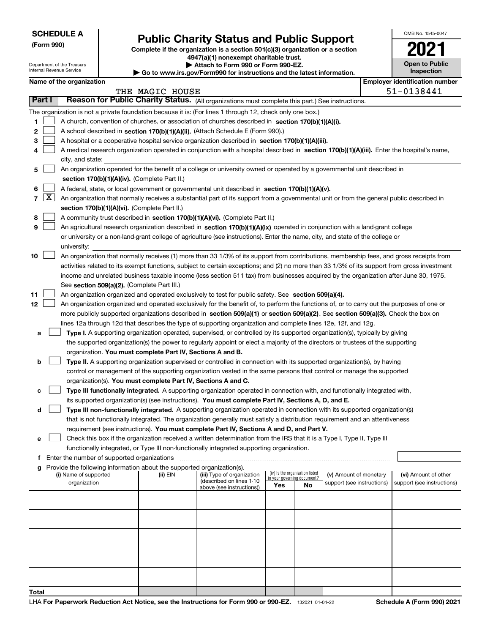Department of the Treasury Internal Revenue Service

**(Form 990)**

# **Public Charity Status and Public Support**

**Complete if the organization is a section 501(c)(3) organization or a section 4947(a)(1) nonexempt charitable trust.**

**| Attach to Form 990 or Form 990-EZ.** 

**| Go to www.irs.gov/Form990 for instructions and the latest information.**

| OMB No. 1545-0047                   |
|-------------------------------------|
| Ū                                   |
| <b>Open to Public</b><br>Inspection |

| Name of the organization |                                                                                                                                            |                                                                                                                                                                                                                                 |                 |                                                       |                                                                |    |                            |  | <b>Employer identification number</b> |  |  |
|--------------------------|--------------------------------------------------------------------------------------------------------------------------------------------|---------------------------------------------------------------------------------------------------------------------------------------------------------------------------------------------------------------------------------|-----------------|-------------------------------------------------------|----------------------------------------------------------------|----|----------------------------|--|---------------------------------------|--|--|
|                          |                                                                                                                                            |                                                                                                                                                                                                                                 | THE MAGIC HOUSE |                                                       |                                                                |    |                            |  | 51-0138441                            |  |  |
| Part I                   |                                                                                                                                            | Reason for Public Charity Status. (All organizations must complete this part.) See instructions.                                                                                                                                |                 |                                                       |                                                                |    |                            |  |                                       |  |  |
|                          |                                                                                                                                            | The organization is not a private foundation because it is: (For lines 1 through 12, check only one box.)                                                                                                                       |                 |                                                       |                                                                |    |                            |  |                                       |  |  |
| 1                        |                                                                                                                                            | A church, convention of churches, or association of churches described in section 170(b)(1)(A)(i).                                                                                                                              |                 |                                                       |                                                                |    |                            |  |                                       |  |  |
| 2                        |                                                                                                                                            | A school described in section 170(b)(1)(A)(ii). (Attach Schedule E (Form 990).)                                                                                                                                                 |                 |                                                       |                                                                |    |                            |  |                                       |  |  |
| з                        |                                                                                                                                            | A hospital or a cooperative hospital service organization described in section 170(b)(1)(A)(iii).                                                                                                                               |                 |                                                       |                                                                |    |                            |  |                                       |  |  |
| 4                        |                                                                                                                                            | A medical research organization operated in conjunction with a hospital described in section 170(b)(1)(A)(iii). Enter the hospital's name,                                                                                      |                 |                                                       |                                                                |    |                            |  |                                       |  |  |
|                          |                                                                                                                                            | city, and state:                                                                                                                                                                                                                |                 |                                                       |                                                                |    |                            |  |                                       |  |  |
| 5                        |                                                                                                                                            | An organization operated for the benefit of a college or university owned or operated by a governmental unit described in                                                                                                       |                 |                                                       |                                                                |    |                            |  |                                       |  |  |
|                          |                                                                                                                                            | section 170(b)(1)(A)(iv). (Complete Part II.)                                                                                                                                                                                   |                 |                                                       |                                                                |    |                            |  |                                       |  |  |
| 6                        |                                                                                                                                            | A federal, state, or local government or governmental unit described in section 170(b)(1)(A)(v).                                                                                                                                |                 |                                                       |                                                                |    |                            |  |                                       |  |  |
| 7                        | $\lfloor x \rfloor$                                                                                                                        | An organization that normally receives a substantial part of its support from a governmental unit or from the general public described in                                                                                       |                 |                                                       |                                                                |    |                            |  |                                       |  |  |
|                          |                                                                                                                                            | section 170(b)(1)(A)(vi). (Complete Part II.)                                                                                                                                                                                   |                 |                                                       |                                                                |    |                            |  |                                       |  |  |
| 8                        |                                                                                                                                            | A community trust described in section 170(b)(1)(A)(vi). (Complete Part II.)                                                                                                                                                    |                 |                                                       |                                                                |    |                            |  |                                       |  |  |
| 9                        |                                                                                                                                            | An agricultural research organization described in section 170(b)(1)(A)(ix) operated in conjunction with a land-grant college                                                                                                   |                 |                                                       |                                                                |    |                            |  |                                       |  |  |
|                          | or university or a non-land-grant college of agriculture (see instructions). Enter the name, city, and state of the college or             |                                                                                                                                                                                                                                 |                 |                                                       |                                                                |    |                            |  |                                       |  |  |
|                          |                                                                                                                                            | university:                                                                                                                                                                                                                     |                 |                                                       |                                                                |    |                            |  |                                       |  |  |
| 10                       |                                                                                                                                            | An organization that normally receives (1) more than 33 1/3% of its support from contributions, membership fees, and gross receipts from                                                                                        |                 |                                                       |                                                                |    |                            |  |                                       |  |  |
|                          |                                                                                                                                            | activities related to its exempt functions, subject to certain exceptions; and (2) no more than 33 1/3% of its support from gross investment                                                                                    |                 |                                                       |                                                                |    |                            |  |                                       |  |  |
|                          |                                                                                                                                            | income and unrelated business taxable income (less section 511 tax) from businesses acquired by the organization after June 30, 1975.                                                                                           |                 |                                                       |                                                                |    |                            |  |                                       |  |  |
|                          | See section 509(a)(2). (Complete Part III.)                                                                                                |                                                                                                                                                                                                                                 |                 |                                                       |                                                                |    |                            |  |                                       |  |  |
| 11                       | An organization organized and operated exclusively to test for public safety. See section 509(a)(4).                                       |                                                                                                                                                                                                                                 |                 |                                                       |                                                                |    |                            |  |                                       |  |  |
| 12                       | An organization organized and operated exclusively for the benefit of, to perform the functions of, or to carry out the purposes of one or |                                                                                                                                                                                                                                 |                 |                                                       |                                                                |    |                            |  |                                       |  |  |
|                          | more publicly supported organizations described in section $509(a)(1)$ or section $509(a)(2)$ . See section $509(a)(3)$ . Check the box on |                                                                                                                                                                                                                                 |                 |                                                       |                                                                |    |                            |  |                                       |  |  |
|                          | lines 12a through 12d that describes the type of supporting organization and complete lines 12e, 12f, and 12g.                             |                                                                                                                                                                                                                                 |                 |                                                       |                                                                |    |                            |  |                                       |  |  |
| а                        | Type I. A supporting organization operated, supervised, or controlled by its supported organization(s), typically by giving                |                                                                                                                                                                                                                                 |                 |                                                       |                                                                |    |                            |  |                                       |  |  |
|                          | the supported organization(s) the power to regularly appoint or elect a majority of the directors or trustees of the supporting            |                                                                                                                                                                                                                                 |                 |                                                       |                                                                |    |                            |  |                                       |  |  |
|                          |                                                                                                                                            | organization. You must complete Part IV, Sections A and B.                                                                                                                                                                      |                 |                                                       |                                                                |    |                            |  |                                       |  |  |
| b                        |                                                                                                                                            | Type II. A supporting organization supervised or controlled in connection with its supported organization(s), by having                                                                                                         |                 |                                                       |                                                                |    |                            |  |                                       |  |  |
|                          |                                                                                                                                            | control or management of the supporting organization vested in the same persons that control or manage the supported                                                                                                            |                 |                                                       |                                                                |    |                            |  |                                       |  |  |
|                          |                                                                                                                                            | organization(s). You must complete Part IV, Sections A and C.                                                                                                                                                                   |                 |                                                       |                                                                |    |                            |  |                                       |  |  |
| с                        |                                                                                                                                            | Type III functionally integrated. A supporting organization operated in connection with, and functionally integrated with,                                                                                                      |                 |                                                       |                                                                |    |                            |  |                                       |  |  |
|                          |                                                                                                                                            | its supported organization(s) (see instructions). You must complete Part IV, Sections A, D, and E.<br>Type III non-functionally integrated. A supporting organization operated in connection with its supported organization(s) |                 |                                                       |                                                                |    |                            |  |                                       |  |  |
| d                        |                                                                                                                                            |                                                                                                                                                                                                                                 |                 |                                                       |                                                                |    |                            |  |                                       |  |  |
|                          |                                                                                                                                            | that is not functionally integrated. The organization generally must satisfy a distribution requirement and an attentiveness<br>requirement (see instructions). You must complete Part IV, Sections A and D, and Part V.        |                 |                                                       |                                                                |    |                            |  |                                       |  |  |
|                          |                                                                                                                                            | Check this box if the organization received a written determination from the IRS that it is a Type I, Type II, Type III                                                                                                         |                 |                                                       |                                                                |    |                            |  |                                       |  |  |
|                          |                                                                                                                                            | functionally integrated, or Type III non-functionally integrated supporting organization.                                                                                                                                       |                 |                                                       |                                                                |    |                            |  |                                       |  |  |
| f                        |                                                                                                                                            | Enter the number of supported organizations                                                                                                                                                                                     |                 |                                                       |                                                                |    |                            |  |                                       |  |  |
|                          |                                                                                                                                            | Provide the following information about the supported organization(s).                                                                                                                                                          |                 |                                                       |                                                                |    |                            |  |                                       |  |  |
|                          |                                                                                                                                            | (i) Name of supported                                                                                                                                                                                                           | (ii) EIN        | (iii) Type of organization                            | (iv) Is the organization listed<br>in your governing document? |    | (v) Amount of monetary     |  | (vi) Amount of other                  |  |  |
|                          |                                                                                                                                            | organization                                                                                                                                                                                                                    |                 | (described on lines 1-10<br>above (see instructions)) | Yes                                                            | No | support (see instructions) |  | support (see instructions)            |  |  |
|                          |                                                                                                                                            |                                                                                                                                                                                                                                 |                 |                                                       |                                                                |    |                            |  |                                       |  |  |
|                          |                                                                                                                                            |                                                                                                                                                                                                                                 |                 |                                                       |                                                                |    |                            |  |                                       |  |  |
|                          |                                                                                                                                            |                                                                                                                                                                                                                                 |                 |                                                       |                                                                |    |                            |  |                                       |  |  |
|                          |                                                                                                                                            |                                                                                                                                                                                                                                 |                 |                                                       |                                                                |    |                            |  |                                       |  |  |
|                          |                                                                                                                                            |                                                                                                                                                                                                                                 |                 |                                                       |                                                                |    |                            |  |                                       |  |  |
|                          |                                                                                                                                            |                                                                                                                                                                                                                                 |                 |                                                       |                                                                |    |                            |  |                                       |  |  |
|                          |                                                                                                                                            |                                                                                                                                                                                                                                 |                 |                                                       |                                                                |    |                            |  |                                       |  |  |
|                          |                                                                                                                                            |                                                                                                                                                                                                                                 |                 |                                                       |                                                                |    |                            |  |                                       |  |  |
|                          |                                                                                                                                            |                                                                                                                                                                                                                                 |                 |                                                       |                                                                |    |                            |  |                                       |  |  |
|                          |                                                                                                                                            |                                                                                                                                                                                                                                 |                 |                                                       |                                                                |    |                            |  |                                       |  |  |
| Total                    |                                                                                                                                            |                                                                                                                                                                                                                                 |                 |                                                       |                                                                |    |                            |  |                                       |  |  |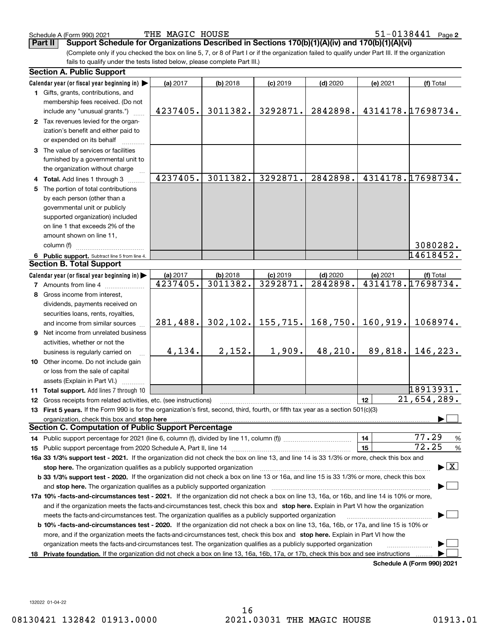| Schedule A (Form 990) 202 |  |  |
|---------------------------|--|--|
|                           |  |  |

 $51 - 0138441$  Page 2 Schedule A (Form 990) 2021 THE MAGIC HOUSE 5 $1\text{--}0138441$  Page

**Part II** Support Schedule for Organizations Described in Sections 170(b)(1)(A)(iv) and 170(b)(1)(A)(vi)

(Complete only if you checked the box on line 5, 7, or 8 of Part I or if the organization failed to qualify under Part III. If the organization fails to qualify under the tests listed below, please complete Part III.)

| Calendar year (or fiscal year beginning in)<br>(f) Total<br>(a) 2017<br>(b) 2018<br>$(c)$ 2019<br>$(d)$ 2020<br>(e) 2021<br>1 Gifts, grants, contributions, and<br>membership fees received. (Do not<br>4314178.17698734.<br>4237405.<br>3011382.<br>3292871.<br>2842898.<br>include any "unusual grants.")<br>2 Tax revenues levied for the organ-<br>ization's benefit and either paid to<br>or expended on its behalf<br>3 The value of services or facilities<br>furnished by a governmental unit to<br>the organization without charge<br>4237405.<br>4314178.17698734.<br>3011382.<br>3292871.<br>2842898.<br>4 Total. Add lines 1 through 3<br>5 The portion of total contributions<br>by each person (other than a<br>governmental unit or publicly<br>supported organization) included<br>on line 1 that exceeds 2% of the<br>amount shown on line 11,<br>3080282.<br>column (f)<br>14618452.<br>6 Public support. Subtract line 5 from line 4.<br><b>Section B. Total Support</b><br>Calendar year (or fiscal year beginning in)<br>(a) 2017<br>(b) 2018<br>$(c)$ 2019<br>$(d)$ 2020<br>(e) 2021<br>(f) Total<br>3292871.<br>4314178.17698734.<br>4237405.<br>3011382.<br>2842898.<br><b>7</b> Amounts from line 4<br>8 Gross income from interest.<br>dividends, payments received on<br>securities loans, rents, royalties,<br>160, 919.<br>155,715.<br>168, 750.<br>1068974.<br>302, 102.<br>281,488.<br>and income from similar sources<br><b>9</b> Net income from unrelated business<br>activities, whether or not the<br>89,818.<br>4,134.<br>2,152.<br>1,909.<br>48,210.<br>146,223.<br>business is regularly carried on<br>10 Other income. Do not include gain<br>or loss from the sale of capital<br>assets (Explain in Part VI.)<br>18913931.<br>11 Total support. Add lines 7 through 10<br>21,654,289.<br>12<br>12 Gross receipts from related activities, etc. (see instructions)<br>13 First 5 years. If the Form 990 is for the organization's first, second, third, fourth, or fifth tax year as a section 501(c)(3)<br>organization, check this box and stop here manufactured and content to the state of the state of the state of the state of the state of the state of the state of the state of the state of the state of the state of the stat<br><b>Section C. Computation of Public Support Percentage</b><br>77.29<br>14<br>%<br>72.25<br>15<br>%<br>16a 33 1/3% support test - 2021. If the organization did not check the box on line 13, and line 14 is 33 1/3% or more, check this box and<br>$\blacktriangleright$ $\vert$ X $\vert$<br>stop here. The organization qualifies as a publicly supported organization<br>b 33 1/3% support test - 2020. If the organization did not check a box on line 13 or 16a, and line 15 is 33 1/3% or more, check this box<br>and stop here. The organization qualifies as a publicly supported organization<br>17a 10% -facts-and-circumstances test - 2021. If the organization did not check a box on line 13, 16a, or 16b, and line 14 is 10% or more,<br>and if the organization meets the facts and circumstances test, check this box and stop here. Explain in Part VI how the organization<br>meets the facts-and-circumstances test. The organization qualifies as a publicly supported organization<br><b>b 10% -facts-and-circumstances test - 2020.</b> If the organization did not check a box on line 13, 16a, 16b, or 17a, and line 15 is 10% or<br>more, and if the organization meets the facts-and-circumstances test, check this box and stop here. Explain in Part VI how the<br>organization meets the facts-and-circumstances test. The organization qualifies as a publicly supported organization<br>18 Private foundation. If the organization did not check a box on line 13, 16a, 16b, 17a, or 17b, check this box and see instructions<br>Schadula A (Form 990) 2021 | <b>Section A. Public Support</b> |  |  |  |  |  |  |  |  |  |  |
|-----------------------------------------------------------------------------------------------------------------------------------------------------------------------------------------------------------------------------------------------------------------------------------------------------------------------------------------------------------------------------------------------------------------------------------------------------------------------------------------------------------------------------------------------------------------------------------------------------------------------------------------------------------------------------------------------------------------------------------------------------------------------------------------------------------------------------------------------------------------------------------------------------------------------------------------------------------------------------------------------------------------------------------------------------------------------------------------------------------------------------------------------------------------------------------------------------------------------------------------------------------------------------------------------------------------------------------------------------------------------------------------------------------------------------------------------------------------------------------------------------------------------------------------------------------------------------------------------------------------------------------------------------------------------------------------------------------------------------------------------------------------------------------------------------------------------------------------------------------------------------------------------------------------------------------------------------------------------------------------------------------------------------------------------------------------------------------------------------------------------------------------------------------------------------------------------------------------------------------------------------------------------------------------------------------------------------------------------------------------------------------------------------------------------------------------------------------------------------------------------------------------------------------------------------------------------------------------------------------------------------------------------------------------------------------------------------------------------------------------------------------------------------------------------------------------------------------------------------------------------------------------------------------------------------------------------------------------------------------------------------------------------------------------------------------------------------------------------------------------------------------------------------------------------------------------------------------------------------------------------------------------------------------------------------------------------------------------------------------------------------------------------------------------------------------------------------------------------------------------------------------------------------------------------------------------------------------------------------------------------------------------------------------------------------------------------------------------------------------------------------------------------------------------------------------------------------------------------------------------------------------|----------------------------------|--|--|--|--|--|--|--|--|--|--|
|                                                                                                                                                                                                                                                                                                                                                                                                                                                                                                                                                                                                                                                                                                                                                                                                                                                                                                                                                                                                                                                                                                                                                                                                                                                                                                                                                                                                                                                                                                                                                                                                                                                                                                                                                                                                                                                                                                                                                                                                                                                                                                                                                                                                                                                                                                                                                                                                                                                                                                                                                                                                                                                                                                                                                                                                                                                                                                                                                                                                                                                                                                                                                                                                                                                                                                                                                                                                                                                                                                                                                                                                                                                                                                                                                                                                                                                                                   |                                  |  |  |  |  |  |  |  |  |  |  |
|                                                                                                                                                                                                                                                                                                                                                                                                                                                                                                                                                                                                                                                                                                                                                                                                                                                                                                                                                                                                                                                                                                                                                                                                                                                                                                                                                                                                                                                                                                                                                                                                                                                                                                                                                                                                                                                                                                                                                                                                                                                                                                                                                                                                                                                                                                                                                                                                                                                                                                                                                                                                                                                                                                                                                                                                                                                                                                                                                                                                                                                                                                                                                                                                                                                                                                                                                                                                                                                                                                                                                                                                                                                                                                                                                                                                                                                                                   |                                  |  |  |  |  |  |  |  |  |  |  |
|                                                                                                                                                                                                                                                                                                                                                                                                                                                                                                                                                                                                                                                                                                                                                                                                                                                                                                                                                                                                                                                                                                                                                                                                                                                                                                                                                                                                                                                                                                                                                                                                                                                                                                                                                                                                                                                                                                                                                                                                                                                                                                                                                                                                                                                                                                                                                                                                                                                                                                                                                                                                                                                                                                                                                                                                                                                                                                                                                                                                                                                                                                                                                                                                                                                                                                                                                                                                                                                                                                                                                                                                                                                                                                                                                                                                                                                                                   |                                  |  |  |  |  |  |  |  |  |  |  |
|                                                                                                                                                                                                                                                                                                                                                                                                                                                                                                                                                                                                                                                                                                                                                                                                                                                                                                                                                                                                                                                                                                                                                                                                                                                                                                                                                                                                                                                                                                                                                                                                                                                                                                                                                                                                                                                                                                                                                                                                                                                                                                                                                                                                                                                                                                                                                                                                                                                                                                                                                                                                                                                                                                                                                                                                                                                                                                                                                                                                                                                                                                                                                                                                                                                                                                                                                                                                                                                                                                                                                                                                                                                                                                                                                                                                                                                                                   |                                  |  |  |  |  |  |  |  |  |  |  |
|                                                                                                                                                                                                                                                                                                                                                                                                                                                                                                                                                                                                                                                                                                                                                                                                                                                                                                                                                                                                                                                                                                                                                                                                                                                                                                                                                                                                                                                                                                                                                                                                                                                                                                                                                                                                                                                                                                                                                                                                                                                                                                                                                                                                                                                                                                                                                                                                                                                                                                                                                                                                                                                                                                                                                                                                                                                                                                                                                                                                                                                                                                                                                                                                                                                                                                                                                                                                                                                                                                                                                                                                                                                                                                                                                                                                                                                                                   |                                  |  |  |  |  |  |  |  |  |  |  |
|                                                                                                                                                                                                                                                                                                                                                                                                                                                                                                                                                                                                                                                                                                                                                                                                                                                                                                                                                                                                                                                                                                                                                                                                                                                                                                                                                                                                                                                                                                                                                                                                                                                                                                                                                                                                                                                                                                                                                                                                                                                                                                                                                                                                                                                                                                                                                                                                                                                                                                                                                                                                                                                                                                                                                                                                                                                                                                                                                                                                                                                                                                                                                                                                                                                                                                                                                                                                                                                                                                                                                                                                                                                                                                                                                                                                                                                                                   |                                  |  |  |  |  |  |  |  |  |  |  |
|                                                                                                                                                                                                                                                                                                                                                                                                                                                                                                                                                                                                                                                                                                                                                                                                                                                                                                                                                                                                                                                                                                                                                                                                                                                                                                                                                                                                                                                                                                                                                                                                                                                                                                                                                                                                                                                                                                                                                                                                                                                                                                                                                                                                                                                                                                                                                                                                                                                                                                                                                                                                                                                                                                                                                                                                                                                                                                                                                                                                                                                                                                                                                                                                                                                                                                                                                                                                                                                                                                                                                                                                                                                                                                                                                                                                                                                                                   |                                  |  |  |  |  |  |  |  |  |  |  |
|                                                                                                                                                                                                                                                                                                                                                                                                                                                                                                                                                                                                                                                                                                                                                                                                                                                                                                                                                                                                                                                                                                                                                                                                                                                                                                                                                                                                                                                                                                                                                                                                                                                                                                                                                                                                                                                                                                                                                                                                                                                                                                                                                                                                                                                                                                                                                                                                                                                                                                                                                                                                                                                                                                                                                                                                                                                                                                                                                                                                                                                                                                                                                                                                                                                                                                                                                                                                                                                                                                                                                                                                                                                                                                                                                                                                                                                                                   |                                  |  |  |  |  |  |  |  |  |  |  |
|                                                                                                                                                                                                                                                                                                                                                                                                                                                                                                                                                                                                                                                                                                                                                                                                                                                                                                                                                                                                                                                                                                                                                                                                                                                                                                                                                                                                                                                                                                                                                                                                                                                                                                                                                                                                                                                                                                                                                                                                                                                                                                                                                                                                                                                                                                                                                                                                                                                                                                                                                                                                                                                                                                                                                                                                                                                                                                                                                                                                                                                                                                                                                                                                                                                                                                                                                                                                                                                                                                                                                                                                                                                                                                                                                                                                                                                                                   |                                  |  |  |  |  |  |  |  |  |  |  |
|                                                                                                                                                                                                                                                                                                                                                                                                                                                                                                                                                                                                                                                                                                                                                                                                                                                                                                                                                                                                                                                                                                                                                                                                                                                                                                                                                                                                                                                                                                                                                                                                                                                                                                                                                                                                                                                                                                                                                                                                                                                                                                                                                                                                                                                                                                                                                                                                                                                                                                                                                                                                                                                                                                                                                                                                                                                                                                                                                                                                                                                                                                                                                                                                                                                                                                                                                                                                                                                                                                                                                                                                                                                                                                                                                                                                                                                                                   |                                  |  |  |  |  |  |  |  |  |  |  |
|                                                                                                                                                                                                                                                                                                                                                                                                                                                                                                                                                                                                                                                                                                                                                                                                                                                                                                                                                                                                                                                                                                                                                                                                                                                                                                                                                                                                                                                                                                                                                                                                                                                                                                                                                                                                                                                                                                                                                                                                                                                                                                                                                                                                                                                                                                                                                                                                                                                                                                                                                                                                                                                                                                                                                                                                                                                                                                                                                                                                                                                                                                                                                                                                                                                                                                                                                                                                                                                                                                                                                                                                                                                                                                                                                                                                                                                                                   |                                  |  |  |  |  |  |  |  |  |  |  |
|                                                                                                                                                                                                                                                                                                                                                                                                                                                                                                                                                                                                                                                                                                                                                                                                                                                                                                                                                                                                                                                                                                                                                                                                                                                                                                                                                                                                                                                                                                                                                                                                                                                                                                                                                                                                                                                                                                                                                                                                                                                                                                                                                                                                                                                                                                                                                                                                                                                                                                                                                                                                                                                                                                                                                                                                                                                                                                                                                                                                                                                                                                                                                                                                                                                                                                                                                                                                                                                                                                                                                                                                                                                                                                                                                                                                                                                                                   |                                  |  |  |  |  |  |  |  |  |  |  |
|                                                                                                                                                                                                                                                                                                                                                                                                                                                                                                                                                                                                                                                                                                                                                                                                                                                                                                                                                                                                                                                                                                                                                                                                                                                                                                                                                                                                                                                                                                                                                                                                                                                                                                                                                                                                                                                                                                                                                                                                                                                                                                                                                                                                                                                                                                                                                                                                                                                                                                                                                                                                                                                                                                                                                                                                                                                                                                                                                                                                                                                                                                                                                                                                                                                                                                                                                                                                                                                                                                                                                                                                                                                                                                                                                                                                                                                                                   |                                  |  |  |  |  |  |  |  |  |  |  |
|                                                                                                                                                                                                                                                                                                                                                                                                                                                                                                                                                                                                                                                                                                                                                                                                                                                                                                                                                                                                                                                                                                                                                                                                                                                                                                                                                                                                                                                                                                                                                                                                                                                                                                                                                                                                                                                                                                                                                                                                                                                                                                                                                                                                                                                                                                                                                                                                                                                                                                                                                                                                                                                                                                                                                                                                                                                                                                                                                                                                                                                                                                                                                                                                                                                                                                                                                                                                                                                                                                                                                                                                                                                                                                                                                                                                                                                                                   |                                  |  |  |  |  |  |  |  |  |  |  |
|                                                                                                                                                                                                                                                                                                                                                                                                                                                                                                                                                                                                                                                                                                                                                                                                                                                                                                                                                                                                                                                                                                                                                                                                                                                                                                                                                                                                                                                                                                                                                                                                                                                                                                                                                                                                                                                                                                                                                                                                                                                                                                                                                                                                                                                                                                                                                                                                                                                                                                                                                                                                                                                                                                                                                                                                                                                                                                                                                                                                                                                                                                                                                                                                                                                                                                                                                                                                                                                                                                                                                                                                                                                                                                                                                                                                                                                                                   |                                  |  |  |  |  |  |  |  |  |  |  |
|                                                                                                                                                                                                                                                                                                                                                                                                                                                                                                                                                                                                                                                                                                                                                                                                                                                                                                                                                                                                                                                                                                                                                                                                                                                                                                                                                                                                                                                                                                                                                                                                                                                                                                                                                                                                                                                                                                                                                                                                                                                                                                                                                                                                                                                                                                                                                                                                                                                                                                                                                                                                                                                                                                                                                                                                                                                                                                                                                                                                                                                                                                                                                                                                                                                                                                                                                                                                                                                                                                                                                                                                                                                                                                                                                                                                                                                                                   |                                  |  |  |  |  |  |  |  |  |  |  |
|                                                                                                                                                                                                                                                                                                                                                                                                                                                                                                                                                                                                                                                                                                                                                                                                                                                                                                                                                                                                                                                                                                                                                                                                                                                                                                                                                                                                                                                                                                                                                                                                                                                                                                                                                                                                                                                                                                                                                                                                                                                                                                                                                                                                                                                                                                                                                                                                                                                                                                                                                                                                                                                                                                                                                                                                                                                                                                                                                                                                                                                                                                                                                                                                                                                                                                                                                                                                                                                                                                                                                                                                                                                                                                                                                                                                                                                                                   |                                  |  |  |  |  |  |  |  |  |  |  |
|                                                                                                                                                                                                                                                                                                                                                                                                                                                                                                                                                                                                                                                                                                                                                                                                                                                                                                                                                                                                                                                                                                                                                                                                                                                                                                                                                                                                                                                                                                                                                                                                                                                                                                                                                                                                                                                                                                                                                                                                                                                                                                                                                                                                                                                                                                                                                                                                                                                                                                                                                                                                                                                                                                                                                                                                                                                                                                                                                                                                                                                                                                                                                                                                                                                                                                                                                                                                                                                                                                                                                                                                                                                                                                                                                                                                                                                                                   |                                  |  |  |  |  |  |  |  |  |  |  |
|                                                                                                                                                                                                                                                                                                                                                                                                                                                                                                                                                                                                                                                                                                                                                                                                                                                                                                                                                                                                                                                                                                                                                                                                                                                                                                                                                                                                                                                                                                                                                                                                                                                                                                                                                                                                                                                                                                                                                                                                                                                                                                                                                                                                                                                                                                                                                                                                                                                                                                                                                                                                                                                                                                                                                                                                                                                                                                                                                                                                                                                                                                                                                                                                                                                                                                                                                                                                                                                                                                                                                                                                                                                                                                                                                                                                                                                                                   |                                  |  |  |  |  |  |  |  |  |  |  |
|                                                                                                                                                                                                                                                                                                                                                                                                                                                                                                                                                                                                                                                                                                                                                                                                                                                                                                                                                                                                                                                                                                                                                                                                                                                                                                                                                                                                                                                                                                                                                                                                                                                                                                                                                                                                                                                                                                                                                                                                                                                                                                                                                                                                                                                                                                                                                                                                                                                                                                                                                                                                                                                                                                                                                                                                                                                                                                                                                                                                                                                                                                                                                                                                                                                                                                                                                                                                                                                                                                                                                                                                                                                                                                                                                                                                                                                                                   |                                  |  |  |  |  |  |  |  |  |  |  |
|                                                                                                                                                                                                                                                                                                                                                                                                                                                                                                                                                                                                                                                                                                                                                                                                                                                                                                                                                                                                                                                                                                                                                                                                                                                                                                                                                                                                                                                                                                                                                                                                                                                                                                                                                                                                                                                                                                                                                                                                                                                                                                                                                                                                                                                                                                                                                                                                                                                                                                                                                                                                                                                                                                                                                                                                                                                                                                                                                                                                                                                                                                                                                                                                                                                                                                                                                                                                                                                                                                                                                                                                                                                                                                                                                                                                                                                                                   |                                  |  |  |  |  |  |  |  |  |  |  |
|                                                                                                                                                                                                                                                                                                                                                                                                                                                                                                                                                                                                                                                                                                                                                                                                                                                                                                                                                                                                                                                                                                                                                                                                                                                                                                                                                                                                                                                                                                                                                                                                                                                                                                                                                                                                                                                                                                                                                                                                                                                                                                                                                                                                                                                                                                                                                                                                                                                                                                                                                                                                                                                                                                                                                                                                                                                                                                                                                                                                                                                                                                                                                                                                                                                                                                                                                                                                                                                                                                                                                                                                                                                                                                                                                                                                                                                                                   |                                  |  |  |  |  |  |  |  |  |  |  |
|                                                                                                                                                                                                                                                                                                                                                                                                                                                                                                                                                                                                                                                                                                                                                                                                                                                                                                                                                                                                                                                                                                                                                                                                                                                                                                                                                                                                                                                                                                                                                                                                                                                                                                                                                                                                                                                                                                                                                                                                                                                                                                                                                                                                                                                                                                                                                                                                                                                                                                                                                                                                                                                                                                                                                                                                                                                                                                                                                                                                                                                                                                                                                                                                                                                                                                                                                                                                                                                                                                                                                                                                                                                                                                                                                                                                                                                                                   |                                  |  |  |  |  |  |  |  |  |  |  |
|                                                                                                                                                                                                                                                                                                                                                                                                                                                                                                                                                                                                                                                                                                                                                                                                                                                                                                                                                                                                                                                                                                                                                                                                                                                                                                                                                                                                                                                                                                                                                                                                                                                                                                                                                                                                                                                                                                                                                                                                                                                                                                                                                                                                                                                                                                                                                                                                                                                                                                                                                                                                                                                                                                                                                                                                                                                                                                                                                                                                                                                                                                                                                                                                                                                                                                                                                                                                                                                                                                                                                                                                                                                                                                                                                                                                                                                                                   |                                  |  |  |  |  |  |  |  |  |  |  |
|                                                                                                                                                                                                                                                                                                                                                                                                                                                                                                                                                                                                                                                                                                                                                                                                                                                                                                                                                                                                                                                                                                                                                                                                                                                                                                                                                                                                                                                                                                                                                                                                                                                                                                                                                                                                                                                                                                                                                                                                                                                                                                                                                                                                                                                                                                                                                                                                                                                                                                                                                                                                                                                                                                                                                                                                                                                                                                                                                                                                                                                                                                                                                                                                                                                                                                                                                                                                                                                                                                                                                                                                                                                                                                                                                                                                                                                                                   |                                  |  |  |  |  |  |  |  |  |  |  |
|                                                                                                                                                                                                                                                                                                                                                                                                                                                                                                                                                                                                                                                                                                                                                                                                                                                                                                                                                                                                                                                                                                                                                                                                                                                                                                                                                                                                                                                                                                                                                                                                                                                                                                                                                                                                                                                                                                                                                                                                                                                                                                                                                                                                                                                                                                                                                                                                                                                                                                                                                                                                                                                                                                                                                                                                                                                                                                                                                                                                                                                                                                                                                                                                                                                                                                                                                                                                                                                                                                                                                                                                                                                                                                                                                                                                                                                                                   |                                  |  |  |  |  |  |  |  |  |  |  |
|                                                                                                                                                                                                                                                                                                                                                                                                                                                                                                                                                                                                                                                                                                                                                                                                                                                                                                                                                                                                                                                                                                                                                                                                                                                                                                                                                                                                                                                                                                                                                                                                                                                                                                                                                                                                                                                                                                                                                                                                                                                                                                                                                                                                                                                                                                                                                                                                                                                                                                                                                                                                                                                                                                                                                                                                                                                                                                                                                                                                                                                                                                                                                                                                                                                                                                                                                                                                                                                                                                                                                                                                                                                                                                                                                                                                                                                                                   |                                  |  |  |  |  |  |  |  |  |  |  |
|                                                                                                                                                                                                                                                                                                                                                                                                                                                                                                                                                                                                                                                                                                                                                                                                                                                                                                                                                                                                                                                                                                                                                                                                                                                                                                                                                                                                                                                                                                                                                                                                                                                                                                                                                                                                                                                                                                                                                                                                                                                                                                                                                                                                                                                                                                                                                                                                                                                                                                                                                                                                                                                                                                                                                                                                                                                                                                                                                                                                                                                                                                                                                                                                                                                                                                                                                                                                                                                                                                                                                                                                                                                                                                                                                                                                                                                                                   |                                  |  |  |  |  |  |  |  |  |  |  |
|                                                                                                                                                                                                                                                                                                                                                                                                                                                                                                                                                                                                                                                                                                                                                                                                                                                                                                                                                                                                                                                                                                                                                                                                                                                                                                                                                                                                                                                                                                                                                                                                                                                                                                                                                                                                                                                                                                                                                                                                                                                                                                                                                                                                                                                                                                                                                                                                                                                                                                                                                                                                                                                                                                                                                                                                                                                                                                                                                                                                                                                                                                                                                                                                                                                                                                                                                                                                                                                                                                                                                                                                                                                                                                                                                                                                                                                                                   |                                  |  |  |  |  |  |  |  |  |  |  |
|                                                                                                                                                                                                                                                                                                                                                                                                                                                                                                                                                                                                                                                                                                                                                                                                                                                                                                                                                                                                                                                                                                                                                                                                                                                                                                                                                                                                                                                                                                                                                                                                                                                                                                                                                                                                                                                                                                                                                                                                                                                                                                                                                                                                                                                                                                                                                                                                                                                                                                                                                                                                                                                                                                                                                                                                                                                                                                                                                                                                                                                                                                                                                                                                                                                                                                                                                                                                                                                                                                                                                                                                                                                                                                                                                                                                                                                                                   |                                  |  |  |  |  |  |  |  |  |  |  |
|                                                                                                                                                                                                                                                                                                                                                                                                                                                                                                                                                                                                                                                                                                                                                                                                                                                                                                                                                                                                                                                                                                                                                                                                                                                                                                                                                                                                                                                                                                                                                                                                                                                                                                                                                                                                                                                                                                                                                                                                                                                                                                                                                                                                                                                                                                                                                                                                                                                                                                                                                                                                                                                                                                                                                                                                                                                                                                                                                                                                                                                                                                                                                                                                                                                                                                                                                                                                                                                                                                                                                                                                                                                                                                                                                                                                                                                                                   |                                  |  |  |  |  |  |  |  |  |  |  |
|                                                                                                                                                                                                                                                                                                                                                                                                                                                                                                                                                                                                                                                                                                                                                                                                                                                                                                                                                                                                                                                                                                                                                                                                                                                                                                                                                                                                                                                                                                                                                                                                                                                                                                                                                                                                                                                                                                                                                                                                                                                                                                                                                                                                                                                                                                                                                                                                                                                                                                                                                                                                                                                                                                                                                                                                                                                                                                                                                                                                                                                                                                                                                                                                                                                                                                                                                                                                                                                                                                                                                                                                                                                                                                                                                                                                                                                                                   |                                  |  |  |  |  |  |  |  |  |  |  |
|                                                                                                                                                                                                                                                                                                                                                                                                                                                                                                                                                                                                                                                                                                                                                                                                                                                                                                                                                                                                                                                                                                                                                                                                                                                                                                                                                                                                                                                                                                                                                                                                                                                                                                                                                                                                                                                                                                                                                                                                                                                                                                                                                                                                                                                                                                                                                                                                                                                                                                                                                                                                                                                                                                                                                                                                                                                                                                                                                                                                                                                                                                                                                                                                                                                                                                                                                                                                                                                                                                                                                                                                                                                                                                                                                                                                                                                                                   |                                  |  |  |  |  |  |  |  |  |  |  |
|                                                                                                                                                                                                                                                                                                                                                                                                                                                                                                                                                                                                                                                                                                                                                                                                                                                                                                                                                                                                                                                                                                                                                                                                                                                                                                                                                                                                                                                                                                                                                                                                                                                                                                                                                                                                                                                                                                                                                                                                                                                                                                                                                                                                                                                                                                                                                                                                                                                                                                                                                                                                                                                                                                                                                                                                                                                                                                                                                                                                                                                                                                                                                                                                                                                                                                                                                                                                                                                                                                                                                                                                                                                                                                                                                                                                                                                                                   |                                  |  |  |  |  |  |  |  |  |  |  |
|                                                                                                                                                                                                                                                                                                                                                                                                                                                                                                                                                                                                                                                                                                                                                                                                                                                                                                                                                                                                                                                                                                                                                                                                                                                                                                                                                                                                                                                                                                                                                                                                                                                                                                                                                                                                                                                                                                                                                                                                                                                                                                                                                                                                                                                                                                                                                                                                                                                                                                                                                                                                                                                                                                                                                                                                                                                                                                                                                                                                                                                                                                                                                                                                                                                                                                                                                                                                                                                                                                                                                                                                                                                                                                                                                                                                                                                                                   |                                  |  |  |  |  |  |  |  |  |  |  |
|                                                                                                                                                                                                                                                                                                                                                                                                                                                                                                                                                                                                                                                                                                                                                                                                                                                                                                                                                                                                                                                                                                                                                                                                                                                                                                                                                                                                                                                                                                                                                                                                                                                                                                                                                                                                                                                                                                                                                                                                                                                                                                                                                                                                                                                                                                                                                                                                                                                                                                                                                                                                                                                                                                                                                                                                                                                                                                                                                                                                                                                                                                                                                                                                                                                                                                                                                                                                                                                                                                                                                                                                                                                                                                                                                                                                                                                                                   |                                  |  |  |  |  |  |  |  |  |  |  |
|                                                                                                                                                                                                                                                                                                                                                                                                                                                                                                                                                                                                                                                                                                                                                                                                                                                                                                                                                                                                                                                                                                                                                                                                                                                                                                                                                                                                                                                                                                                                                                                                                                                                                                                                                                                                                                                                                                                                                                                                                                                                                                                                                                                                                                                                                                                                                                                                                                                                                                                                                                                                                                                                                                                                                                                                                                                                                                                                                                                                                                                                                                                                                                                                                                                                                                                                                                                                                                                                                                                                                                                                                                                                                                                                                                                                                                                                                   |                                  |  |  |  |  |  |  |  |  |  |  |
|                                                                                                                                                                                                                                                                                                                                                                                                                                                                                                                                                                                                                                                                                                                                                                                                                                                                                                                                                                                                                                                                                                                                                                                                                                                                                                                                                                                                                                                                                                                                                                                                                                                                                                                                                                                                                                                                                                                                                                                                                                                                                                                                                                                                                                                                                                                                                                                                                                                                                                                                                                                                                                                                                                                                                                                                                                                                                                                                                                                                                                                                                                                                                                                                                                                                                                                                                                                                                                                                                                                                                                                                                                                                                                                                                                                                                                                                                   |                                  |  |  |  |  |  |  |  |  |  |  |
|                                                                                                                                                                                                                                                                                                                                                                                                                                                                                                                                                                                                                                                                                                                                                                                                                                                                                                                                                                                                                                                                                                                                                                                                                                                                                                                                                                                                                                                                                                                                                                                                                                                                                                                                                                                                                                                                                                                                                                                                                                                                                                                                                                                                                                                                                                                                                                                                                                                                                                                                                                                                                                                                                                                                                                                                                                                                                                                                                                                                                                                                                                                                                                                                                                                                                                                                                                                                                                                                                                                                                                                                                                                                                                                                                                                                                                                                                   |                                  |  |  |  |  |  |  |  |  |  |  |
|                                                                                                                                                                                                                                                                                                                                                                                                                                                                                                                                                                                                                                                                                                                                                                                                                                                                                                                                                                                                                                                                                                                                                                                                                                                                                                                                                                                                                                                                                                                                                                                                                                                                                                                                                                                                                                                                                                                                                                                                                                                                                                                                                                                                                                                                                                                                                                                                                                                                                                                                                                                                                                                                                                                                                                                                                                                                                                                                                                                                                                                                                                                                                                                                                                                                                                                                                                                                                                                                                                                                                                                                                                                                                                                                                                                                                                                                                   |                                  |  |  |  |  |  |  |  |  |  |  |
|                                                                                                                                                                                                                                                                                                                                                                                                                                                                                                                                                                                                                                                                                                                                                                                                                                                                                                                                                                                                                                                                                                                                                                                                                                                                                                                                                                                                                                                                                                                                                                                                                                                                                                                                                                                                                                                                                                                                                                                                                                                                                                                                                                                                                                                                                                                                                                                                                                                                                                                                                                                                                                                                                                                                                                                                                                                                                                                                                                                                                                                                                                                                                                                                                                                                                                                                                                                                                                                                                                                                                                                                                                                                                                                                                                                                                                                                                   |                                  |  |  |  |  |  |  |  |  |  |  |
|                                                                                                                                                                                                                                                                                                                                                                                                                                                                                                                                                                                                                                                                                                                                                                                                                                                                                                                                                                                                                                                                                                                                                                                                                                                                                                                                                                                                                                                                                                                                                                                                                                                                                                                                                                                                                                                                                                                                                                                                                                                                                                                                                                                                                                                                                                                                                                                                                                                                                                                                                                                                                                                                                                                                                                                                                                                                                                                                                                                                                                                                                                                                                                                                                                                                                                                                                                                                                                                                                                                                                                                                                                                                                                                                                                                                                                                                                   |                                  |  |  |  |  |  |  |  |  |  |  |
|                                                                                                                                                                                                                                                                                                                                                                                                                                                                                                                                                                                                                                                                                                                                                                                                                                                                                                                                                                                                                                                                                                                                                                                                                                                                                                                                                                                                                                                                                                                                                                                                                                                                                                                                                                                                                                                                                                                                                                                                                                                                                                                                                                                                                                                                                                                                                                                                                                                                                                                                                                                                                                                                                                                                                                                                                                                                                                                                                                                                                                                                                                                                                                                                                                                                                                                                                                                                                                                                                                                                                                                                                                                                                                                                                                                                                                                                                   |                                  |  |  |  |  |  |  |  |  |  |  |
|                                                                                                                                                                                                                                                                                                                                                                                                                                                                                                                                                                                                                                                                                                                                                                                                                                                                                                                                                                                                                                                                                                                                                                                                                                                                                                                                                                                                                                                                                                                                                                                                                                                                                                                                                                                                                                                                                                                                                                                                                                                                                                                                                                                                                                                                                                                                                                                                                                                                                                                                                                                                                                                                                                                                                                                                                                                                                                                                                                                                                                                                                                                                                                                                                                                                                                                                                                                                                                                                                                                                                                                                                                                                                                                                                                                                                                                                                   |                                  |  |  |  |  |  |  |  |  |  |  |
|                                                                                                                                                                                                                                                                                                                                                                                                                                                                                                                                                                                                                                                                                                                                                                                                                                                                                                                                                                                                                                                                                                                                                                                                                                                                                                                                                                                                                                                                                                                                                                                                                                                                                                                                                                                                                                                                                                                                                                                                                                                                                                                                                                                                                                                                                                                                                                                                                                                                                                                                                                                                                                                                                                                                                                                                                                                                                                                                                                                                                                                                                                                                                                                                                                                                                                                                                                                                                                                                                                                                                                                                                                                                                                                                                                                                                                                                                   |                                  |  |  |  |  |  |  |  |  |  |  |
|                                                                                                                                                                                                                                                                                                                                                                                                                                                                                                                                                                                                                                                                                                                                                                                                                                                                                                                                                                                                                                                                                                                                                                                                                                                                                                                                                                                                                                                                                                                                                                                                                                                                                                                                                                                                                                                                                                                                                                                                                                                                                                                                                                                                                                                                                                                                                                                                                                                                                                                                                                                                                                                                                                                                                                                                                                                                                                                                                                                                                                                                                                                                                                                                                                                                                                                                                                                                                                                                                                                                                                                                                                                                                                                                                                                                                                                                                   |                                  |  |  |  |  |  |  |  |  |  |  |
|                                                                                                                                                                                                                                                                                                                                                                                                                                                                                                                                                                                                                                                                                                                                                                                                                                                                                                                                                                                                                                                                                                                                                                                                                                                                                                                                                                                                                                                                                                                                                                                                                                                                                                                                                                                                                                                                                                                                                                                                                                                                                                                                                                                                                                                                                                                                                                                                                                                                                                                                                                                                                                                                                                                                                                                                                                                                                                                                                                                                                                                                                                                                                                                                                                                                                                                                                                                                                                                                                                                                                                                                                                                                                                                                                                                                                                                                                   |                                  |  |  |  |  |  |  |  |  |  |  |
|                                                                                                                                                                                                                                                                                                                                                                                                                                                                                                                                                                                                                                                                                                                                                                                                                                                                                                                                                                                                                                                                                                                                                                                                                                                                                                                                                                                                                                                                                                                                                                                                                                                                                                                                                                                                                                                                                                                                                                                                                                                                                                                                                                                                                                                                                                                                                                                                                                                                                                                                                                                                                                                                                                                                                                                                                                                                                                                                                                                                                                                                                                                                                                                                                                                                                                                                                                                                                                                                                                                                                                                                                                                                                                                                                                                                                                                                                   |                                  |  |  |  |  |  |  |  |  |  |  |
|                                                                                                                                                                                                                                                                                                                                                                                                                                                                                                                                                                                                                                                                                                                                                                                                                                                                                                                                                                                                                                                                                                                                                                                                                                                                                                                                                                                                                                                                                                                                                                                                                                                                                                                                                                                                                                                                                                                                                                                                                                                                                                                                                                                                                                                                                                                                                                                                                                                                                                                                                                                                                                                                                                                                                                                                                                                                                                                                                                                                                                                                                                                                                                                                                                                                                                                                                                                                                                                                                                                                                                                                                                                                                                                                                                                                                                                                                   |                                  |  |  |  |  |  |  |  |  |  |  |
|                                                                                                                                                                                                                                                                                                                                                                                                                                                                                                                                                                                                                                                                                                                                                                                                                                                                                                                                                                                                                                                                                                                                                                                                                                                                                                                                                                                                                                                                                                                                                                                                                                                                                                                                                                                                                                                                                                                                                                                                                                                                                                                                                                                                                                                                                                                                                                                                                                                                                                                                                                                                                                                                                                                                                                                                                                                                                                                                                                                                                                                                                                                                                                                                                                                                                                                                                                                                                                                                                                                                                                                                                                                                                                                                                                                                                                                                                   |                                  |  |  |  |  |  |  |  |  |  |  |
|                                                                                                                                                                                                                                                                                                                                                                                                                                                                                                                                                                                                                                                                                                                                                                                                                                                                                                                                                                                                                                                                                                                                                                                                                                                                                                                                                                                                                                                                                                                                                                                                                                                                                                                                                                                                                                                                                                                                                                                                                                                                                                                                                                                                                                                                                                                                                                                                                                                                                                                                                                                                                                                                                                                                                                                                                                                                                                                                                                                                                                                                                                                                                                                                                                                                                                                                                                                                                                                                                                                                                                                                                                                                                                                                                                                                                                                                                   |                                  |  |  |  |  |  |  |  |  |  |  |

**Schedule A (Form 990) 2021**

132022 01-04-22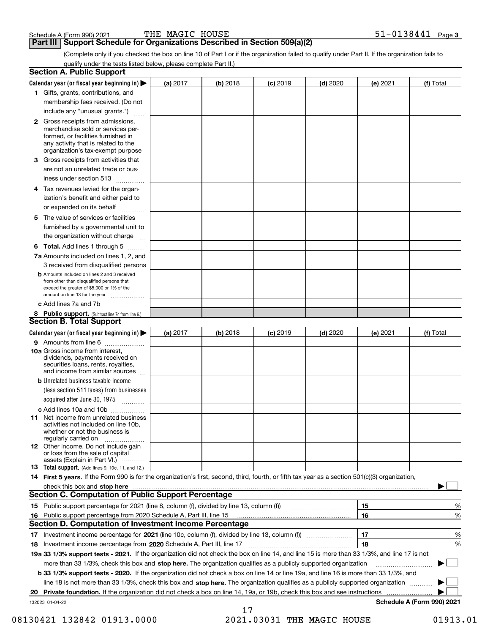Schedule A (Form 990) 2021 THE MAGIC HOUSE 5 $1\text{--}0138441$  Page

**Part III Support Schedule for Organizations Described in Section 509(a)(2)** 

(Complete only if you checked the box on line 10 of Part I or if the organization failed to qualify under Part II. If the organization fails to qualify under the tests listed below, please complete Part II.)

| <b>Section A. Public Support</b>                                                                                                                                                         |            |          |            |            |          |                            |
|------------------------------------------------------------------------------------------------------------------------------------------------------------------------------------------|------------|----------|------------|------------|----------|----------------------------|
| Calendar year (or fiscal year beginning in) $\blacktriangleright$                                                                                                                        | (a) 2017   | (b) 2018 | $(c)$ 2019 | $(d)$ 2020 | (e) 2021 | (f) Total                  |
| 1 Gifts, grants, contributions, and                                                                                                                                                      |            |          |            |            |          |                            |
| membership fees received. (Do not                                                                                                                                                        |            |          |            |            |          |                            |
| include any "unusual grants.")                                                                                                                                                           |            |          |            |            |          |                            |
| 2 Gross receipts from admissions,<br>merchandise sold or services per-<br>formed, or facilities furnished in<br>any activity that is related to the<br>organization's tax-exempt purpose |            |          |            |            |          |                            |
| 3 Gross receipts from activities that<br>are not an unrelated trade or bus-                                                                                                              |            |          |            |            |          |                            |
| iness under section 513                                                                                                                                                                  |            |          |            |            |          |                            |
| 4 Tax revenues levied for the organ-<br>ization's benefit and either paid to<br>or expended on its behalf<br>.                                                                           |            |          |            |            |          |                            |
| 5 The value of services or facilities<br>furnished by a governmental unit to<br>the organization without charge                                                                          |            |          |            |            |          |                            |
| <b>6 Total.</b> Add lines 1 through 5                                                                                                                                                    |            |          |            |            |          |                            |
| 7a Amounts included on lines 1, 2, and<br>3 received from disqualified persons                                                                                                           |            |          |            |            |          |                            |
| <b>b</b> Amounts included on lines 2 and 3 received<br>from other than disqualified persons that<br>exceed the greater of \$5,000 or 1% of the<br>amount on line 13 for the year         |            |          |            |            |          |                            |
| c Add lines 7a and 7b                                                                                                                                                                    |            |          |            |            |          |                            |
| 8 Public support. (Subtract line 7c from line 6.)<br><b>Section B. Total Support</b>                                                                                                     |            |          |            |            |          |                            |
| Calendar year (or fiscal year beginning in) $\blacktriangleright$                                                                                                                        | (a) $2017$ | (b) 2018 | $(c)$ 2019 | $(d)$ 2020 | (e) 2021 | (f) Total                  |
| 9 Amounts from line 6                                                                                                                                                                    |            |          |            |            |          |                            |
| 10a Gross income from interest,<br>dividends, payments received on<br>securities loans, rents, royalties,<br>and income from similar sources                                             |            |          |            |            |          |                            |
| <b>b</b> Unrelated business taxable income<br>(less section 511 taxes) from businesses<br>acquired after June 30, 1975<br>1.1.1.1.1.1.1.1.1.1                                            |            |          |            |            |          |                            |
| c Add lines 10a and 10b                                                                                                                                                                  |            |          |            |            |          |                            |
| <b>11</b> Net income from unrelated business<br>activities not included on line 10b.<br>whether or not the business is<br>regularly carried on                                           |            |          |            |            |          |                            |
| <b>12</b> Other income. Do not include gain<br>or loss from the sale of capital<br>assets (Explain in Part VI.)                                                                          |            |          |            |            |          |                            |
| <b>13</b> Total support. (Add lines 9, 10c, 11, and 12.)                                                                                                                                 |            |          |            |            |          |                            |
| 14 First 5 years. If the Form 990 is for the organization's first, second, third, fourth, or fifth tax year as a section 501(c)(3) organization,                                         |            |          |            |            |          |                            |
| check this box and stop here <b>contractly contractly and structure and stop here</b> check this box and stop here <b>contractly and stop here contractly</b>                            |            |          |            |            |          |                            |
| <b>Section C. Computation of Public Support Percentage</b>                                                                                                                               |            |          |            |            |          |                            |
|                                                                                                                                                                                          |            |          |            |            | 15       | %                          |
| 16 Public support percentage from 2020 Schedule A, Part III, line 15                                                                                                                     |            |          |            |            | 16       | %                          |
| <b>Section D. Computation of Investment Income Percentage</b>                                                                                                                            |            |          |            |            |          |                            |
| 17 Investment income percentage for 2021 (line 10c, column (f), divided by line 13, column (f))                                                                                          |            |          |            |            | 17       | %                          |
| 18 Investment income percentage from 2020 Schedule A, Part III, line 17                                                                                                                  |            |          |            |            | 18       | %                          |
| 19a 33 1/3% support tests - 2021. If the organization did not check the box on line 14, and line 15 is more than 33 1/3%, and line 17 is not                                             |            |          |            |            |          |                            |
| more than 33 1/3%, check this box and stop here. The organization qualifies as a publicly supported organization                                                                         |            |          |            |            |          |                            |
| b 33 1/3% support tests - 2020. If the organization did not check a box on line 14 or line 19a, and line 16 is more than 33 1/3%, and                                                    |            |          |            |            |          |                            |
| line 18 is not more than 33 1/3%, check this box and stop here. The organization qualifies as a publicly supported organization                                                          |            |          |            |            |          |                            |
| 20 Private foundation. If the organization did not check a box on line 14, 19a, or 19b, check this box and see instructions                                                              |            |          |            |            |          |                            |
| 132023 01-04-22                                                                                                                                                                          |            | 17       |            |            |          | Schedule A (Form 990) 2021 |

<sup>08130421 132842 01913.0000 2021.03031</sup> THE MAGIC HOUSE 01913.01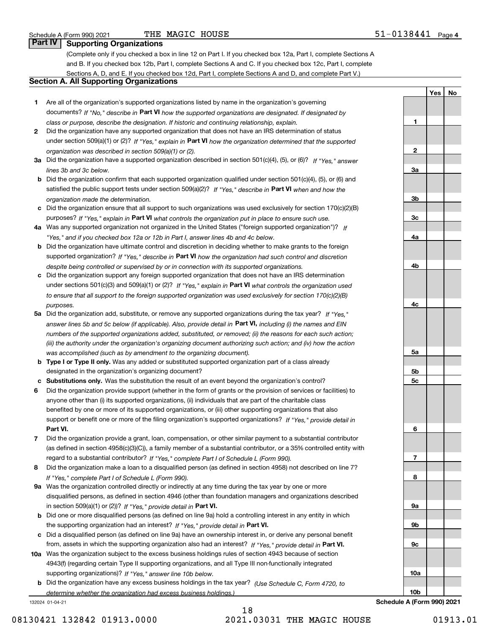**1**

**2**

**3a**

**3b**

**3c**

**4a**

**4b**

**4c**

**5a**

**5b5c**

**6**

**7**

**8**

**9a**

**9b**

**9c**

**10a**

**YesNo**

# **Part IV Supporting Organizations**

(Complete only if you checked a box in line 12 on Part I. If you checked box 12a, Part I, complete Sections A and B. If you checked box 12b, Part I, complete Sections A and C. If you checked box 12c, Part I, complete Sections A, D, and E. If you checked box 12d, Part I, complete Sections A and D, and complete Part V.)

# **Section A. All Supporting Organizations**

- **1** Are all of the organization's supported organizations listed by name in the organization's governing documents? If "No," describe in **Part VI** how the supported organizations are designated. If designated by *class or purpose, describe the designation. If historic and continuing relationship, explain.*
- **2** Did the organization have any supported organization that does not have an IRS determination of status under section 509(a)(1) or (2)? If "Yes," explain in Part VI how the organization determined that the supported *organization was described in section 509(a)(1) or (2).*
- **3a** Did the organization have a supported organization described in section 501(c)(4), (5), or (6)? If "Yes," answer *lines 3b and 3c below.*
- **b** Did the organization confirm that each supported organization qualified under section 501(c)(4), (5), or (6) and satisfied the public support tests under section 509(a)(2)? If "Yes," describe in **Part VI** when and how the *organization made the determination.*
- **c**Did the organization ensure that all support to such organizations was used exclusively for section 170(c)(2)(B) purposes? If "Yes," explain in **Part VI** what controls the organization put in place to ensure such use.
- **4a***If* Was any supported organization not organized in the United States ("foreign supported organization")? *"Yes," and if you checked box 12a or 12b in Part I, answer lines 4b and 4c below.*
- **b** Did the organization have ultimate control and discretion in deciding whether to make grants to the foreign supported organization? If "Yes," describe in **Part VI** how the organization had such control and discretion *despite being controlled or supervised by or in connection with its supported organizations.*
- **c** Did the organization support any foreign supported organization that does not have an IRS determination under sections 501(c)(3) and 509(a)(1) or (2)? If "Yes," explain in **Part VI** what controls the organization used *to ensure that all support to the foreign supported organization was used exclusively for section 170(c)(2)(B) purposes.*
- **5a** Did the organization add, substitute, or remove any supported organizations during the tax year? If "Yes," answer lines 5b and 5c below (if applicable). Also, provide detail in **Part VI,** including (i) the names and EIN *numbers of the supported organizations added, substituted, or removed; (ii) the reasons for each such action; (iii) the authority under the organization's organizing document authorizing such action; and (iv) how the action was accomplished (such as by amendment to the organizing document).*
- **b** Type I or Type II only. Was any added or substituted supported organization part of a class already designated in the organization's organizing document?
- **cSubstitutions only.**  Was the substitution the result of an event beyond the organization's control?
- **6** Did the organization provide support (whether in the form of grants or the provision of services or facilities) to **Part VI.** *If "Yes," provide detail in* support or benefit one or more of the filing organization's supported organizations? anyone other than (i) its supported organizations, (ii) individuals that are part of the charitable class benefited by one or more of its supported organizations, or (iii) other supporting organizations that also
- **7**Did the organization provide a grant, loan, compensation, or other similar payment to a substantial contributor *If "Yes," complete Part I of Schedule L (Form 990).* regard to a substantial contributor? (as defined in section 4958(c)(3)(C)), a family member of a substantial contributor, or a 35% controlled entity with
- **8** Did the organization make a loan to a disqualified person (as defined in section 4958) not described on line 7? *If "Yes," complete Part I of Schedule L (Form 990).*
- **9a** Was the organization controlled directly or indirectly at any time during the tax year by one or more in section 509(a)(1) or (2))? If "Yes," *provide detail in* <code>Part VI.</code> disqualified persons, as defined in section 4946 (other than foundation managers and organizations described
- **b** Did one or more disqualified persons (as defined on line 9a) hold a controlling interest in any entity in which the supporting organization had an interest? If "Yes," provide detail in P**art VI**.
- **c**Did a disqualified person (as defined on line 9a) have an ownership interest in, or derive any personal benefit from, assets in which the supporting organization also had an interest? If "Yes," provide detail in P**art VI.**
- **10a** Was the organization subject to the excess business holdings rules of section 4943 because of section supporting organizations)? If "Yes," answer line 10b below. 4943(f) (regarding certain Type II supporting organizations, and all Type III non-functionally integrated
- **b** Did the organization have any excess business holdings in the tax year? (Use Schedule C, Form 4720, to *determine whether the organization had excess business holdings.)*

132024 01-04-21

# 18 08130421 132842 01913.0000 2021.03031 THE MAGIC HOUSE 01913.01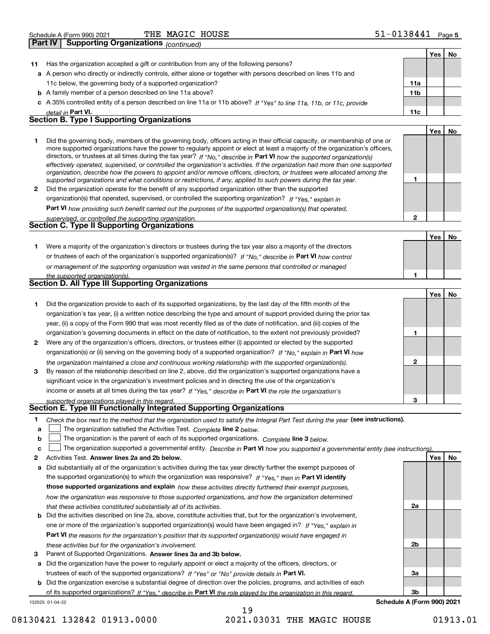| Schedule A (Form 990) 2021 | THE MAGIC HOUSE | 1-0138441<br>Page 5 |
|----------------------------|-----------------|---------------------|
|                            |                 |                     |

|              | Supporting Organizations (continued)<br>Part IV                                                                                                                                                                                                                                                                                                                                                                                                                                                                                                                                                                                                      |                 |     |           |
|--------------|------------------------------------------------------------------------------------------------------------------------------------------------------------------------------------------------------------------------------------------------------------------------------------------------------------------------------------------------------------------------------------------------------------------------------------------------------------------------------------------------------------------------------------------------------------------------------------------------------------------------------------------------------|-----------------|-----|-----------|
|              |                                                                                                                                                                                                                                                                                                                                                                                                                                                                                                                                                                                                                                                      |                 | Yes | <b>No</b> |
| 11           | Has the organization accepted a gift or contribution from any of the following persons?                                                                                                                                                                                                                                                                                                                                                                                                                                                                                                                                                              |                 |     |           |
|              | a A person who directly or indirectly controls, either alone or together with persons described on lines 11b and                                                                                                                                                                                                                                                                                                                                                                                                                                                                                                                                     |                 |     |           |
|              | 11c below, the governing body of a supported organization?                                                                                                                                                                                                                                                                                                                                                                                                                                                                                                                                                                                           | 11a             |     |           |
|              | <b>b</b> A family member of a person described on line 11a above?                                                                                                                                                                                                                                                                                                                                                                                                                                                                                                                                                                                    | 11 <sub>b</sub> |     |           |
|              | c A 35% controlled entity of a person described on line 11a or 11b above? If "Yes" to line 11a, 11b, or 11c, provide                                                                                                                                                                                                                                                                                                                                                                                                                                                                                                                                 |                 |     |           |
|              | detail in Part VI.                                                                                                                                                                                                                                                                                                                                                                                                                                                                                                                                                                                                                                   | 11c             |     |           |
|              | <b>Section B. Type I Supporting Organizations</b>                                                                                                                                                                                                                                                                                                                                                                                                                                                                                                                                                                                                    |                 |     |           |
|              |                                                                                                                                                                                                                                                                                                                                                                                                                                                                                                                                                                                                                                                      |                 | Yes | <b>No</b> |
| 1            | Did the governing body, members of the governing body, officers acting in their official capacity, or membership of one or<br>more supported organizations have the power to regularly appoint or elect at least a majority of the organization's officers,<br>directors, or trustees at all times during the tax year? If "No," describe in Part VI how the supported organization(s)<br>effectively operated, supervised, or controlled the organization's activities. If the organization had more than one supported<br>organization, describe how the powers to appoint and/or remove officers, directors, or trustees were allocated among the |                 |     |           |
| $\mathbf{2}$ | supported organizations and what conditions or restrictions, if any, applied to such powers during the tax year.<br>Did the organization operate for the benefit of any supported organization other than the supported                                                                                                                                                                                                                                                                                                                                                                                                                              | 1               |     |           |
|              | organization(s) that operated, supervised, or controlled the supporting organization? If "Yes," explain in                                                                                                                                                                                                                                                                                                                                                                                                                                                                                                                                           |                 |     |           |
|              | Part VI how providing such benefit carried out the purposes of the supported organization(s) that operated,                                                                                                                                                                                                                                                                                                                                                                                                                                                                                                                                          |                 |     |           |
|              | supervised, or controlled the supporting organization.                                                                                                                                                                                                                                                                                                                                                                                                                                                                                                                                                                                               | $\mathbf{2}$    |     |           |
|              | Section C. Type II Supporting Organizations                                                                                                                                                                                                                                                                                                                                                                                                                                                                                                                                                                                                          |                 |     |           |
|              |                                                                                                                                                                                                                                                                                                                                                                                                                                                                                                                                                                                                                                                      |                 | Yes | <b>No</b> |
| 1            | Were a majority of the organization's directors or trustees during the tax year also a majority of the directors                                                                                                                                                                                                                                                                                                                                                                                                                                                                                                                                     |                 |     |           |
|              | or trustees of each of the organization's supported organization(s)? If "No." describe in Part VI how control                                                                                                                                                                                                                                                                                                                                                                                                                                                                                                                                        |                 |     |           |
|              | or management of the supporting organization was vested in the same persons that controlled or managed                                                                                                                                                                                                                                                                                                                                                                                                                                                                                                                                               |                 |     |           |
|              | the supported organization(s).                                                                                                                                                                                                                                                                                                                                                                                                                                                                                                                                                                                                                       | 1               |     |           |
|              | <b>Section D. All Type III Supporting Organizations</b>                                                                                                                                                                                                                                                                                                                                                                                                                                                                                                                                                                                              |                 |     |           |
|              |                                                                                                                                                                                                                                                                                                                                                                                                                                                                                                                                                                                                                                                      |                 | Yes | No        |
| 1            | Did the organization provide to each of its supported organizations, by the last day of the fifth month of the<br>organization's tax year, (i) a written notice describing the type and amount of support provided during the prior tax                                                                                                                                                                                                                                                                                                                                                                                                              |                 |     |           |

| organization's tax year, (i) a written notice describing the type and amount of support provided during the prior tax  |  |
|------------------------------------------------------------------------------------------------------------------------|--|
| year, (ii) a copy of the Form 990 that was most recently filed as of the date of notification, and (iii) copies of the |  |
| organization's governing documents in effect on the date of notification, to the extent not previously provided?       |  |
| Were any of the organization's officers, directors, or trustees either (i) appointed or elected by the supported       |  |
| organization(s) or (ii) serving on the governing body of a supported organization? If "No." explain in Part VI how     |  |
| the organization maintained a close and continuous working relationship with the supported organization(s).            |  |
| By reason of the relationship described on line 2, above, did the organization's supported organizations have a        |  |
|                                                                                                                        |  |

| significant voice in the organization's investment policies and in directing the use of the organization's   |
|--------------------------------------------------------------------------------------------------------------|
| income or assets at all times during the tax year? If "Yes," describe in Part VI the role the organization's |
| supported organizations played in this regard                                                                |

# *supported organizations played in this regard.* **Section E. Type III Functionally Integrated Supporting Organizations**

| Check the box next to the method that the organization used to satisfy the Integral Part Test during the year (see instructions). |  |
|-----------------------------------------------------------------------------------------------------------------------------------|--|
|                                                                                                                                   |  |

- **a**The organization satisfied the Activities Test. *Complete* line 2 below.  $\mathcal{L}^{\text{max}}$
- **b**The organization is the parent of each of its supported organizations. *Complete* line 3 *below.*  $\mathcal{L}^{\text{max}}$

|  |  | The organization supported a governmental entity. Describe in Part VI how you supported a governmental entity (see instructions). |  |
|--|--|-----------------------------------------------------------------------------------------------------------------------------------|--|
|--|--|-----------------------------------------------------------------------------------------------------------------------------------|--|

- **2Answer lines 2a and 2b below. Yes No** Activities Test.
- **a** Did substantially all of the organization's activities during the tax year directly further the exempt purposes of the supported organization(s) to which the organization was responsive? If "Yes," then in **Part VI identify those supported organizations and explain**  *how these activities directly furthered their exempt purposes, how the organization was responsive to those supported organizations, and how the organization determined that these activities constituted substantially all of its activities.*
- **b** Did the activities described on line 2a, above, constitute activities that, but for the organization's involvement, **Part VI**  *the reasons for the organization's position that its supported organization(s) would have engaged in* one or more of the organization's supported organization(s) would have been engaged in? If "Yes," e*xplain in these activities but for the organization's involvement.*
- **3**Parent of Supported Organizations. Answer lines 3a and 3b below.

**a** Did the organization have the power to regularly appoint or elect a majority of the officers, directors, or trustees of each of the supported organizations? If "Yes" or "No" provide details in **Part VI.** 

**b** Did the organization exercise a substantial degree of direction over the policies, programs, and activities of each of its supported organizations? If "Yes," describe in Part VI the role played by the organization in this regard.

**3bSchedule A (Form 990) 2021**

**3**

**2a**

**2b**

**3a**

132025 01-04-22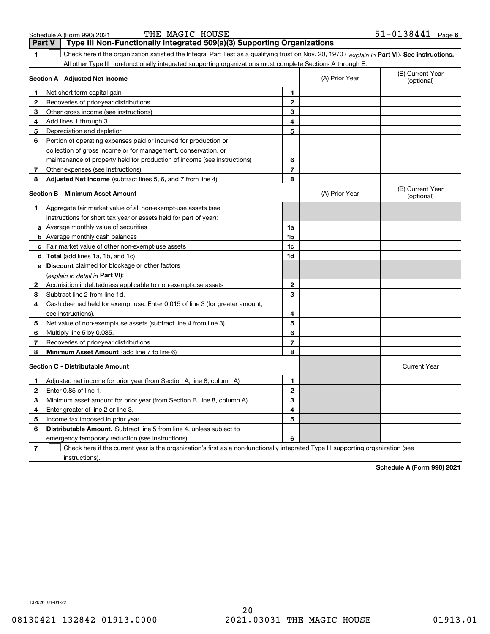|              | Type III Non-Functionally Integrated 509(a)(3) Supporting Organizations<br>Part V                                                              |                |                |                                |
|--------------|------------------------------------------------------------------------------------------------------------------------------------------------|----------------|----------------|--------------------------------|
| 1            | Check here if the organization satisfied the Integral Part Test as a qualifying trust on Nov. 20, 1970 (explain in Part VI). See instructions. |                |                |                                |
|              | All other Type III non-functionally integrated supporting organizations must complete Sections A through E.                                    |                |                |                                |
|              | Section A - Adjusted Net Income                                                                                                                |                | (A) Prior Year | (B) Current Year<br>(optional) |
| 1            | Net short-term capital gain                                                                                                                    | 1              |                |                                |
| 2            | Recoveries of prior-year distributions                                                                                                         | $\mathbf{2}$   |                |                                |
| 3            | Other gross income (see instructions)                                                                                                          | 3              |                |                                |
| 4            | Add lines 1 through 3.                                                                                                                         | 4              |                |                                |
| 5            | Depreciation and depletion                                                                                                                     | 5              |                |                                |
| 6            | Portion of operating expenses paid or incurred for production or                                                                               |                |                |                                |
|              | collection of gross income or for management, conservation, or                                                                                 |                |                |                                |
|              | maintenance of property held for production of income (see instructions)                                                                       | 6              |                |                                |
| 7            | Other expenses (see instructions)                                                                                                              | $\overline{7}$ |                |                                |
| 8            | Adjusted Net Income (subtract lines 5, 6, and 7 from line 4)                                                                                   | 8              |                |                                |
|              | <b>Section B - Minimum Asset Amount</b>                                                                                                        |                | (A) Prior Year | (B) Current Year<br>(optional) |
| 1            | Aggregate fair market value of all non-exempt-use assets (see                                                                                  |                |                |                                |
|              | instructions for short tax year or assets held for part of year):                                                                              |                |                |                                |
|              | <b>a</b> Average monthly value of securities                                                                                                   | 1a             |                |                                |
|              | <b>b</b> Average monthly cash balances                                                                                                         | 1 <sub>b</sub> |                |                                |
|              | c Fair market value of other non-exempt-use assets                                                                                             | 1c             |                |                                |
|              | <b>d</b> Total (add lines 1a, 1b, and 1c)                                                                                                      | 1d             |                |                                |
|              | e Discount claimed for blockage or other factors                                                                                               |                |                |                                |
|              | (explain in detail in Part VI):                                                                                                                |                |                |                                |
| $\mathbf{2}$ | Acquisition indebtedness applicable to non-exempt-use assets                                                                                   | $\mathbf{2}$   |                |                                |
| 3            | Subtract line 2 from line 1d.                                                                                                                  | 3              |                |                                |
| 4            | Cash deemed held for exempt use. Enter 0.015 of line 3 (for greater amount,                                                                    |                |                |                                |
|              | see instructions)                                                                                                                              | 4              |                |                                |
| 5            | Net value of non-exempt-use assets (subtract line 4 from line 3)                                                                               | 5              |                |                                |
| 6            | Multiply line 5 by 0.035.                                                                                                                      | 6              |                |                                |
| 7            | Recoveries of prior-year distributions                                                                                                         | $\overline{7}$ |                |                                |
| 8            | Minimum Asset Amount (add line 7 to line 6)                                                                                                    | 8              |                |                                |
|              | <b>Section C - Distributable Amount</b>                                                                                                        |                |                | <b>Current Year</b>            |
| 1            | Adjusted net income for prior year (from Section A, line 8, column A)                                                                          | 1              |                |                                |
| 2            | Enter 0.85 of line 1.                                                                                                                          | $\mathbf{2}$   |                |                                |
| 3            | Minimum asset amount for prior year (from Section B, line 8, column A)                                                                         | 3              |                |                                |
| 4            | Enter greater of line 2 or line 3.                                                                                                             | 4              |                |                                |
| 5            | Income tax imposed in prior year                                                                                                               | 5              |                |                                |
| 6            | <b>Distributable Amount.</b> Subtract line 5 from line 4, unless subject to                                                                    |                |                |                                |
|              | emergency temporary reduction (see instructions).                                                                                              | 6              |                |                                |

Schedule A (Form 990) 2021 'I'HE' MAGIC HOUSE 5I-UI3844I Page

THE MAGIC HOUSE  $51-0138441$ 

**7**Check here if the current year is the organization's first as a non-functionally integrated Type III supporting organization (see instructions).  $\mathcal{L}^{\text{max}}$ 

**Schedule A (Form 990) 2021**

132026 01-04-22

**6**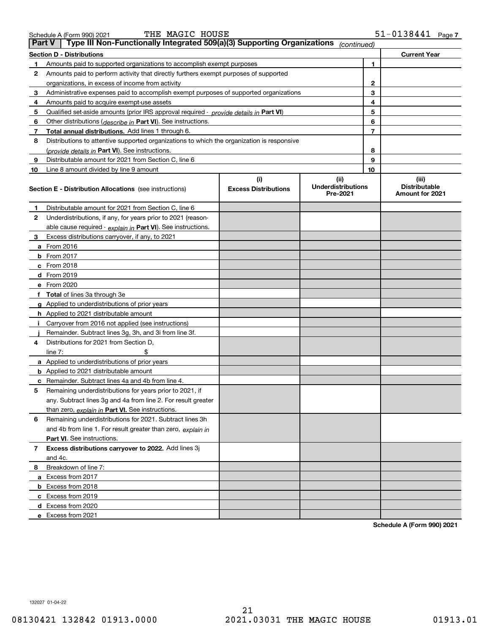**Part V Type III Non-Functionally Integrated 509(a)(3) Supporting Organizations** *(continued)* 

**2**

**d**From 2019 **e**From 2020

**f Total**  of lines 3a through 3e

**g**Applied to underdistributions of prior years

**1** Amounts paid to supported organizations to accomplish exempt purposes

| 2  | Amounts paid to perform activity that directly furthers exempt purposes of supported       |                                    |                                               |    |                                                  |
|----|--------------------------------------------------------------------------------------------|------------------------------------|-----------------------------------------------|----|--------------------------------------------------|
|    | organizations, in excess of income from activity                                           |                                    | 2                                             |    |                                                  |
| 3  | Administrative expenses paid to accomplish exempt purposes of supported organizations      |                                    |                                               | З  |                                                  |
|    | Amounts paid to acquire exempt-use assets                                                  |                                    |                                               | 4  |                                                  |
| 5  | Qualified set-aside amounts (prior IRS approval required - provide details in Part VI)     |                                    |                                               | 5  |                                                  |
| 6  | Other distributions ( $describe$ in Part VI). See instructions.                            |                                    |                                               | 6  |                                                  |
| 7  | Total annual distributions. Add lines 1 through 6.                                         |                                    |                                               |    |                                                  |
| 8  | Distributions to attentive supported organizations to which the organization is responsive |                                    |                                               |    |                                                  |
|    | ( <i>provide details in</i> Part VI). See instructions.                                    | 8                                  |                                               |    |                                                  |
| 9  | Distributable amount for 2021 from Section C, line 6                                       | 9                                  |                                               |    |                                                  |
| 10 | Line 8 amount divided by line 9 amount                                                     |                                    |                                               | 10 |                                                  |
|    | <b>Section E - Distribution Allocations</b> (see instructions)                             | (i)<br><b>Excess Distributions</b> | (ii)<br><b>Underdistributions</b><br>Pre-2021 |    | (iii)<br><b>Distributable</b><br>Amount for 2021 |
|    | Distributable amount for 2021 from Section C, line 6                                       |                                    |                                               |    |                                                  |
| 2  | Underdistributions, if any, for years prior to 2021 (reason-                               |                                    |                                               |    |                                                  |
|    | able cause required - explain in Part VI). See instructions.                               |                                    |                                               |    |                                                  |
| 3  | Excess distributions carryover, if any, to 2021                                            |                                    |                                               |    |                                                  |
|    | <b>a</b> From 2016                                                                         |                                    |                                               |    |                                                  |
|    | $b$ From 2017                                                                              |                                    |                                               |    |                                                  |
|    |                                                                                            |                                    |                                               |    |                                                  |

**Section D - Distributions Current Year**

21

**Schedule A (Form 990) 2021**

**1**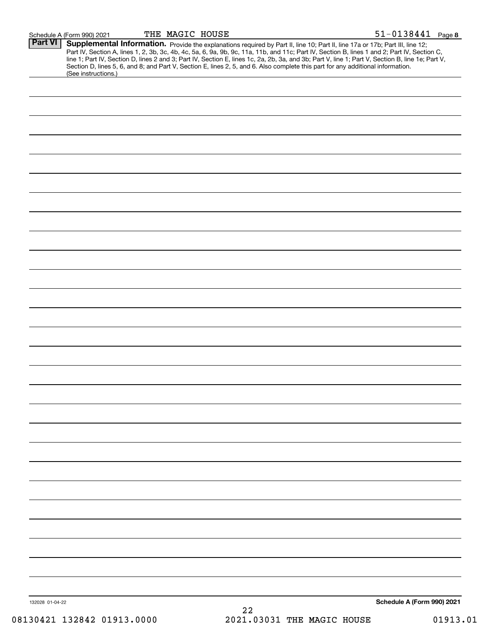| Part IV, Section A, lines 1, 2, 3b, 3c, 4b, 4c, 5a, 6, 9a, 9b, 9c, 11a, 11b, and 11c; Part IV, Section B, lines 1 and 2; Part IV, Section C,<br>line 1; Part IV, Section D, lines 2 and 3; Part IV, Section E, lines 1c, 2a, 2b,<br>Section D, lines 5, 6, and 8; and Part V, Section E, lines 2, 5, and 6. Also complete this part for any additional information. |  |                            |  |
|---------------------------------------------------------------------------------------------------------------------------------------------------------------------------------------------------------------------------------------------------------------------------------------------------------------------------------------------------------------------|--|----------------------------|--|
| (See instructions.)                                                                                                                                                                                                                                                                                                                                                 |  |                            |  |
|                                                                                                                                                                                                                                                                                                                                                                     |  |                            |  |
|                                                                                                                                                                                                                                                                                                                                                                     |  |                            |  |
|                                                                                                                                                                                                                                                                                                                                                                     |  |                            |  |
|                                                                                                                                                                                                                                                                                                                                                                     |  |                            |  |
|                                                                                                                                                                                                                                                                                                                                                                     |  |                            |  |
|                                                                                                                                                                                                                                                                                                                                                                     |  |                            |  |
|                                                                                                                                                                                                                                                                                                                                                                     |  |                            |  |
|                                                                                                                                                                                                                                                                                                                                                                     |  |                            |  |
|                                                                                                                                                                                                                                                                                                                                                                     |  |                            |  |
|                                                                                                                                                                                                                                                                                                                                                                     |  |                            |  |
|                                                                                                                                                                                                                                                                                                                                                                     |  |                            |  |
|                                                                                                                                                                                                                                                                                                                                                                     |  |                            |  |
|                                                                                                                                                                                                                                                                                                                                                                     |  |                            |  |
|                                                                                                                                                                                                                                                                                                                                                                     |  |                            |  |
|                                                                                                                                                                                                                                                                                                                                                                     |  |                            |  |
|                                                                                                                                                                                                                                                                                                                                                                     |  |                            |  |
|                                                                                                                                                                                                                                                                                                                                                                     |  |                            |  |
|                                                                                                                                                                                                                                                                                                                                                                     |  |                            |  |
|                                                                                                                                                                                                                                                                                                                                                                     |  |                            |  |
|                                                                                                                                                                                                                                                                                                                                                                     |  |                            |  |
|                                                                                                                                                                                                                                                                                                                                                                     |  |                            |  |
|                                                                                                                                                                                                                                                                                                                                                                     |  |                            |  |
|                                                                                                                                                                                                                                                                                                                                                                     |  |                            |  |
|                                                                                                                                                                                                                                                                                                                                                                     |  |                            |  |
|                                                                                                                                                                                                                                                                                                                                                                     |  |                            |  |
|                                                                                                                                                                                                                                                                                                                                                                     |  |                            |  |
|                                                                                                                                                                                                                                                                                                                                                                     |  |                            |  |
|                                                                                                                                                                                                                                                                                                                                                                     |  |                            |  |
|                                                                                                                                                                                                                                                                                                                                                                     |  |                            |  |
|                                                                                                                                                                                                                                                                                                                                                                     |  |                            |  |
|                                                                                                                                                                                                                                                                                                                                                                     |  |                            |  |
|                                                                                                                                                                                                                                                                                                                                                                     |  |                            |  |
|                                                                                                                                                                                                                                                                                                                                                                     |  |                            |  |
|                                                                                                                                                                                                                                                                                                                                                                     |  |                            |  |
| 132028 01-04-22                                                                                                                                                                                                                                                                                                                                                     |  | Schedule A (Form 990) 2021 |  |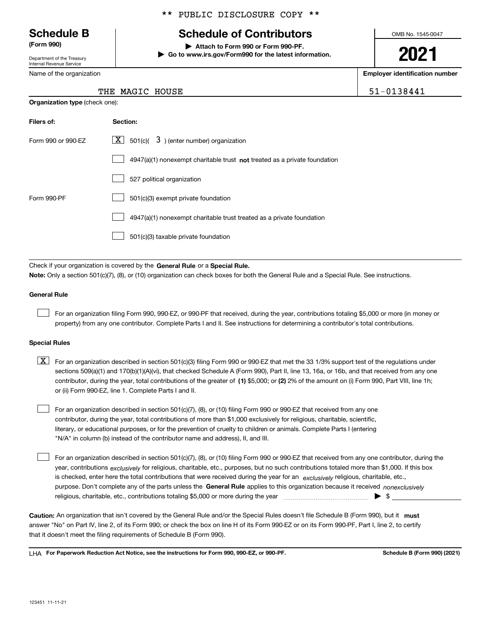Department of the Treasury Internal Revenue Service

Name of the organization

# \*\* PUBLIC DISCLOSURE COPY \*\*

# **Schedule B Schedule of Contributors**

**(Form 990) | Attach to Form 990 or Form 990-PF. | Go to www.irs.gov/Form990 for the latest information.** OMB No. 1545-0047

# **2021**

**Employer identification number**

OUSE 2008 | 51-0138441

|  | THE MAGIC HO |  |
|--|--------------|--|

| <b>Organization type (check one):</b> |                                                                           |  |  |  |  |
|---------------------------------------|---------------------------------------------------------------------------|--|--|--|--|
| Filers of:                            | Section:                                                                  |  |  |  |  |
| Form 990 or 990-EZ                    | $ \mathbf{X} $ 501(c)( 3) (enter number) organization                     |  |  |  |  |
|                                       | 4947(a)(1) nonexempt charitable trust not treated as a private foundation |  |  |  |  |
|                                       | 527 political organization                                                |  |  |  |  |
| Form 990-PF                           | 501(c)(3) exempt private foundation                                       |  |  |  |  |
|                                       | 4947(a)(1) nonexempt charitable trust treated as a private foundation     |  |  |  |  |
|                                       | 501(c)(3) taxable private foundation                                      |  |  |  |  |

Check if your organization is covered by the **General Rule** or a **Special Rule. Note:**  Only a section 501(c)(7), (8), or (10) organization can check boxes for both the General Rule and a Special Rule. See instructions.

# **General Rule**

 $\mathcal{L}^{\text{max}}$ 

For an organization filing Form 990, 990-EZ, or 990-PF that received, during the year, contributions totaling \$5,000 or more (in money or property) from any one contributor. Complete Parts I and II. See instructions for determining a contributor's total contributions.

# **Special Rules**

contributor, during the year, total contributions of the greater of (1**)** \$5,000; or (2) 2% of the amount on (i) Form 990, Part VIII, line 1h;  $\boxed{\textbf{X}}$  For an organization described in section 501(c)(3) filing Form 990 or 990-EZ that met the 33 1/3% support test of the regulations under sections 509(a)(1) and 170(b)(1)(A)(vi), that checked Schedule A (Form 990), Part II, line 13, 16a, or 16b, and that received from any one or (ii) Form 990-EZ, line 1. Complete Parts I and II.

For an organization described in section 501(c)(7), (8), or (10) filing Form 990 or 990-EZ that received from any one contributor, during the year, total contributions of more than \$1,000 exclusively for religious, charitable, scientific, literary, or educational purposes, or for the prevention of cruelty to children or animals. Complete Parts I (entering "N/A" in column (b) instead of the contributor name and address), II, and III.  $\mathcal{L}^{\text{max}}$ 

purpose. Don't complete any of the parts unless the **General Rule** applies to this organization because it received *nonexclusively* year, contributions <sub>exclusively</sub> for religious, charitable, etc., purposes, but no such contributions totaled more than \$1,000. If this box is checked, enter here the total contributions that were received during the year for an  $\;$ exclusively religious, charitable, etc., For an organization described in section 501(c)(7), (8), or (10) filing Form 990 or 990-EZ that received from any one contributor, during the religious, charitable, etc., contributions totaling \$5,000 or more during the year  $\Box$ — $\Box$   $\Box$  $\mathcal{L}^{\text{max}}$ 

Caution: An organization that isn't covered by the General Rule and/or the Special Rules doesn't file Schedule B (Form 990), but it **must** answer "No" on Part IV, line 2, of its Form 990; or check the box on line H of its Form 990-EZ or on its Form 990-PF, Part I, line 2, to certify that it doesn't meet the filing requirements of Schedule B (Form 990).

LHA For Paperwork Reduction Act Notice, see the instructions for Form 990, 990-EZ, or 990-PF. **In the act and Schedule B** (Form 990) (2021)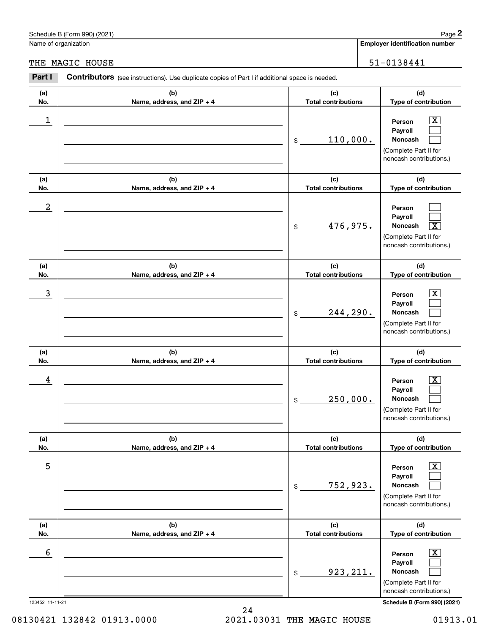| No.              | Name, address, and ZIP + 4        | <b>Total contributions</b>        | Type of contribution                                                                                        |  |  |
|------------------|-----------------------------------|-----------------------------------|-------------------------------------------------------------------------------------------------------------|--|--|
| $\mathbf 1$      |                                   | \$<br>110,000.                    | $\overline{\mathbf{X}}$<br>Person<br>Payroll<br>Noncash<br>(Complete Part II for<br>noncash contributions.) |  |  |
| (a)<br>No.       | (b)<br>Name, address, and ZIP + 4 | (c)<br><b>Total contributions</b> | (d)<br>Type of contribution                                                                                 |  |  |
| $\boldsymbol{2}$ |                                   | \$<br>476,975.                    | Person<br>Payroll<br>Noncash<br>$\mathbf{X}$<br>(Complete Part II for<br>noncash contributions.)            |  |  |
| (a)<br>No.       | (b)<br>Name, address, and ZIP + 4 | (c)<br><b>Total contributions</b> | (d)<br>Type of contribution                                                                                 |  |  |
| $\mathbf{3}$     |                                   | \$<br>244,290.                    | ΙX<br>Person<br>Payroll<br>Noncash<br>(Complete Part II for<br>noncash contributions.)                      |  |  |
| (a)<br>No.       | (b)<br>Name, address, and ZIP + 4 | (c)<br><b>Total contributions</b> | (d)<br>Type of contribution                                                                                 |  |  |
| 4                |                                   | \$<br>250,000.                    | X<br>Person<br>Payroll<br>Noncash<br>(Complete Part II for<br>noncash contributions.)                       |  |  |
| (a)<br>No.       | (b)<br>Name, address, and ZIP + 4 | (c)<br><b>Total contributions</b> | (d)<br>Type of contribution                                                                                 |  |  |
| 5                |                                   | \$<br>752,923.                    | $\overline{\mathbf{x}}$<br>Person<br>Payroll<br>Noncash<br>(Complete Part II for<br>noncash contributions.) |  |  |
| (a)<br>No.       | (b)<br>Name, address, and ZIP + 4 | (c)<br><b>Total contributions</b> | (d)<br>Type of contribution                                                                                 |  |  |
| 6                |                                   | \$<br>923, 211.                   | $\boxed{\text{X}}$<br>Person<br>Payroll<br>Noncash                                                          |  |  |

**Employer identification number 2Page 2**<br>
Iame of organization<br> **2Part I Contributors** (see instructions). Use duplicate copies of Part I if additional space is needed.<br>
2Part I **Contributors** (see instructions). Use duplicate copies of Part I if addi

**(d)**

**(c)**

123452 11-11-21 **Schedule B (Form 990) (2021)** noncash contributions.)

(Complete Part II for

THE MAGIC HOUSE 31-0138441

**(b)**

Contributors (see instructions). Use duplicate copies of Part I if additional space is needed.

**(a)**

24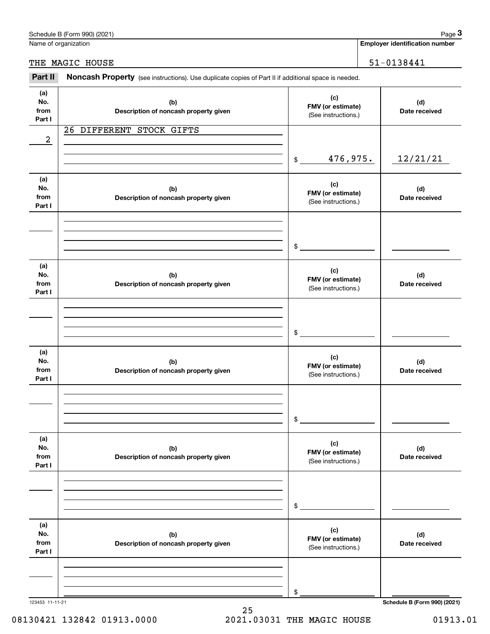|                              | Schedule B (Form 990) (2021)                                                                        |                                                 | Page 3                                |
|------------------------------|-----------------------------------------------------------------------------------------------------|-------------------------------------------------|---------------------------------------|
|                              | Name of organization                                                                                |                                                 | <b>Employer identification number</b> |
|                              | THE MAGIC HOUSE                                                                                     |                                                 | 51-0138441                            |
| Part II                      | Noncash Property (see instructions). Use duplicate copies of Part II if additional space is needed. |                                                 |                                       |
| (a)<br>No.<br>from<br>Part I | (b)<br>Description of noncash property given                                                        | (c)<br>FMV (or estimate)<br>(See instructions.) | (d)<br>Date received                  |
| 2                            | 26 DIFFERENT STOCK GIFTS                                                                            |                                                 |                                       |
|                              |                                                                                                     | 476,975.<br>$\$$                                | 12/21/21                              |
| (a)<br>No.<br>from<br>Part I | (b)<br>Description of noncash property given                                                        | (c)<br>FMV (or estimate)<br>(See instructions.) | (d)<br>Date received                  |
|                              |                                                                                                     | \$                                              |                                       |
| (a)<br>No.<br>from<br>Part I | (c)<br>(b)<br>FMV (or estimate)<br>Description of noncash property given<br>(See instructions.)     |                                                 | (d)<br>Date received                  |
|                              |                                                                                                     | \$                                              |                                       |
| (a)<br>No.<br>from<br>Part I | (b)<br>Description of noncash property given                                                        | (c)<br>FMV (or estimate)<br>(See instructions.) | (d)<br>Date received                  |
|                              |                                                                                                     | \$                                              |                                       |
| (a)<br>No.<br>from<br>Part I | (b)<br>Description of noncash property given                                                        | (c)<br>FMV (or estimate)<br>(See instructions.) | (d)<br>Date received                  |
|                              |                                                                                                     | \$                                              |                                       |
| (a)<br>No.<br>from<br>Part I | (b)<br>Description of noncash property given                                                        | (c)<br>FMV (or estimate)<br>(See instructions.) | (d)<br>Date received                  |
|                              |                                                                                                     |                                                 |                                       |
|                              |                                                                                                     | \$                                              |                                       |

25 08130421 132842 01913.0000 2021.03031 THE MAGIC HOUSE 01913.01

123453 11-11-21 **Schedule B (Form 990) (2021)**

# Schedule B (Form 990) (2021) Page 3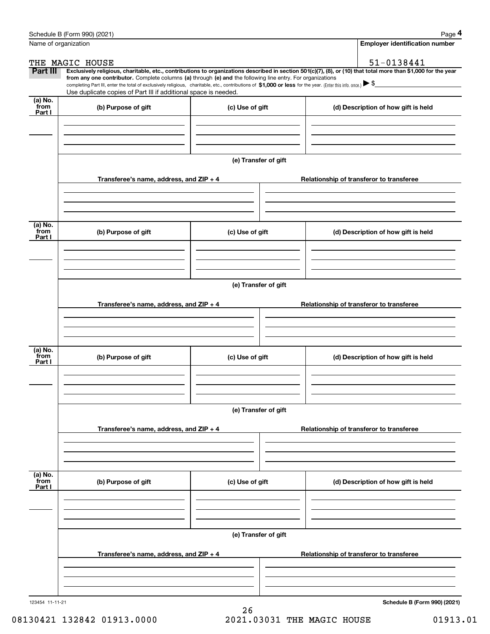|                           | Schedule B (Form 990) (2021)                                                                                                                                                                                                                                                                    |                      |                                                                                                                                                                | Page 4 |  |  |  |  |
|---------------------------|-------------------------------------------------------------------------------------------------------------------------------------------------------------------------------------------------------------------------------------------------------------------------------------------------|----------------------|----------------------------------------------------------------------------------------------------------------------------------------------------------------|--------|--|--|--|--|
|                           | Name of organization                                                                                                                                                                                                                                                                            |                      | <b>Employer identification number</b>                                                                                                                          |        |  |  |  |  |
|                           | THE MAGIC HOUSE                                                                                                                                                                                                                                                                                 |                      | 51-0138441                                                                                                                                                     |        |  |  |  |  |
| Part III                  | from any one contributor. Complete columns (a) through (e) and the following line entry. For organizations<br>completing Part III, enter the total of exclusively religious, charitable, etc., contributions of \$1,000 or less for the year. (Enter this info. once.) $\blacktriangleright$ \$ |                      | Exclusively religious, charitable, etc., contributions to organizations described in section 501(c)(7), (8), or (10) that total more than \$1,000 for the year |        |  |  |  |  |
|                           | Use duplicate copies of Part III if additional space is needed.                                                                                                                                                                                                                                 |                      |                                                                                                                                                                |        |  |  |  |  |
| (a) No.<br>from<br>Part I | (b) Purpose of gift                                                                                                                                                                                                                                                                             | (c) Use of gift      | (d) Description of how gift is held                                                                                                                            |        |  |  |  |  |
|                           |                                                                                                                                                                                                                                                                                                 |                      |                                                                                                                                                                |        |  |  |  |  |
|                           |                                                                                                                                                                                                                                                                                                 | (e) Transfer of gift |                                                                                                                                                                |        |  |  |  |  |
|                           | Transferee's name, address, and ZIP + 4                                                                                                                                                                                                                                                         |                      | Relationship of transferor to transferee                                                                                                                       |        |  |  |  |  |
| (a) No.                   |                                                                                                                                                                                                                                                                                                 |                      |                                                                                                                                                                |        |  |  |  |  |
| from<br>Part I            | (b) Purpose of gift                                                                                                                                                                                                                                                                             | (c) Use of gift      | (d) Description of how gift is held                                                                                                                            |        |  |  |  |  |
|                           |                                                                                                                                                                                                                                                                                                 |                      |                                                                                                                                                                |        |  |  |  |  |
|                           | (e) Transfer of gift                                                                                                                                                                                                                                                                            |                      |                                                                                                                                                                |        |  |  |  |  |
|                           | Transferee's name, address, and ZIP + 4                                                                                                                                                                                                                                                         |                      | Relationship of transferor to transferee                                                                                                                       |        |  |  |  |  |
|                           |                                                                                                                                                                                                                                                                                                 |                      |                                                                                                                                                                |        |  |  |  |  |
| (a) No.<br>from<br>Part I | (b) Purpose of gift                                                                                                                                                                                                                                                                             | (c) Use of gift      | (d) Description of how gift is held                                                                                                                            |        |  |  |  |  |
|                           |                                                                                                                                                                                                                                                                                                 |                      |                                                                                                                                                                |        |  |  |  |  |
|                           | (e) Transfer of gift                                                                                                                                                                                                                                                                            |                      |                                                                                                                                                                |        |  |  |  |  |
|                           | Transferee's name, address, and ZIP + 4                                                                                                                                                                                                                                                         |                      | Relationship of transferor to transferee                                                                                                                       |        |  |  |  |  |
|                           |                                                                                                                                                                                                                                                                                                 |                      |                                                                                                                                                                |        |  |  |  |  |
| (a) No.<br>from<br>Part I | (b) Purpose of gift                                                                                                                                                                                                                                                                             | (c) Use of gift      | (d) Description of how gift is held                                                                                                                            |        |  |  |  |  |
|                           |                                                                                                                                                                                                                                                                                                 |                      |                                                                                                                                                                |        |  |  |  |  |
|                           |                                                                                                                                                                                                                                                                                                 | (e) Transfer of gift |                                                                                                                                                                |        |  |  |  |  |
|                           | Transferee's name, address, and $ZIP + 4$                                                                                                                                                                                                                                                       |                      | Relationship of transferor to transferee                                                                                                                       |        |  |  |  |  |
|                           |                                                                                                                                                                                                                                                                                                 |                      |                                                                                                                                                                |        |  |  |  |  |
|                           |                                                                                                                                                                                                                                                                                                 |                      |                                                                                                                                                                |        |  |  |  |  |

**Schedule B (Form 990) (2021)**

26 08130421 132842 01913.0000 2021.03031 THE MAGIC HOUSE 01913.01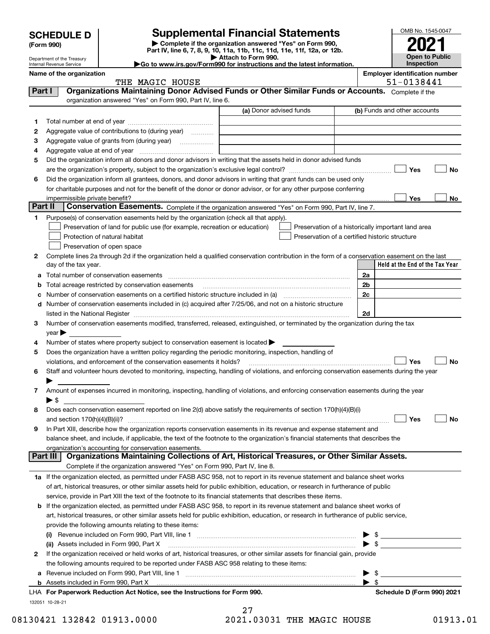| <b>SCHEDULE D</b>          | <b>Supplemental Financial Statements</b>                                |
|----------------------------|-------------------------------------------------------------------------|
| (Form 990)                 | ► Complete if the organization answered "Yes" on Form 990.              |
|                            | Part IV, line 6, 7, 8, 9, 10, 11a, 11b, 11c, 11d, 11e, 11f, 12a, or 12b |
| Department of the Treasury | Attach to Form 990.                                                     |
| Internal Revenue Service   | Go to www.irs.gov/Form990 for instructions and the latest informa       |
| Name of the organization   |                                                                         |

OMB No. 1545-0047 **Open to Public Inspection2021**

| Go to www.irs.gov/Form990 for instructions and the latest information. |
|------------------------------------------------------------------------|
|                                                                        |

**Lamployer identification number** 

|         | THE MAGIC HOUSE                                                                                                                                |                         | <u>u iddiniilodhoitiidiil</u><br>51-0138441        |
|---------|------------------------------------------------------------------------------------------------------------------------------------------------|-------------------------|----------------------------------------------------|
| Part I  | Organizations Maintaining Donor Advised Funds or Other Similar Funds or Accounts. Complete if the                                              |                         |                                                    |
|         | organization answered "Yes" on Form 990, Part IV, line 6.                                                                                      |                         |                                                    |
|         |                                                                                                                                                | (a) Donor advised funds | (b) Funds and other accounts                       |
| 1.      |                                                                                                                                                |                         |                                                    |
| 2       | Aggregate value of contributions to (during year)                                                                                              |                         |                                                    |
| 3       | Aggregate value of grants from (during year)                                                                                                   |                         |                                                    |
| 4       |                                                                                                                                                |                         |                                                    |
| 5       | Did the organization inform all donors and donor advisors in writing that the assets held in donor advised funds                               |                         |                                                    |
|         |                                                                                                                                                |                         | Yes<br>No                                          |
| 6       | Did the organization inform all grantees, donors, and donor advisors in writing that grant funds can be used only                              |                         |                                                    |
|         | for charitable purposes and not for the benefit of the donor or donor advisor, or for any other purpose conferring                             |                         |                                                    |
|         | impermissible private benefit?                                                                                                                 |                         | Yes<br>No                                          |
| Part II | Conservation Easements. Complete if the organization answered "Yes" on Form 990, Part IV, line 7.                                              |                         |                                                    |
| 1.      | Purpose(s) of conservation easements held by the organization (check all that apply).                                                          |                         |                                                    |
|         | Preservation of land for public use (for example, recreation or education)                                                                     |                         | Preservation of a historically important land area |
|         | Protection of natural habitat                                                                                                                  |                         | Preservation of a certified historic structure     |
|         | Preservation of open space                                                                                                                     |                         |                                                    |
| 2       | Complete lines 2a through 2d if the organization held a qualified conservation contribution in the form of a conservation easement on the last |                         |                                                    |
|         | day of the tax year.                                                                                                                           |                         | Held at the End of the Tax Year                    |
| а       | Total number of conservation easements                                                                                                         |                         | 2a                                                 |
| b       | Total acreage restricted by conservation easements                                                                                             |                         | 2 <sub>b</sub>                                     |
| с       | Number of conservation easements on a certified historic structure included in (a) manufacture included in (a)                                 |                         | 2c                                                 |
| d       | Number of conservation easements included in (c) acquired after 7/25/06, and not on a historic structure                                       |                         |                                                    |
|         |                                                                                                                                                |                         | 2d                                                 |
| 3       | Number of conservation easements modified, transferred, released, extinguished, or terminated by the organization during the tax               |                         |                                                    |
|         | year                                                                                                                                           |                         |                                                    |
| 4       | Number of states where property subject to conservation easement is located >                                                                  |                         |                                                    |
| 5       | Does the organization have a written policy regarding the periodic monitoring, inspection, handling of                                         |                         |                                                    |
|         | violations, and enforcement of the conservation easements it holds?                                                                            |                         | No<br>Yes                                          |
| 6       | Staff and volunteer hours devoted to monitoring, inspecting, handling of violations, and enforcing conservation easements during the year      |                         |                                                    |
|         |                                                                                                                                                |                         |                                                    |
| 7.      | Amount of expenses incurred in monitoring, inspecting, handling of violations, and enforcing conservation easements during the year            |                         |                                                    |
|         | $\blacktriangleright$ \$                                                                                                                       |                         |                                                    |
| 8       | Does each conservation easement reported on line 2(d) above satisfy the requirements of section 170(h)(4)(B)(i)                                |                         |                                                    |
|         | and section $170(h)(4)(B)(ii)?$                                                                                                                |                         | Yes<br>No                                          |
| 9       | In Part XIII, describe how the organization reports conservation easements in its revenue and expense statement and                            |                         |                                                    |
|         | balance sheet, and include, if applicable, the text of the footnote to the organization's financial statements that describes the              |                         |                                                    |
|         | organization's accounting for conservation easements.                                                                                          |                         |                                                    |
|         | Organizations Maintaining Collections of Art, Historical Treasures, or Other Similar Assets.<br>Part III                                       |                         |                                                    |
|         | Complete if the organization answered "Yes" on Form 990, Part IV, line 8.                                                                      |                         |                                                    |
|         | 1a If the organization elected, as permitted under FASB ASC 958, not to report in its revenue statement and balance sheet works                |                         |                                                    |
|         | of art, historical treasures, or other similar assets held for public exhibition, education, or research in furtherance of public              |                         |                                                    |
|         | service, provide in Part XIII the text of the footnote to its financial statements that describes these items.                                 |                         |                                                    |
|         | b If the organization elected, as permitted under FASB ASC 958, to report in its revenue statement and balance sheet works of                  |                         |                                                    |
|         | art, historical treasures, or other similar assets held for public exhibition, education, or research in furtherance of public service,        |                         |                                                    |
|         | provide the following amounts relating to these items:                                                                                         |                         |                                                    |
|         | (i)                                                                                                                                            |                         | $\frac{1}{2}$                                      |
|         | (ii) Assets included in Form 990, Part X                                                                                                       |                         |                                                    |
| 2       | If the organization received or held works of art, historical treasures, or other similar assets for financial gain, provide                   |                         |                                                    |
|         | the following amounts required to be reported under FASB ASC 958 relating to these items:                                                      |                         |                                                    |
| а       |                                                                                                                                                |                         | $\frac{1}{2}$                                      |
|         |                                                                                                                                                |                         | -\$                                                |
|         | LHA For Paperwork Reduction Act Notice, see the Instructions for Form 990.                                                                     |                         | Schedule D (Form 990) 2021                         |

132051 10-28-21

27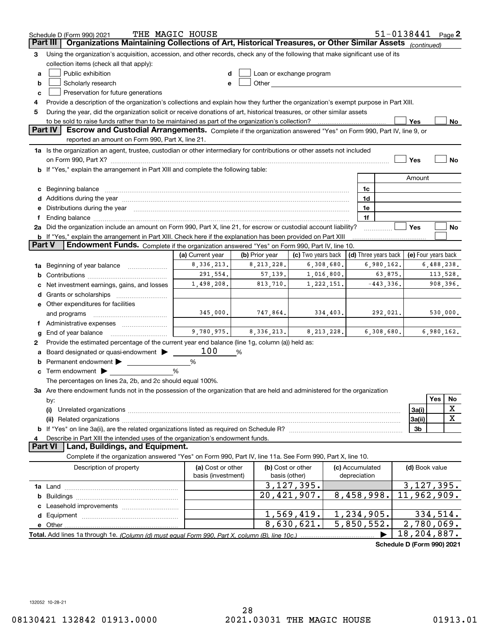|          | Schedule D (Form 990) 2021                                                                                                                                                                                                     | THE MAGIC HOUSE                         |                |                                                                                                                                                                                                                               |                                 |             | $51 - 0138441$ Page 2                      |            |
|----------|--------------------------------------------------------------------------------------------------------------------------------------------------------------------------------------------------------------------------------|-----------------------------------------|----------------|-------------------------------------------------------------------------------------------------------------------------------------------------------------------------------------------------------------------------------|---------------------------------|-------------|--------------------------------------------|------------|
| Part III | Organizations Maintaining Collections of Art, Historical Treasures, or Other Similar Assets (continued)                                                                                                                        |                                         |                |                                                                                                                                                                                                                               |                                 |             |                                            |            |
| 3        | Using the organization's acquisition, accession, and other records, check any of the following that make significant use of its                                                                                                |                                         |                |                                                                                                                                                                                                                               |                                 |             |                                            |            |
|          | collection items (check all that apply):                                                                                                                                                                                       |                                         |                |                                                                                                                                                                                                                               |                                 |             |                                            |            |
| a        | Public exhibition                                                                                                                                                                                                              |                                         |                | Loan or exchange program                                                                                                                                                                                                      |                                 |             |                                            |            |
| b        | Scholarly research                                                                                                                                                                                                             | e                                       |                | Other and the contract of the contract of the contract of the contract of the contract of the contract of the contract of the contract of the contract of the contract of the contract of the contract of the contract of the |                                 |             |                                            |            |
| c        | Preservation for future generations                                                                                                                                                                                            |                                         |                |                                                                                                                                                                                                                               |                                 |             |                                            |            |
| 4        | Provide a description of the organization's collections and explain how they further the organization's exempt purpose in Part XIII.                                                                                           |                                         |                |                                                                                                                                                                                                                               |                                 |             |                                            |            |
| 5        | During the year, did the organization solicit or receive donations of art, historical treasures, or other similar assets                                                                                                       |                                         |                |                                                                                                                                                                                                                               |                                 |             |                                            |            |
|          | to be sold to raise funds rather than to be maintained as part of the organization's collection?                                                                                                                               |                                         |                |                                                                                                                                                                                                                               |                                 |             | Yes                                        | No         |
|          | <b>Part IV</b><br>Escrow and Custodial Arrangements. Complete if the organization answered "Yes" on Form 990, Part IV, line 9, or                                                                                              |                                         |                |                                                                                                                                                                                                                               |                                 |             |                                            |            |
|          | reported an amount on Form 990, Part X, line 21.                                                                                                                                                                               |                                         |                |                                                                                                                                                                                                                               |                                 |             |                                            |            |
|          | 1a Is the organization an agent, trustee, custodian or other intermediary for contributions or other assets not included                                                                                                       |                                         |                |                                                                                                                                                                                                                               |                                 |             |                                            |            |
|          |                                                                                                                                                                                                                                |                                         |                |                                                                                                                                                                                                                               |                                 |             | Yes                                        | No         |
|          | <b>b</b> If "Yes," explain the arrangement in Part XIII and complete the following table:                                                                                                                                      |                                         |                |                                                                                                                                                                                                                               |                                 |             |                                            |            |
|          |                                                                                                                                                                                                                                |                                         |                |                                                                                                                                                                                                                               |                                 |             | Amount                                     |            |
| c        | Beginning balance <b>contract to the contract of the contract of the contract of the contract of the contract of t</b>                                                                                                         |                                         |                |                                                                                                                                                                                                                               | 1c                              |             |                                            |            |
|          |                                                                                                                                                                                                                                |                                         |                |                                                                                                                                                                                                                               | 1d                              |             |                                            |            |
| е        | Distributions during the year manufactured and continuum and contact the year manufactured and contact the year                                                                                                                |                                         |                |                                                                                                                                                                                                                               | 1e                              |             |                                            |            |
|          | Ending balance manufactured and contract and contract of the contract of the contract of the contract of the contract of the contract of the contract of the contract of the contract of the contract of the contract of the c |                                         |                |                                                                                                                                                                                                                               | 1f                              |             |                                            |            |
|          | 2a Did the organization include an amount on Form 990, Part X, line 21, for escrow or custodial account liability?                                                                                                             |                                         |                |                                                                                                                                                                                                                               |                                 |             | Yes                                        | No         |
|          | <b>b</b> If "Yes," explain the arrangement in Part XIII. Check here if the explanation has been provided on Part XIII                                                                                                          |                                         |                |                                                                                                                                                                                                                               |                                 |             |                                            |            |
| Part V   | Endowment Funds. Complete if the organization answered "Yes" on Form 990, Part IV, line 10.                                                                                                                                    |                                         |                |                                                                                                                                                                                                                               |                                 |             |                                            |            |
|          |                                                                                                                                                                                                                                | (a) Current year                        | (b) Prior year | (c) Two years back                                                                                                                                                                                                            |                                 |             | (d) Three years back   (e) Four years back |            |
| 1a       | Beginning of year balance                                                                                                                                                                                                      | 8, 336, 213.                            | 8, 213, 228.   | 6,308,680.                                                                                                                                                                                                                    |                                 | 6,980,162.  |                                            | 6,488,238. |
| b        |                                                                                                                                                                                                                                | 291,554.                                | 57,139.        | 1,016,800.                                                                                                                                                                                                                    |                                 | 63,875.     |                                            | 113,528.   |
|          | Net investment earnings, gains, and losses                                                                                                                                                                                     | 1,498,208.                              | 813,710.       | 1,222,151.                                                                                                                                                                                                                    |                                 | $-443,336.$ |                                            | 908,396.   |
| d        |                                                                                                                                                                                                                                |                                         |                |                                                                                                                                                                                                                               |                                 |             |                                            |            |
|          | e Other expenditures for facilities                                                                                                                                                                                            |                                         |                |                                                                                                                                                                                                                               |                                 |             |                                            |            |
|          | and programs                                                                                                                                                                                                                   | 345,000.                                | 747,864.       | 334,403.                                                                                                                                                                                                                      |                                 | 292,021.    |                                            | 530,000.   |
|          |                                                                                                                                                                                                                                |                                         |                |                                                                                                                                                                                                                               |                                 |             |                                            |            |
| g        | End of year balance                                                                                                                                                                                                            | 9,780,975.                              | 8, 336, 213.   | 8, 213, 228.                                                                                                                                                                                                                  |                                 | 6,308,680.  |                                            | 6,980,162. |
| 2        | Provide the estimated percentage of the current year end balance (line 1g, column (a)) held as:                                                                                                                                |                                         |                |                                                                                                                                                                                                                               |                                 |             |                                            |            |
| а        | Board designated or quasi-endowment >                                                                                                                                                                                          | 100                                     | %              |                                                                                                                                                                                                                               |                                 |             |                                            |            |
| b        | Permanent endowment > ______________                                                                                                                                                                                           | %                                       |                |                                                                                                                                                                                                                               |                                 |             |                                            |            |
| c        | Term endowment $\blacktriangleright$                                                                                                                                                                                           | %                                       |                |                                                                                                                                                                                                                               |                                 |             |                                            |            |
|          | The percentages on lines 2a, 2b, and 2c should equal 100%.                                                                                                                                                                     |                                         |                |                                                                                                                                                                                                                               |                                 |             |                                            |            |
|          | 3a Are there endowment funds not in the possession of the organization that are held and administered for the organization                                                                                                     |                                         |                |                                                                                                                                                                                                                               |                                 |             |                                            | <b>Yes</b> |
|          | by:                                                                                                                                                                                                                            |                                         |                |                                                                                                                                                                                                                               |                                 |             |                                            | No         |
|          | (i)                                                                                                                                                                                                                            |                                         |                |                                                                                                                                                                                                                               |                                 |             | 3a(i)                                      | х<br>X     |
|          |                                                                                                                                                                                                                                |                                         |                |                                                                                                                                                                                                                               |                                 |             | 3a(ii)                                     |            |
|          |                                                                                                                                                                                                                                |                                         |                |                                                                                                                                                                                                                               |                                 |             | 3 <sub>b</sub>                             |            |
|          | Describe in Part XIII the intended uses of the organization's endowment funds.<br>Land, Buildings, and Equipment.<br>Part VI                                                                                                   |                                         |                |                                                                                                                                                                                                                               |                                 |             |                                            |            |
|          | Complete if the organization answered "Yes" on Form 990, Part IV, line 11a. See Form 990, Part X, line 10.                                                                                                                     |                                         |                |                                                                                                                                                                                                                               |                                 |             |                                            |            |
|          |                                                                                                                                                                                                                                |                                         |                |                                                                                                                                                                                                                               |                                 |             |                                            |            |
|          | Description of property                                                                                                                                                                                                        | (a) Cost or other<br>basis (investment) |                | (b) Cost or other<br>basis (other)                                                                                                                                                                                            | (c) Accumulated<br>depreciation |             | (d) Book value                             |            |
|          |                                                                                                                                                                                                                                |                                         |                | 3, 127, 395.                                                                                                                                                                                                                  |                                 |             |                                            |            |
|          |                                                                                                                                                                                                                                |                                         |                | 20,421,907.                                                                                                                                                                                                                   | 8,458,998.                      |             | 11,962,909.                                | 3,127,395. |
| b        |                                                                                                                                                                                                                                |                                         |                |                                                                                                                                                                                                                               |                                 |             |                                            |            |
|          |                                                                                                                                                                                                                                |                                         |                | 1,569,419.                                                                                                                                                                                                                    | 1,234,905.                      |             |                                            | 334, 514.  |
|          |                                                                                                                                                                                                                                |                                         |                | 8,630,621.                                                                                                                                                                                                                    | 5,850,552.                      |             |                                            | 2,780,069. |
|          | e Other                                                                                                                                                                                                                        |                                         |                |                                                                                                                                                                                                                               |                                 |             | 18, 204, 887.                              |            |
|          | Total. Add lines 1a through 1e. (Column (d) must equal Form 990. Part X. column (B). line 10c.)                                                                                                                                |                                         |                |                                                                                                                                                                                                                               |                                 |             |                                            |            |

**Schedule D (Form 990) 2021**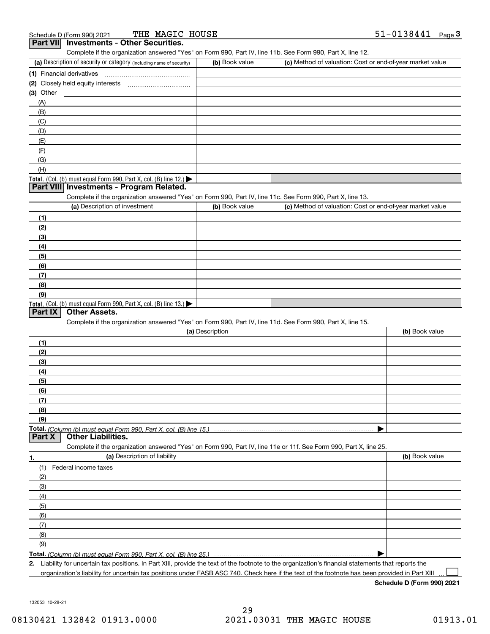|  | Schedule D (Form 990) 2021 |  |  |  | THE MAGIC HOU |  |
|--|----------------------------|--|--|--|---------------|--|
|--|----------------------------|--|--|--|---------------|--|

| THE MAGIC HOUSE<br>Schedule D (Form 990) 2021                                                                     |                 |                                                           | 51-0138441<br>Page $3$ |
|-------------------------------------------------------------------------------------------------------------------|-----------------|-----------------------------------------------------------|------------------------|
| <b>Investments - Other Securities.</b><br><b>Part VII</b>                                                         |                 |                                                           |                        |
| Complete if the organization answered "Yes" on Form 990, Part IV, line 11b. See Form 990, Part X, line 12.        |                 |                                                           |                        |
| (a) Description of security or category (including name of security)                                              | (b) Book value  | (c) Method of valuation: Cost or end-of-year market value |                        |
|                                                                                                                   |                 |                                                           |                        |
| (2) Closely held equity interests [111] [2] Closely held equity interests                                         |                 |                                                           |                        |
| (3) Other                                                                                                         |                 |                                                           |                        |
| (A)                                                                                                               |                 |                                                           |                        |
| (B)                                                                                                               |                 |                                                           |                        |
| (C)                                                                                                               |                 |                                                           |                        |
| (D)                                                                                                               |                 |                                                           |                        |
| (E)                                                                                                               |                 |                                                           |                        |
| (F)                                                                                                               |                 |                                                           |                        |
| (G)                                                                                                               |                 |                                                           |                        |
| (H)                                                                                                               |                 |                                                           |                        |
| Total. (Col. (b) must equal Form 990, Part X, col. (B) line 12.)                                                  |                 |                                                           |                        |
| Part VIII Investments - Program Related.                                                                          |                 |                                                           |                        |
| Complete if the organization answered "Yes" on Form 990, Part IV, line 11c. See Form 990, Part X, line 13.        |                 |                                                           |                        |
| (a) Description of investment                                                                                     | (b) Book value  | (c) Method of valuation: Cost or end-of-year market value |                        |
| (1)                                                                                                               |                 |                                                           |                        |
| (2)                                                                                                               |                 |                                                           |                        |
| (3)                                                                                                               |                 |                                                           |                        |
| (4)                                                                                                               |                 |                                                           |                        |
| (5)                                                                                                               |                 |                                                           |                        |
| (6)                                                                                                               |                 |                                                           |                        |
| (7)                                                                                                               |                 |                                                           |                        |
| (8)                                                                                                               |                 |                                                           |                        |
| (9)                                                                                                               |                 |                                                           |                        |
| Total. (Col. (b) must equal Form 990, Part X, col. (B) line 13.)                                                  |                 |                                                           |                        |
| Part IX<br><b>Other Assets.</b>                                                                                   |                 |                                                           |                        |
| Complete if the organization answered "Yes" on Form 990, Part IV, line 11d. See Form 990, Part X, line 15.        |                 |                                                           |                        |
|                                                                                                                   | (a) Description |                                                           | (b) Book value         |
| (1)                                                                                                               |                 |                                                           |                        |
| (2)                                                                                                               |                 |                                                           |                        |
| (3)                                                                                                               |                 |                                                           |                        |
| (4)                                                                                                               |                 |                                                           |                        |
| (5)                                                                                                               |                 |                                                           |                        |
| (6)                                                                                                               |                 |                                                           |                        |
| (7)                                                                                                               |                 |                                                           |                        |
| (8)                                                                                                               |                 |                                                           |                        |
| (9)                                                                                                               |                 |                                                           |                        |
| Total. (Column (b) must equal Form 990, Part X, col. (B) line 15.)                                                |                 |                                                           |                        |
| <b>Other Liabilities.</b><br>Part X                                                                               |                 |                                                           |                        |
| Complete if the organization answered "Yes" on Form 990, Part IV, line 11e or 11f. See Form 990, Part X, line 25. |                 |                                                           |                        |
| (a) Description of liability<br>1.                                                                                |                 |                                                           | (b) Book value         |
| (1)<br>Federal income taxes                                                                                       |                 |                                                           |                        |
| (2)                                                                                                               |                 |                                                           |                        |
| (3)                                                                                                               |                 |                                                           |                        |
| (4)                                                                                                               |                 |                                                           |                        |
| (5)                                                                                                               |                 |                                                           |                        |
| (6)                                                                                                               |                 |                                                           |                        |
| (7)                                                                                                               |                 |                                                           |                        |
| (8)                                                                                                               |                 |                                                           |                        |
| (9)                                                                                                               |                 |                                                           |                        |
| Total. (Column (b) must equal Form 990, Part X, col. (B) line 25.)                                                |                 |                                                           |                        |
|                                                                                                                   |                 |                                                           |                        |

**2.** Liability for uncertain tax positions. In Part XIII, provide the text of the footnote to the organization's financial statements that reports the organization's liability for uncertain tax positions under FASB ASC 740. Check here if the text of the footnote has been provided in Part XIII

**Schedule D (Form 990) 2021**

132053 10-28-21

 $\mathcal{L}^{\text{max}}$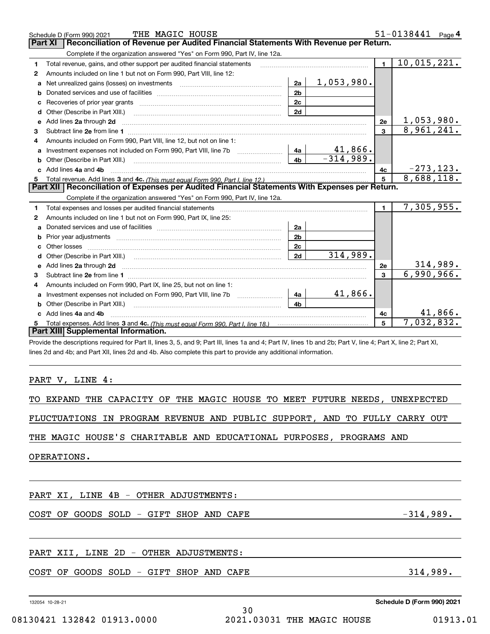| 1  | Total revenue, gains, and other support per audited financial statements                                                                                       |             | 1.             | 10,015,221.            |  |  |
|----|----------------------------------------------------------------------------------------------------------------------------------------------------------------|-------------|----------------|------------------------|--|--|
| 2  | Amounts included on line 1 but not on Form 990, Part VIII, line 12:                                                                                            |             |                |                        |  |  |
| a  | 2a<br>Net unrealized gains (losses) on investments [11] manuscriminal contracts and all of the unrealized gains (losses) on investments                        | 1,053,980.  |                |                        |  |  |
| b  | 2 <sub>b</sub>                                                                                                                                                 |             |                |                        |  |  |
| c  | 2c<br>Recoveries of prior year grants [111] [12] matter contracts are prior to prior with the Recoveries of prior year grants                                  |             |                |                        |  |  |
| d  | 2d<br>Other (Describe in Part XIII.)                                                                                                                           |             |                |                        |  |  |
| е  | Add lines 2a through 2d                                                                                                                                        |             | 2e             | 1,053,980.             |  |  |
| 3  | Subtract line 2e from line 1                                                                                                                                   |             | 3              | 8,961,241.             |  |  |
| 4  | Amounts included on Form 990, Part VIII, line 12, but not on line 1:                                                                                           |             |                |                        |  |  |
| a  | Investment expenses not included on Form 990, Part VIII, line 7b<br>4a                                                                                         | 41,866.     |                |                        |  |  |
| b  | 4b                                                                                                                                                             | $-314,989.$ |                |                        |  |  |
|    | c Add lines 4a and 4b                                                                                                                                          |             | 4с             | $-273, 123.$           |  |  |
| 5. |                                                                                                                                                                |             | 5              | 8,688,118.             |  |  |
|    | Part XII   Reconciliation of Expenses per Audited Financial Statements With Expenses per Return.                                                               |             |                |                        |  |  |
|    | Complete if the organization answered "Yes" on Form 990, Part IV, line 12a.                                                                                    |             |                |                        |  |  |
| 1  | Total expenses and losses per audited financial statements                                                                                                     |             | $\blacksquare$ | 7,305,955.             |  |  |
| 2  | Amounts included on line 1 but not on Form 990, Part IX, line 25:                                                                                              |             |                |                        |  |  |
| а  | 2a                                                                                                                                                             |             |                |                        |  |  |
| b  | 2 <sub>b</sub><br>Prior year adjustments www.communication.com/www.communication.com/www.com/                                                                  |             |                |                        |  |  |
| c  | 2c                                                                                                                                                             |             |                |                        |  |  |
| d  | 2d                                                                                                                                                             | 314,989.    |                |                        |  |  |
| е  | Add lines 2a through 2d                                                                                                                                        |             | 2e             | 314,989.<br>6,990,966. |  |  |
| 3  |                                                                                                                                                                |             | 3              |                        |  |  |
| 4  | Amounts included on Form 990, Part IX, line 25, but not on line 1:                                                                                             |             |                |                        |  |  |
| a  | Investment expenses not included on Form 990, Part VIII, line 7b<br>4a                                                                                         | 41,866.     |                |                        |  |  |
| b  | 4 <sub>b</sub><br>Other (Describe in Part XIII.)                                                                                                               |             |                |                        |  |  |
|    | c Add lines 4a and 4b                                                                                                                                          |             | 4с             | 41,866.                |  |  |
| 5. |                                                                                                                                                                |             | 5              | 7,032,832.             |  |  |
|    | Part XIII Supplemental Information.                                                                                                                            |             |                |                        |  |  |
|    | Provide the descriptions required for Part II, lines 3, 5, and 9; Part III, lines 1a and 4; Part IV, lines 1b and 2b; Part V, line 4; Part X, line 2; Part XI, |             |                |                        |  |  |
|    | lines 2d and 4b; and Part XII, lines 2d and 4b. Also complete this part to provide any additional information.                                                 |             |                |                        |  |  |
|    |                                                                                                                                                                |             |                |                        |  |  |
|    |                                                                                                                                                                |             |                |                        |  |  |
|    | PART V, LINE 4:                                                                                                                                                |             |                |                        |  |  |
|    |                                                                                                                                                                |             |                |                        |  |  |
| TO | EXPAND THE CAPACITY OF THE MAGIC HOUSE TO MEET FUTURE NEEDS, UNEXPECTED                                                                                        |             |                |                        |  |  |
|    |                                                                                                                                                                |             |                |                        |  |  |
|    | FLUCTUATIONS IN PROGRAM REVENUE AND PUBLIC SUPPORT, AND TO FULLY CARRY OUT                                                                                     |             |                |                        |  |  |
|    |                                                                                                                                                                |             |                |                        |  |  |
|    | THE MAGIC HOUSE'S CHARITABLE AND EDUCATIONAL PURPOSES, PROGRAMS AND                                                                                            |             |                |                        |  |  |

OPERATIONS.

# PART XI, LINE 4B - OTHER ADJUSTMENTS:

COST OF GOODS SOLD - GIFT SHOP AND CAFE  $-314,989$ .

# PART XII, LINE 2D - OTHER ADJUSTMENTS:

# COST OF GOODS SOLD - GIFT SHOP AND CAFE  $314,989$ .

132054 10-28-21

**Schedule D (Form 990) 2021**

Schedule D (Form 990) 2021  $\mathrm{THE\,\,\, MAGIC\,\,\, HOUSE}$  5 $1\,\text{--}\,0138441$  Page

Complete if the organization answered "Yes" on Form 990, Part IV, line 12a.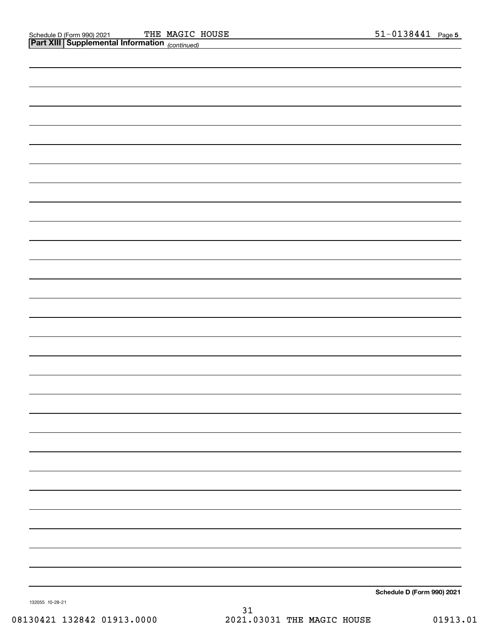| ,,,,,,,,, |                            |
|-----------|----------------------------|
|           |                            |
|           |                            |
|           |                            |
|           |                            |
|           |                            |
|           |                            |
|           |                            |
|           |                            |
|           |                            |
|           |                            |
|           |                            |
|           |                            |
|           |                            |
|           |                            |
|           |                            |
|           |                            |
|           |                            |
|           |                            |
|           |                            |
|           |                            |
|           |                            |
|           |                            |
|           |                            |
|           |                            |
|           |                            |
|           |                            |
|           |                            |
|           |                            |
|           |                            |
|           |                            |
|           |                            |
|           |                            |
|           |                            |
|           |                            |
|           |                            |
|           |                            |
|           |                            |
|           |                            |
|           |                            |
|           |                            |
|           |                            |
|           |                            |
|           |                            |
|           |                            |
|           | Schedule D (Form 990) 2021 |

132055 10-28-21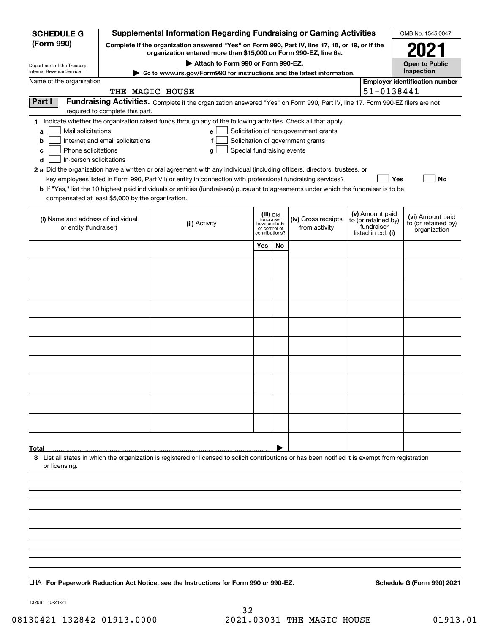| <b>SCHEDULE G</b>                                                                                                                                                        |                                                                                                                                                                     | Supplemental Information Regarding Fundraising or Gaming Activities                                                                                                                                                                                                                                                                                                                                                                                                                                                                                |                                                                            |    |                                                                            |  |                                                                            | OMB No. 1545-0047                                       |
|--------------------------------------------------------------------------------------------------------------------------------------------------------------------------|---------------------------------------------------------------------------------------------------------------------------------------------------------------------|----------------------------------------------------------------------------------------------------------------------------------------------------------------------------------------------------------------------------------------------------------------------------------------------------------------------------------------------------------------------------------------------------------------------------------------------------------------------------------------------------------------------------------------------------|----------------------------------------------------------------------------|----|----------------------------------------------------------------------------|--|----------------------------------------------------------------------------|---------------------------------------------------------|
| (Form 990)                                                                                                                                                               | Complete if the organization answered "Yes" on Form 990, Part IV, line 17, 18, or 19, or if the<br>organization entered more than \$15,000 on Form 990-EZ, line 6a. |                                                                                                                                                                                                                                                                                                                                                                                                                                                                                                                                                    |                                                                            |    |                                                                            |  |                                                                            | 2021                                                    |
| Attach to Form 990 or Form 990-EZ.<br>Department of the Treasury<br>Internal Revenue Service<br>► Go to www.irs.gov/Form990 for instructions and the latest information. |                                                                                                                                                                     |                                                                                                                                                                                                                                                                                                                                                                                                                                                                                                                                                    |                                                                            |    |                                                                            |  |                                                                            | <b>Open to Public</b>                                   |
| Name of the organization                                                                                                                                                 |                                                                                                                                                                     |                                                                                                                                                                                                                                                                                                                                                                                                                                                                                                                                                    |                                                                            |    |                                                                            |  |                                                                            | Inspection<br><b>Employer identification number</b>     |
|                                                                                                                                                                          |                                                                                                                                                                     | THE MAGIC HOUSE                                                                                                                                                                                                                                                                                                                                                                                                                                                                                                                                    |                                                                            |    |                                                                            |  | 51-0138441                                                                 |                                                         |
| Part I                                                                                                                                                                   | required to complete this part.                                                                                                                                     | Fundraising Activities. Complete if the organization answered "Yes" on Form 990, Part IV, line 17. Form 990-EZ filers are not                                                                                                                                                                                                                                                                                                                                                                                                                      |                                                                            |    |                                                                            |  |                                                                            |                                                         |
| Mail solicitations<br>a<br>b<br>Phone solicitations<br>с<br>In-person solicitations<br>d<br>compensated at least \$5,000 by the organization.                            | Internet and email solicitations                                                                                                                                    | 1 Indicate whether the organization raised funds through any of the following activities. Check all that apply.<br>е<br>f<br>Special fundraising events<br>g<br>2 a Did the organization have a written or oral agreement with any individual (including officers, directors, trustees, or<br>key employees listed in Form 990, Part VII) or entity in connection with professional fundraising services?<br>b If "Yes," list the 10 highest paid individuals or entities (fundraisers) pursuant to agreements under which the fundraiser is to be |                                                                            |    | Solicitation of non-government grants<br>Solicitation of government grants |  | Yes                                                                        | <b>No</b>                                               |
| (i) Name and address of individual<br>or entity (fundraiser)                                                                                                             |                                                                                                                                                                     | (ii) Activity                                                                                                                                                                                                                                                                                                                                                                                                                                                                                                                                      | (iii) Did<br>fundraiser<br>have custody<br>or control of<br>contributions? |    | (iv) Gross receipts<br>from activity                                       |  | (v) Amount paid<br>to (or retained by)<br>fundraiser<br>listed in col. (i) | (vi) Amount paid<br>to (or retained by)<br>organization |
|                                                                                                                                                                          |                                                                                                                                                                     |                                                                                                                                                                                                                                                                                                                                                                                                                                                                                                                                                    | Yes                                                                        | No |                                                                            |  |                                                                            |                                                         |
|                                                                                                                                                                          |                                                                                                                                                                     |                                                                                                                                                                                                                                                                                                                                                                                                                                                                                                                                                    |                                                                            |    |                                                                            |  |                                                                            |                                                         |
|                                                                                                                                                                          |                                                                                                                                                                     |                                                                                                                                                                                                                                                                                                                                                                                                                                                                                                                                                    |                                                                            |    |                                                                            |  |                                                                            |                                                         |
|                                                                                                                                                                          |                                                                                                                                                                     |                                                                                                                                                                                                                                                                                                                                                                                                                                                                                                                                                    |                                                                            |    |                                                                            |  |                                                                            |                                                         |
|                                                                                                                                                                          |                                                                                                                                                                     |                                                                                                                                                                                                                                                                                                                                                                                                                                                                                                                                                    |                                                                            |    |                                                                            |  |                                                                            |                                                         |
|                                                                                                                                                                          |                                                                                                                                                                     |                                                                                                                                                                                                                                                                                                                                                                                                                                                                                                                                                    |                                                                            |    |                                                                            |  |                                                                            |                                                         |
|                                                                                                                                                                          |                                                                                                                                                                     |                                                                                                                                                                                                                                                                                                                                                                                                                                                                                                                                                    |                                                                            |    |                                                                            |  |                                                                            |                                                         |
|                                                                                                                                                                          |                                                                                                                                                                     |                                                                                                                                                                                                                                                                                                                                                                                                                                                                                                                                                    |                                                                            |    |                                                                            |  |                                                                            |                                                         |
|                                                                                                                                                                          |                                                                                                                                                                     |                                                                                                                                                                                                                                                                                                                                                                                                                                                                                                                                                    |                                                                            |    |                                                                            |  |                                                                            |                                                         |
|                                                                                                                                                                          |                                                                                                                                                                     |                                                                                                                                                                                                                                                                                                                                                                                                                                                                                                                                                    |                                                                            |    |                                                                            |  |                                                                            |                                                         |
|                                                                                                                                                                          |                                                                                                                                                                     |                                                                                                                                                                                                                                                                                                                                                                                                                                                                                                                                                    |                                                                            |    |                                                                            |  |                                                                            |                                                         |
|                                                                                                                                                                          |                                                                                                                                                                     |                                                                                                                                                                                                                                                                                                                                                                                                                                                                                                                                                    |                                                                            |    |                                                                            |  |                                                                            |                                                         |
| Total<br>or licensing.                                                                                                                                                   |                                                                                                                                                                     | 3 List all states in which the organization is registered or licensed to solicit contributions or has been notified it is exempt from registration                                                                                                                                                                                                                                                                                                                                                                                                 |                                                                            |    |                                                                            |  |                                                                            |                                                         |
|                                                                                                                                                                          |                                                                                                                                                                     |                                                                                                                                                                                                                                                                                                                                                                                                                                                                                                                                                    |                                                                            |    |                                                                            |  |                                                                            |                                                         |
|                                                                                                                                                                          |                                                                                                                                                                     |                                                                                                                                                                                                                                                                                                                                                                                                                                                                                                                                                    |                                                                            |    |                                                                            |  |                                                                            |                                                         |
|                                                                                                                                                                          |                                                                                                                                                                     |                                                                                                                                                                                                                                                                                                                                                                                                                                                                                                                                                    |                                                                            |    |                                                                            |  |                                                                            |                                                         |
|                                                                                                                                                                          |                                                                                                                                                                     |                                                                                                                                                                                                                                                                                                                                                                                                                                                                                                                                                    |                                                                            |    |                                                                            |  |                                                                            |                                                         |
|                                                                                                                                                                          |                                                                                                                                                                     |                                                                                                                                                                                                                                                                                                                                                                                                                                                                                                                                                    |                                                                            |    |                                                                            |  |                                                                            |                                                         |
|                                                                                                                                                                          |                                                                                                                                                                     |                                                                                                                                                                                                                                                                                                                                                                                                                                                                                                                                                    |                                                                            |    |                                                                            |  |                                                                            |                                                         |
|                                                                                                                                                                          |                                                                                                                                                                     | LHA For Paperwork Reduction Act Notice, see the Instructions for Form 990 or 990-EZ.                                                                                                                                                                                                                                                                                                                                                                                                                                                               |                                                                            |    |                                                                            |  |                                                                            | Schedule G (Form 990) 2021                              |

132081 10-21-21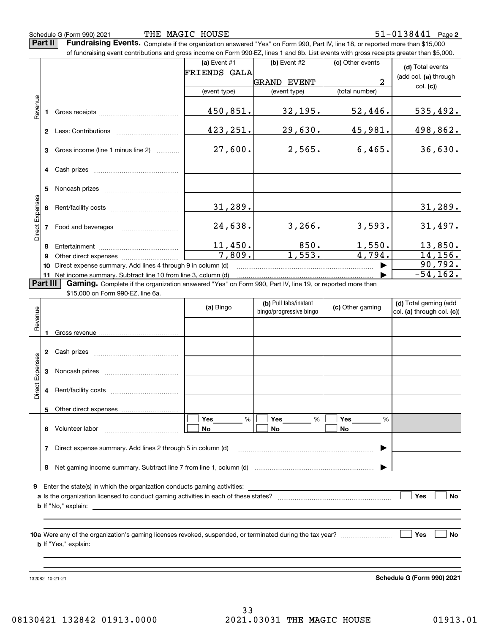**Part II** | Fundraising Events. Complete if the organization answered "Yes" on Form 990, Part IV, line 18, or reported more than \$15,000

|                 |    | of fundraising event contributions and gross income on Form 990-EZ, lines 1 and 6b. List events with gross receipts greater than \$5,000. |                     |                                                  |                  |                                                     |
|-----------------|----|-------------------------------------------------------------------------------------------------------------------------------------------|---------------------|--------------------------------------------------|------------------|-----------------------------------------------------|
|                 |    |                                                                                                                                           | (a) Event $#1$      | $(b)$ Event #2                                   | (c) Other events | (d) Total events                                    |
|                 |    |                                                                                                                                           | <b>FRIENDS GALA</b> |                                                  |                  | (add col. (a) through                               |
|                 |    |                                                                                                                                           |                     | <b>GRAND EVENT</b>                               | 2                | col. (c)                                            |
|                 |    |                                                                                                                                           | (event type)        | (event type)                                     | (total number)   |                                                     |
| Revenue         |    |                                                                                                                                           | 450,851.            | 32,195.                                          | 52,446.          | 535,492.                                            |
|                 |    |                                                                                                                                           | 423, 251.           | 29,630.                                          | 45,981.          | 498,862.                                            |
|                 |    | 3 Gross income (line 1 minus line 2)                                                                                                      | 27,600.             | 2,565.                                           | 6,465.           | 36,630.                                             |
|                 |    |                                                                                                                                           |                     |                                                  |                  |                                                     |
|                 |    |                                                                                                                                           |                     |                                                  |                  |                                                     |
| Direct Expenses |    |                                                                                                                                           | 31,289.             |                                                  |                  | 31, 289.                                            |
|                 |    | 7 Food and beverages                                                                                                                      | 24,638.             | 3, 266.                                          | 3,593.           | 31,497.                                             |
|                 |    |                                                                                                                                           | 11,450.             | 850.                                             | 1,550.           | 13,850.                                             |
|                 | 9  |                                                                                                                                           | 7,809.              | 1,553.                                           | 4,794.           | 14, 156.                                            |
|                 | 10 | Direct expense summary. Add lines 4 through 9 in column (d)                                                                               |                     |                                                  |                  | 90,792.                                             |
|                 |    | 11 Net income summary. Subtract line 10 from line 3, column (d)                                                                           |                     |                                                  |                  | $-54, 162.$                                         |
| <b>Part III</b> |    | Gaming. Complete if the organization answered "Yes" on Form 990, Part IV, line 19, or reported more than                                  |                     |                                                  |                  |                                                     |
|                 |    | \$15,000 on Form 990-EZ, line 6a.                                                                                                         |                     |                                                  |                  |                                                     |
| enue            |    |                                                                                                                                           | (a) Bingo           | (b) Pull tabs/instant<br>bingo/progressive bingo | (c) Other gaming | (d) Total gaming (add<br>col. (a) through col. (c)) |
|                 |    |                                                                                                                                           |                     |                                                  |                  |                                                     |
| Re<br>C         |    |                                                                                                                                           |                     |                                                  |                  |                                                     |
|                 |    |                                                                                                                                           |                     |                                                  |                  |                                                     |
| Expenses        |    |                                                                                                                                           |                     |                                                  |                  |                                                     |
| Direct          |    |                                                                                                                                           |                     |                                                  |                  |                                                     |
|                 | 5  | Other direct expenses                                                                                                                     |                     |                                                  |                  |                                                     |
|                 |    |                                                                                                                                           | %<br>$Yes_$         | $\%$<br>Yes                                      | Yes<br>%         |                                                     |
|                 | 6. | Volunteer labor                                                                                                                           | No                  | No                                               | No               |                                                     |
|                 | 7  | Direct expense summary. Add lines 2 through 5 in column (d)                                                                               |                     |                                                  |                  |                                                     |
|                 |    |                                                                                                                                           |                     |                                                  |                  |                                                     |
|                 | 8  |                                                                                                                                           |                     |                                                  |                  |                                                     |

**9**Enter the state(s) in which the organization conducts gaming activities:

**a** Is the organization licensed to conduct gaming activities in each of these states? \_\_\_\_\_\_\_\_\_\_\_\_\_\_\_\_\_\_\_\_\_\_\_\_\_\_\_\_\_\_\_ **b**If "No," explain: **Yes**

**10a** Were any of the organization's gaming licenses revoked, suspended, or terminated during the tax year? \_\_\_\_\_\_\_\_\_\_\_\_\_\_\_\_ **b** If "Yes," explain:

132082 10-21-21

**Schedule G (Form 990) 2021**

**Yes No**

**No**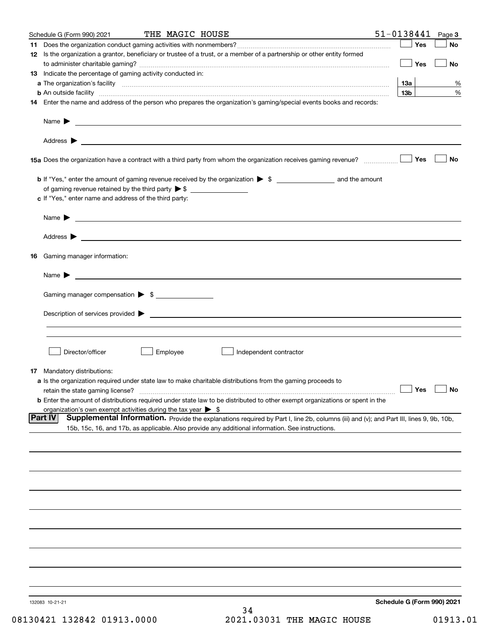| Schedule G (Form 990) 2021                                                   | THE MAGIC HOUSE |                                                                                                                                                                                                                                      | 51-0138441<br>Page 3                   |
|------------------------------------------------------------------------------|-----------------|--------------------------------------------------------------------------------------------------------------------------------------------------------------------------------------------------------------------------------------|----------------------------------------|
|                                                                              |                 |                                                                                                                                                                                                                                      | Yes<br>No                              |
|                                                                              |                 | 12 Is the organization a grantor, beneficiary or trustee of a trust, or a member of a partnership or other entity formed                                                                                                             |                                        |
|                                                                              |                 |                                                                                                                                                                                                                                      | $\Box$ Yes<br>No                       |
| 13 Indicate the percentage of gaming activity conducted in:                  |                 |                                                                                                                                                                                                                                      |                                        |
|                                                                              |                 |                                                                                                                                                                                                                                      | 13a<br>%                               |
|                                                                              |                 | <b>b</b> An outside facility <i>www.communicality www.communicality.communicality www.communicality www.communicality.communicality www.communicality.com</i>                                                                        | 13b  <br>%                             |
|                                                                              |                 | 14 Enter the name and address of the person who prepares the organization's gaming/special events books and records:                                                                                                                 |                                        |
|                                                                              |                 |                                                                                                                                                                                                                                      |                                        |
|                                                                              |                 |                                                                                                                                                                                                                                      |                                        |
|                                                                              |                 | 15a Does the organization have a contract with a third party from whom the organization receives gaming revenue?                                                                                                                     | Yes<br>No                              |
|                                                                              |                 |                                                                                                                                                                                                                                      |                                        |
|                                                                              |                 |                                                                                                                                                                                                                                      |                                        |
| c If "Yes," enter name and address of the third party:                       |                 |                                                                                                                                                                                                                                      |                                        |
|                                                                              |                 |                                                                                                                                                                                                                                      |                                        |
|                                                                              |                 | Name <b>Decision of the Community of the Community of the Community of the Community of the Community of the Community of the Community of the Community of the Community of the Community of the Community of the Community of </b> |                                        |
|                                                                              |                 |                                                                                                                                                                                                                                      |                                        |
|                                                                              |                 |                                                                                                                                                                                                                                      |                                        |
|                                                                              |                 |                                                                                                                                                                                                                                      |                                        |
| <b>16</b> Gaming manager information:                                        |                 |                                                                                                                                                                                                                                      |                                        |
|                                                                              |                 |                                                                                                                                                                                                                                      |                                        |
|                                                                              |                 | Name $\blacktriangleright$ $\bot$                                                                                                                                                                                                    |                                        |
| Gaming manager compensation > \$                                             |                 |                                                                                                                                                                                                                                      |                                        |
|                                                                              |                 |                                                                                                                                                                                                                                      |                                        |
|                                                                              |                 |                                                                                                                                                                                                                                      |                                        |
|                                                                              |                 |                                                                                                                                                                                                                                      |                                        |
|                                                                              |                 |                                                                                                                                                                                                                                      |                                        |
|                                                                              |                 |                                                                                                                                                                                                                                      |                                        |
| Director/officer                                                             | Employee        | Independent contractor                                                                                                                                                                                                               |                                        |
|                                                                              |                 |                                                                                                                                                                                                                                      |                                        |
| 17 Mandatory distributions:                                                  |                 |                                                                                                                                                                                                                                      |                                        |
|                                                                              |                 | a Is the organization required under state law to make charitable distributions from the gaming proceeds to                                                                                                                          | $\Box$ Yes<br>$\boxed{\phantom{1}}$ No |
| retain the state gaming license?                                             |                 | <b>b</b> Enter the amount of distributions required under state law to be distributed to other exempt organizations or spent in the                                                                                                  |                                        |
| organization's own exempt activities during the tax year $\triangleright$ \$ |                 |                                                                                                                                                                                                                                      |                                        |
| Part IV                                                                      |                 | Supplemental Information. Provide the explanations required by Part I, line 2b, columns (iii) and (v); and Part III, lines 9, 9b, 10b,                                                                                               |                                        |
|                                                                              |                 | 15b, 15c, 16, and 17b, as applicable. Also provide any additional information. See instructions.                                                                                                                                     |                                        |
|                                                                              |                 |                                                                                                                                                                                                                                      |                                        |
|                                                                              |                 |                                                                                                                                                                                                                                      |                                        |
|                                                                              |                 |                                                                                                                                                                                                                                      |                                        |
|                                                                              |                 |                                                                                                                                                                                                                                      |                                        |
|                                                                              |                 |                                                                                                                                                                                                                                      |                                        |
|                                                                              |                 |                                                                                                                                                                                                                                      |                                        |
|                                                                              |                 |                                                                                                                                                                                                                                      |                                        |
|                                                                              |                 |                                                                                                                                                                                                                                      |                                        |
|                                                                              |                 |                                                                                                                                                                                                                                      |                                        |
|                                                                              |                 |                                                                                                                                                                                                                                      |                                        |
|                                                                              |                 |                                                                                                                                                                                                                                      |                                        |
|                                                                              |                 |                                                                                                                                                                                                                                      |                                        |
|                                                                              |                 |                                                                                                                                                                                                                                      |                                        |
|                                                                              |                 |                                                                                                                                                                                                                                      |                                        |
|                                                                              |                 |                                                                                                                                                                                                                                      |                                        |
|                                                                              |                 |                                                                                                                                                                                                                                      |                                        |
| 132083 10-21-21                                                              |                 |                                                                                                                                                                                                                                      | Schedule G (Form 990) 2021             |
|                                                                              |                 | 34                                                                                                                                                                                                                                   |                                        |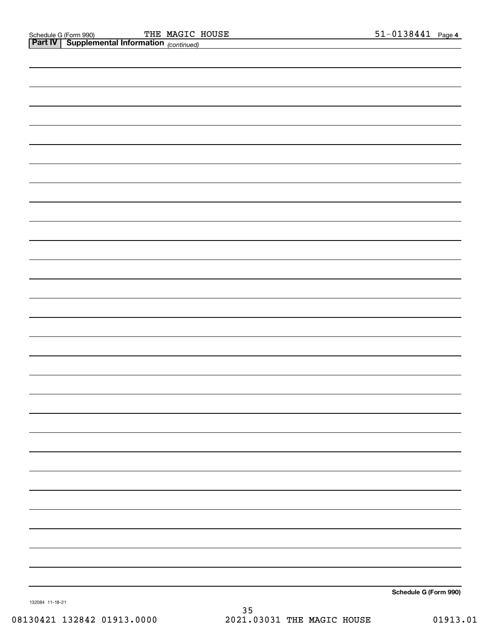| <u> 1989 - Johann Stoff, amerikan bestemannter (b. 1989)</u> |  |
|--------------------------------------------------------------|--|
|                                                              |  |

**Schedule G (Form 990)**

132084 11-18-21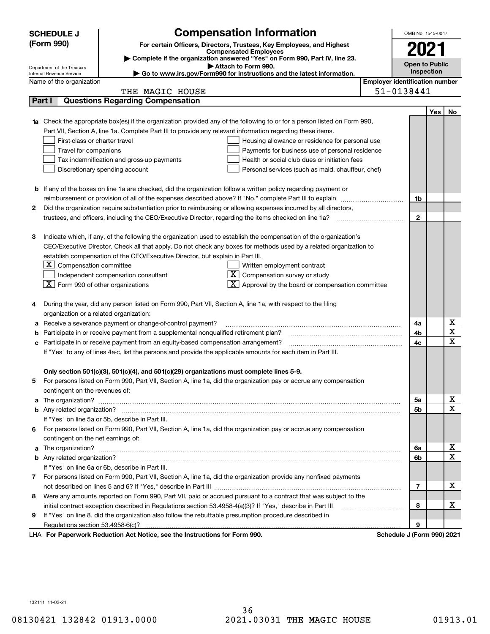| <b>Compensation Information</b><br><b>SCHEDULE J</b><br>OMB No. 1545-0047<br>(Form 990)<br>For certain Officers, Directors, Trustees, Key Employees, and Highest<br>2021<br><b>Compensated Employees</b><br>Complete if the organization answered "Yes" on Form 990, Part IV, line 23.<br><b>Open to Public</b><br>Attach to Form 990.<br>Department of the Treasury<br>Inspection<br>Go to www.irs.gov/Form990 for instructions and the latest information.<br>Internal Revenue Service |                                                                                                    |                                                                                                                                                                                                                                                                                                                                                                                                                                                                                                                                                                                                                                         |                                       |                            |     |                  |  |  |  |  |
|------------------------------------------------------------------------------------------------------------------------------------------------------------------------------------------------------------------------------------------------------------------------------------------------------------------------------------------------------------------------------------------------------------------------------------------------------------------------------------------|----------------------------------------------------------------------------------------------------|-----------------------------------------------------------------------------------------------------------------------------------------------------------------------------------------------------------------------------------------------------------------------------------------------------------------------------------------------------------------------------------------------------------------------------------------------------------------------------------------------------------------------------------------------------------------------------------------------------------------------------------------|---------------------------------------|----------------------------|-----|------------------|--|--|--|--|
|                                                                                                                                                                                                                                                                                                                                                                                                                                                                                          | Name of the organization                                                                           |                                                                                                                                                                                                                                                                                                                                                                                                                                                                                                                                                                                                                                         | <b>Employer identification number</b> |                            |     |                  |  |  |  |  |
|                                                                                                                                                                                                                                                                                                                                                                                                                                                                                          |                                                                                                    | THE MAGIC HOUSE                                                                                                                                                                                                                                                                                                                                                                                                                                                                                                                                                                                                                         |                                       | 51-0138441                 |     |                  |  |  |  |  |
|                                                                                                                                                                                                                                                                                                                                                                                                                                                                                          | Part I                                                                                             | <b>Questions Regarding Compensation</b>                                                                                                                                                                                                                                                                                                                                                                                                                                                                                                                                                                                                 |                                       |                            |     |                  |  |  |  |  |
|                                                                                                                                                                                                                                                                                                                                                                                                                                                                                          |                                                                                                    |                                                                                                                                                                                                                                                                                                                                                                                                                                                                                                                                                                                                                                         |                                       |                            | Yes | No               |  |  |  |  |
|                                                                                                                                                                                                                                                                                                                                                                                                                                                                                          | First-class or charter travel<br>Travel for companions                                             | Check the appropriate box(es) if the organization provided any of the following to or for a person listed on Form 990,<br>Part VII, Section A, line 1a. Complete Part III to provide any relevant information regarding these items.<br>Housing allowance or residence for personal use<br>Payments for business use of personal residence<br>Tax indemnification and gross-up payments<br>Health or social club dues or initiation fees<br>Discretionary spending account<br>Personal services (such as maid, chauffeur, chef)                                                                                                         |                                       |                            |     |                  |  |  |  |  |
|                                                                                                                                                                                                                                                                                                                                                                                                                                                                                          |                                                                                                    | <b>b</b> If any of the boxes on line 1a are checked, did the organization follow a written policy regarding payment or                                                                                                                                                                                                                                                                                                                                                                                                                                                                                                                  |                                       |                            |     |                  |  |  |  |  |
|                                                                                                                                                                                                                                                                                                                                                                                                                                                                                          |                                                                                                    |                                                                                                                                                                                                                                                                                                                                                                                                                                                                                                                                                                                                                                         |                                       | 1b                         |     |                  |  |  |  |  |
| 2                                                                                                                                                                                                                                                                                                                                                                                                                                                                                        |                                                                                                    | Did the organization require substantiation prior to reimbursing or allowing expenses incurred by all directors,                                                                                                                                                                                                                                                                                                                                                                                                                                                                                                                        |                                       |                            |     |                  |  |  |  |  |
|                                                                                                                                                                                                                                                                                                                                                                                                                                                                                          |                                                                                                    |                                                                                                                                                                                                                                                                                                                                                                                                                                                                                                                                                                                                                                         |                                       | $\mathbf{2}$               |     |                  |  |  |  |  |
| з                                                                                                                                                                                                                                                                                                                                                                                                                                                                                        | $\lfloor x \rfloor$ Compensation committee<br>$\boxed{\textbf{X}}$ Form 990 of other organizations | Indicate which, if any, of the following the organization used to establish the compensation of the organization's<br>CEO/Executive Director. Check all that apply. Do not check any boxes for methods used by a related organization to<br>establish compensation of the CEO/Executive Director, but explain in Part III.<br>Written employment contract<br>$\overline{X}$ Compensation survey or study<br>Independent compensation consultant<br>$\boxed{\textbf{X}}$ Approval by the board or compensation committee<br>During the year, did any person listed on Form 990, Part VII, Section A, line 1a, with respect to the filing |                                       |                            |     |                  |  |  |  |  |
|                                                                                                                                                                                                                                                                                                                                                                                                                                                                                          | organization or a related organization:                                                            |                                                                                                                                                                                                                                                                                                                                                                                                                                                                                                                                                                                                                                         |                                       |                            |     |                  |  |  |  |  |
| а                                                                                                                                                                                                                                                                                                                                                                                                                                                                                        |                                                                                                    | Receive a severance payment or change-of-control payment?                                                                                                                                                                                                                                                                                                                                                                                                                                                                                                                                                                               |                                       | 4a                         |     | х                |  |  |  |  |
| b                                                                                                                                                                                                                                                                                                                                                                                                                                                                                        |                                                                                                    | Participate in or receive payment from a supplemental nonqualified retirement plan?                                                                                                                                                                                                                                                                                                                                                                                                                                                                                                                                                     |                                       | 4b                         |     | X<br>$\mathbf X$ |  |  |  |  |
| с                                                                                                                                                                                                                                                                                                                                                                                                                                                                                        |                                                                                                    | Participate in or receive payment from an equity-based compensation arrangement?                                                                                                                                                                                                                                                                                                                                                                                                                                                                                                                                                        |                                       | 4c                         |     |                  |  |  |  |  |
|                                                                                                                                                                                                                                                                                                                                                                                                                                                                                          | contingent on the revenues of:                                                                     | If "Yes" to any of lines 4a-c, list the persons and provide the applicable amounts for each item in Part III.<br>Only section 501(c)(3), 501(c)(4), and 501(c)(29) organizations must complete lines 5-9.<br>For persons listed on Form 990, Part VII, Section A, line 1a, did the organization pay or accrue any compensation                                                                                                                                                                                                                                                                                                          |                                       |                            |     |                  |  |  |  |  |
| a                                                                                                                                                                                                                                                                                                                                                                                                                                                                                        |                                                                                                    | The organization? <b>With the contract of the contract of the contract of the contract of the contract of the contract of the contract of the contract of the contract of the contract of the contract of the contract of the co</b>                                                                                                                                                                                                                                                                                                                                                                                                    |                                       | 5a                         |     | x                |  |  |  |  |
|                                                                                                                                                                                                                                                                                                                                                                                                                                                                                          |                                                                                                    |                                                                                                                                                                                                                                                                                                                                                                                                                                                                                                                                                                                                                                         |                                       | 5b                         |     | $\mathbf X$      |  |  |  |  |
|                                                                                                                                                                                                                                                                                                                                                                                                                                                                                          |                                                                                                    | If "Yes" on line 5a or 5b, describe in Part III.                                                                                                                                                                                                                                                                                                                                                                                                                                                                                                                                                                                        |                                       |                            |     |                  |  |  |  |  |
|                                                                                                                                                                                                                                                                                                                                                                                                                                                                                          |                                                                                                    | 6 For persons listed on Form 990, Part VII, Section A, line 1a, did the organization pay or accrue any compensation                                                                                                                                                                                                                                                                                                                                                                                                                                                                                                                     |                                       |                            |     |                  |  |  |  |  |
|                                                                                                                                                                                                                                                                                                                                                                                                                                                                                          | contingent on the net earnings of:                                                                 |                                                                                                                                                                                                                                                                                                                                                                                                                                                                                                                                                                                                                                         |                                       |                            |     |                  |  |  |  |  |
| a                                                                                                                                                                                                                                                                                                                                                                                                                                                                                        |                                                                                                    |                                                                                                                                                                                                                                                                                                                                                                                                                                                                                                                                                                                                                                         |                                       | 6a                         |     | х<br>$\mathbf X$ |  |  |  |  |
|                                                                                                                                                                                                                                                                                                                                                                                                                                                                                          |                                                                                                    |                                                                                                                                                                                                                                                                                                                                                                                                                                                                                                                                                                                                                                         |                                       | 6b                         |     |                  |  |  |  |  |
|                                                                                                                                                                                                                                                                                                                                                                                                                                                                                          |                                                                                                    | If "Yes" on line 6a or 6b, describe in Part III.                                                                                                                                                                                                                                                                                                                                                                                                                                                                                                                                                                                        |                                       |                            |     |                  |  |  |  |  |
|                                                                                                                                                                                                                                                                                                                                                                                                                                                                                          |                                                                                                    | 7 For persons listed on Form 990, Part VII, Section A, line 1a, did the organization provide any nonfixed payments                                                                                                                                                                                                                                                                                                                                                                                                                                                                                                                      |                                       | $\overline{7}$             |     | x                |  |  |  |  |
| 8                                                                                                                                                                                                                                                                                                                                                                                                                                                                                        |                                                                                                    | Were any amounts reported on Form 990, Part VII, paid or accrued pursuant to a contract that was subject to the                                                                                                                                                                                                                                                                                                                                                                                                                                                                                                                         |                                       |                            |     |                  |  |  |  |  |
|                                                                                                                                                                                                                                                                                                                                                                                                                                                                                          |                                                                                                    | initial contract exception described in Regulations section 53.4958-4(a)(3)? If "Yes," describe in Part III                                                                                                                                                                                                                                                                                                                                                                                                                                                                                                                             |                                       | 8                          |     | х                |  |  |  |  |
| 9                                                                                                                                                                                                                                                                                                                                                                                                                                                                                        |                                                                                                    | If "Yes" on line 8, did the organization also follow the rebuttable presumption procedure described in                                                                                                                                                                                                                                                                                                                                                                                                                                                                                                                                  |                                       |                            |     |                  |  |  |  |  |
|                                                                                                                                                                                                                                                                                                                                                                                                                                                                                          |                                                                                                    |                                                                                                                                                                                                                                                                                                                                                                                                                                                                                                                                                                                                                                         |                                       | 9                          |     |                  |  |  |  |  |
|                                                                                                                                                                                                                                                                                                                                                                                                                                                                                          |                                                                                                    | LHA For Paperwork Reduction Act Notice, see the Instructions for Form 990.                                                                                                                                                                                                                                                                                                                                                                                                                                                                                                                                                              |                                       | Schedule J (Form 990) 2021 |     |                  |  |  |  |  |

132111 11-02-21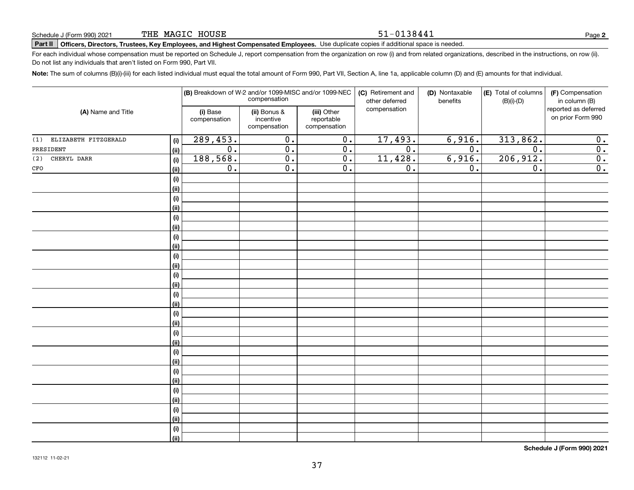### 51-0138441

# **Part II Officers, Directors, Trustees, Key Employees, and Highest Compensated Employees.**  Schedule J (Form 990) 2021 Page Use duplicate copies if additional space is needed.

For each individual whose compensation must be reported on Schedule J, report compensation from the organization on row (i) and from related organizations, described in the instructions, on row (ii). Do not list any individuals that aren't listed on Form 990, Part VII.

**Note:**  The sum of columns (B)(i)-(iii) for each listed individual must equal the total amount of Form 990, Part VII, Section A, line 1a, applicable column (D) and (E) amounts for that individual.

| (A) Name and Title       |                              |                          | compensation                              | (B) Breakdown of W-2 and/or 1099-MISC and/or 1099-NEC | (C) Retirement and<br>other deferred | (D) Nontaxable<br>benefits | (E) Total of columns<br>$(B)(i)-(D)$ | (F) Compensation<br>in column (B)         |
|--------------------------|------------------------------|--------------------------|-------------------------------------------|-------------------------------------------------------|--------------------------------------|----------------------------|--------------------------------------|-------------------------------------------|
|                          |                              | (i) Base<br>compensation | (ii) Bonus &<br>incentive<br>compensation | (iii) Other<br>reportable<br>compensation             | compensation                         |                            |                                      | reported as deferred<br>on prior Form 990 |
| (1) ELIZABETH FITZGERALD | (i)                          | 289, 453.                | $\overline{0}$ .                          | $\overline{0}$ .                                      | 17,493.                              | 6,916.                     | 313,862.                             | 0.                                        |
| PRESIDENT                | (ii)                         | $\overline{0}$ .         | $\overline{0}$ .                          | 0.                                                    | $\overline{0}$ .                     | $\overline{0}$ .           | $\overline{0}$ .                     | $\overline{\mathbf{0}}$ .                 |
| CHERYL DARR<br>(2)       | (i)                          | 188,568.                 | $\overline{0}$ .                          | $\overline{0}$ .                                      | 11,428.                              | 6,916.                     | 206, 912.                            | $\overline{0}$ .                          |
| CFO                      | (ii)                         | $\overline{0}$ .         | $\overline{0}$ .                          | $\overline{0}$ .                                      | $\overline{0}$ .                     | 0.                         | $\overline{0}$ .                     | $\overline{\mathbf{0}}$ .                 |
|                          | (i)                          |                          |                                           |                                                       |                                      |                            |                                      |                                           |
|                          | (ii)                         |                          |                                           |                                                       |                                      |                            |                                      |                                           |
|                          | (i)                          |                          |                                           |                                                       |                                      |                            |                                      |                                           |
|                          | (ii)                         |                          |                                           |                                                       |                                      |                            |                                      |                                           |
|                          | (i)                          |                          |                                           |                                                       |                                      |                            |                                      |                                           |
|                          | (ii)                         |                          |                                           |                                                       |                                      |                            |                                      |                                           |
|                          | $(\sf{i})$                   |                          |                                           |                                                       |                                      |                            |                                      |                                           |
|                          | (ii)                         |                          |                                           |                                                       |                                      |                            |                                      |                                           |
|                          | $(\sf{i})$                   |                          |                                           |                                                       |                                      |                            |                                      |                                           |
|                          | (ii)                         |                          |                                           |                                                       |                                      |                            |                                      |                                           |
|                          | (i)                          |                          |                                           |                                                       |                                      |                            |                                      |                                           |
|                          | (ii)                         |                          |                                           |                                                       |                                      |                            |                                      |                                           |
|                          | (i)                          |                          |                                           |                                                       |                                      |                            |                                      |                                           |
|                          | (ii)                         |                          |                                           |                                                       |                                      |                            |                                      |                                           |
|                          | $\qquad \qquad \textbf{(i)}$ |                          |                                           |                                                       |                                      |                            |                                      |                                           |
|                          | (ii)                         |                          |                                           |                                                       |                                      |                            |                                      |                                           |
|                          | $(\sf{i})$                   |                          |                                           |                                                       |                                      |                            |                                      |                                           |
|                          | (ii)                         |                          |                                           |                                                       |                                      |                            |                                      |                                           |
|                          | $\qquad \qquad \textbf{(i)}$ |                          |                                           |                                                       |                                      |                            |                                      |                                           |
|                          | (ii)                         |                          |                                           |                                                       |                                      |                            |                                      |                                           |
|                          | (i)                          |                          |                                           |                                                       |                                      |                            |                                      |                                           |
|                          | (ii)                         |                          |                                           |                                                       |                                      |                            |                                      |                                           |
|                          | (i)                          |                          |                                           |                                                       |                                      |                            |                                      |                                           |
|                          | (ii)                         |                          |                                           |                                                       |                                      |                            |                                      |                                           |
|                          | $\qquad \qquad \textbf{(i)}$ |                          |                                           |                                                       |                                      |                            |                                      |                                           |
|                          | (ii)                         |                          |                                           |                                                       |                                      |                            |                                      |                                           |
|                          | $(\sf{i})$                   |                          |                                           |                                                       |                                      |                            |                                      |                                           |
|                          | (ii)                         |                          |                                           |                                                       |                                      |                            |                                      |                                           |

**Schedule J (Form 990) 2021**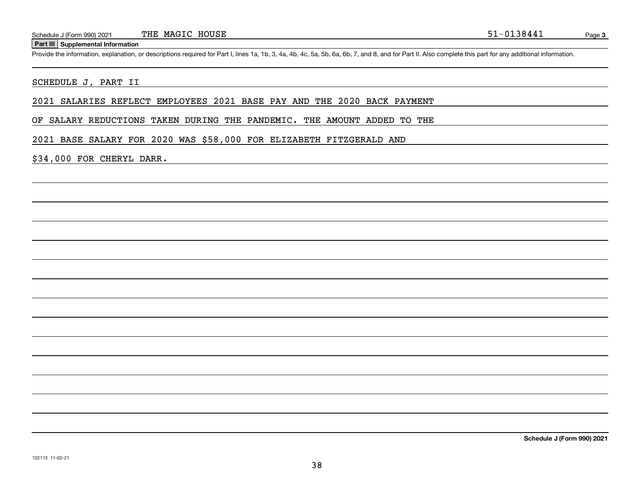### **Part III Supplemental Information**

Schedule J (Form 990) 2021 THE MAGIC HOUSE<br>
Part III Supplemental Information<br>
Provide the information, explanation, or descriptions required for Part I, lines 1a, 1b, 3, 4a, 4b, 4c, 5a, 5b, 6a, 6b, 7, and 8, and for Part

# SCHEDULE J, PART II

2021 SALARIES REFLECT EMPLOYEES 2021 BASE PAY AND THE 2020 BACK PAYMENT

### OF SALARY REDUCTIONS TAKEN DURING THE PANDEMIC. THE AMOUNT ADDED TO THE

2021 BASE SALARY FOR 2020 WAS \$58,000 FOR ELIZABETH FITZGERALD AND

### \$34,000 FOR CHERYL DARR.

**Schedule J (Form 990) 2021**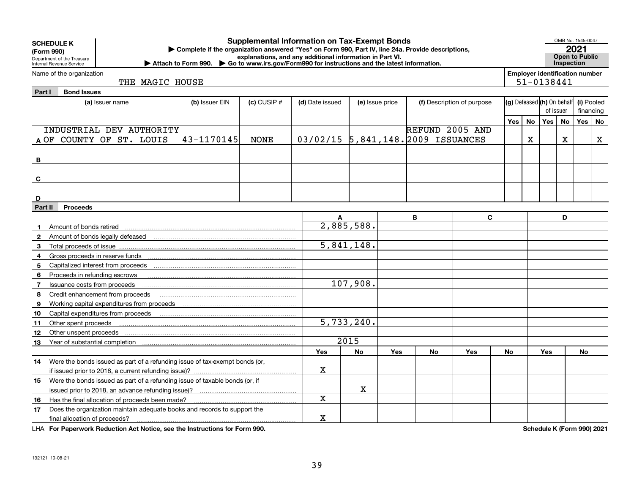| <b>Supplemental Information on Tax-Exempt Bonds</b><br>OMB No. 1545-0047<br><b>SCHEDULE K</b><br>2021<br>Complete if the organization answered "Yes" on Form 990, Part IV, line 24a. Provide descriptions,<br>(Form 990)<br><b>Open to Public</b><br>explanations, and any additional information in Part VI.<br>Department of the Treasury<br><b>Inspection</b><br>Attach to Form 990.<br>▶ Go to www.irs.gov/Form990 for instructions and the latest information.<br>Internal Revenue Service |                                                                                                                |                |                 |                                    |                  |            |           |                            |            |           |                                                     |           |            |    |
|-------------------------------------------------------------------------------------------------------------------------------------------------------------------------------------------------------------------------------------------------------------------------------------------------------------------------------------------------------------------------------------------------------------------------------------------------------------------------------------------------|----------------------------------------------------------------------------------------------------------------|----------------|-----------------|------------------------------------|------------------|------------|-----------|----------------------------|------------|-----------|-----------------------------------------------------|-----------|------------|----|
| Name of the organization                                                                                                                                                                                                                                                                                                                                                                                                                                                                        | THE MAGIC HOUSE                                                                                                |                |                 |                                    |                  |            |           |                            |            |           | <b>Employer identification number</b><br>51-0138441 |           |            |    |
| Part I<br><b>Bond Issues</b>                                                                                                                                                                                                                                                                                                                                                                                                                                                                    |                                                                                                                |                |                 |                                    |                  |            |           |                            |            |           |                                                     |           |            |    |
|                                                                                                                                                                                                                                                                                                                                                                                                                                                                                                 | (a) Issuer name                                                                                                | (b) Issuer EIN | $(c)$ CUSIP $#$ | (d) Date issued                    | (e) Issue price  |            |           | (f) Description of purpose |            |           | (g) Defeased (h) On behalf                          |           | (i) Pooled |    |
|                                                                                                                                                                                                                                                                                                                                                                                                                                                                                                 |                                                                                                                |                |                 |                                    |                  |            |           |                            |            |           | of issuer                                           |           | financing  |    |
|                                                                                                                                                                                                                                                                                                                                                                                                                                                                                                 |                                                                                                                |                |                 |                                    |                  |            |           |                            | <b>Yes</b> | <b>No</b> | <b>Yes</b>                                          | <b>No</b> | Yes        | No |
|                                                                                                                                                                                                                                                                                                                                                                                                                                                                                                 | INDUSTRIAL DEV AUTHORITY                                                                                       |                | <b>NONE</b>     | 03/02/15 5,841,148. 2009 ISSUANCES |                  |            |           | REFUND 2005 AND            |            |           |                                                     |           |            |    |
|                                                                                                                                                                                                                                                                                                                                                                                                                                                                                                 | A OF COUNTY OF ST. LOUIS                                                                                       | 43-1170145     |                 |                                    |                  |            |           |                            |            | x         |                                                     | x         |            | X  |
|                                                                                                                                                                                                                                                                                                                                                                                                                                                                                                 |                                                                                                                |                |                 |                                    |                  |            |           |                            |            |           |                                                     |           |            |    |
| B                                                                                                                                                                                                                                                                                                                                                                                                                                                                                               |                                                                                                                |                |                 |                                    |                  |            |           |                            |            |           |                                                     |           |            |    |
| C                                                                                                                                                                                                                                                                                                                                                                                                                                                                                               |                                                                                                                |                |                 |                                    |                  |            |           |                            |            |           |                                                     |           |            |    |
|                                                                                                                                                                                                                                                                                                                                                                                                                                                                                                 |                                                                                                                |                |                 |                                    |                  |            |           |                            |            |           |                                                     |           |            |    |
| D                                                                                                                                                                                                                                                                                                                                                                                                                                                                                               |                                                                                                                |                |                 |                                    |                  |            |           |                            |            |           |                                                     |           |            |    |
| <b>Proceeds</b><br>Part II                                                                                                                                                                                                                                                                                                                                                                                                                                                                      |                                                                                                                |                |                 |                                    |                  |            |           |                            |            |           |                                                     |           |            |    |
|                                                                                                                                                                                                                                                                                                                                                                                                                                                                                                 |                                                                                                                |                |                 | A                                  |                  |            | B         | C                          |            |           |                                                     | D         |            |    |
| Amount of bonds retired<br>1.                                                                                                                                                                                                                                                                                                                                                                                                                                                                   |                                                                                                                |                |                 |                                    | 2,885,588.       |            |           |                            |            |           |                                                     |           |            |    |
| $\mathbf{2}$                                                                                                                                                                                                                                                                                                                                                                                                                                                                                    | Amount of bonds legally defeased [1, 2001] [1, 2010] [1, 2010] [1, 2010] [1, 2010] [1, 2010] [1, 2010] [1, 201 |                |                 |                                    |                  |            |           |                            |            |           |                                                     |           |            |    |
| 3                                                                                                                                                                                                                                                                                                                                                                                                                                                                                               |                                                                                                                |                |                 |                                    | 5,841,148.       |            |           |                            |            |           |                                                     |           |            |    |
| 4                                                                                                                                                                                                                                                                                                                                                                                                                                                                                               |                                                                                                                |                |                 |                                    |                  |            |           |                            |            |           |                                                     |           |            |    |
| 5                                                                                                                                                                                                                                                                                                                                                                                                                                                                                               |                                                                                                                |                |                 |                                    |                  |            |           |                            |            |           |                                                     |           |            |    |
| 6                                                                                                                                                                                                                                                                                                                                                                                                                                                                                               | Proceeds in refunding escrows                                                                                  |                |                 |                                    | 107,908.         |            |           |                            |            |           |                                                     |           |            |    |
| 7<br>8                                                                                                                                                                                                                                                                                                                                                                                                                                                                                          | Issuance costs from proceeds<br>Credit enhancement from proceeds                                               |                |                 |                                    |                  |            |           |                            |            |           |                                                     |           |            |    |
| 9                                                                                                                                                                                                                                                                                                                                                                                                                                                                                               |                                                                                                                |                |                 |                                    |                  |            |           |                            |            |           |                                                     |           |            |    |
| 10                                                                                                                                                                                                                                                                                                                                                                                                                                                                                              |                                                                                                                |                |                 |                                    |                  |            |           |                            |            |           |                                                     |           |            |    |
| Other spent proceeds<br>11                                                                                                                                                                                                                                                                                                                                                                                                                                                                      |                                                                                                                |                |                 |                                    | 5,733,240.       |            |           |                            |            |           |                                                     |           |            |    |
| 12<br>Other unspent proceeds                                                                                                                                                                                                                                                                                                                                                                                                                                                                    |                                                                                                                |                |                 |                                    |                  |            |           |                            |            |           |                                                     |           |            |    |
| 13                                                                                                                                                                                                                                                                                                                                                                                                                                                                                              |                                                                                                                |                |                 |                                    | $\frac{2015}{ }$ |            |           |                            |            |           |                                                     |           |            |    |
|                                                                                                                                                                                                                                                                                                                                                                                                                                                                                                 |                                                                                                                |                |                 | Yes                                | <b>No</b>        | <b>Yes</b> | <b>No</b> | <b>Yes</b>                 | <b>No</b>  |           | Yes                                                 |           | No         |    |
| 14                                                                                                                                                                                                                                                                                                                                                                                                                                                                                              | Were the bonds issued as part of a refunding issue of tax-exempt bonds (or,                                    |                |                 |                                    |                  |            |           |                            |            |           |                                                     |           |            |    |
|                                                                                                                                                                                                                                                                                                                                                                                                                                                                                                 | if issued prior to 2018, a current refunding issue)?                                                           |                |                 | X                                  |                  |            |           |                            |            |           |                                                     |           |            |    |
| Were the bonds issued as part of a refunding issue of taxable bonds (or, if<br>15                                                                                                                                                                                                                                                                                                                                                                                                               |                                                                                                                |                |                 |                                    |                  |            |           |                            |            |           |                                                     |           |            |    |
|                                                                                                                                                                                                                                                                                                                                                                                                                                                                                                 |                                                                                                                |                |                 |                                    | X                |            |           |                            |            |           |                                                     |           |            |    |
| 16                                                                                                                                                                                                                                                                                                                                                                                                                                                                                              | Has the final allocation of proceeds been made?                                                                |                |                 | $\mathbf x$                        |                  |            |           |                            |            |           |                                                     |           |            |    |
| 17                                                                                                                                                                                                                                                                                                                                                                                                                                                                                              | Does the organization maintain adequate books and records to support the                                       |                |                 | x                                  |                  |            |           |                            |            |           |                                                     |           |            |    |
|                                                                                                                                                                                                                                                                                                                                                                                                                                                                                                 | final allocation of proceeds?                                                                                  |                |                 |                                    |                  |            |           |                            |            |           |                                                     |           |            |    |

**Supplemental Information on Tax-Exempt Bonds**

**For Paperwork Reduction Act Notice, see the Instructions for Form 990. Schedule K (Form 990) 2021** LHA

OMB No. 1545-0047

 $\blacksquare$ 

 $\mathbf{I}$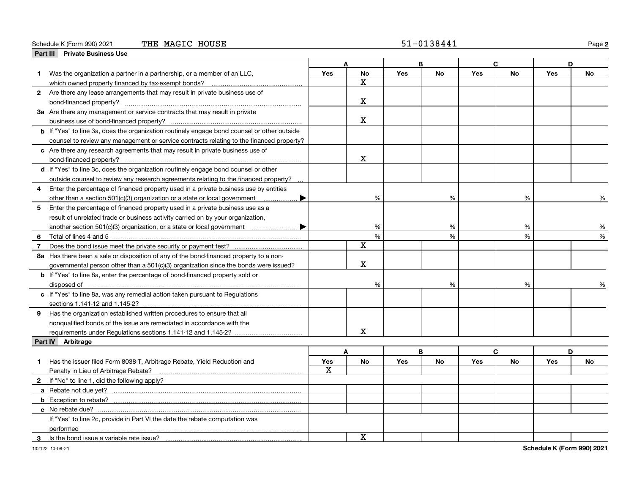#### Schedule K (Form 990) 2021  $\bf{THE\,\, MAGIC\,\, HOUSE}$   $\bf{51-0138441}$   $\bf{51-0138441}$

**Part III Private Business Use**

|  | 51-0138441 |  |  |  |  |  |  |  |  |
|--|------------|--|--|--|--|--|--|--|--|
|--|------------|--|--|--|--|--|--|--|--|

**2**

|   |                                                                                                    |     | Δ                       |            | B  |     | C.           |            | D  |
|---|----------------------------------------------------------------------------------------------------|-----|-------------------------|------------|----|-----|--------------|------------|----|
|   | Was the organization a partner in a partnership, or a member of an LLC,                            | Yes | <b>No</b>               | <b>Yes</b> | No | Yes | <b>No</b>    | <b>Yes</b> | No |
|   |                                                                                                    |     | X                       |            |    |     |              |            |    |
|   | 2 Are there any lease arrangements that may result in private business use of                      |     |                         |            |    |     |              |            |    |
|   |                                                                                                    |     | X                       |            |    |     |              |            |    |
|   | 3a Are there any management or service contracts that may result in private                        |     |                         |            |    |     |              |            |    |
|   | business use of bond-financed property?                                                            |     | X                       |            |    |     |              |            |    |
|   | <b>b</b> If "Yes" to line 3a, does the organization routinely engage bond counsel or other outside |     |                         |            |    |     |              |            |    |
|   | counsel to review any management or service contracts relating to the financed property?           |     |                         |            |    |     |              |            |    |
|   | c Are there any research agreements that may result in private business use of                     |     |                         |            |    |     |              |            |    |
|   | bond-financed property?                                                                            |     | x                       |            |    |     |              |            |    |
|   | d If "Yes" to line 3c, does the organization routinely engage bond counsel or other                |     |                         |            |    |     |              |            |    |
|   | outside counsel to review any research agreements relating to the financed property?               |     |                         |            |    |     |              |            |    |
| 4 | Enter the percentage of financed property used in a private business use by entities               |     |                         |            |    |     |              |            |    |
|   | other than a section 501(c)(3) organization or a state or local government<br>▶                    |     | %                       |            | %  |     | %            |            |    |
| 5 | Enter the percentage of financed property used in a private business use as a                      |     |                         |            |    |     |              |            |    |
|   | result of unrelated trade or business activity carried on by your organization,                    |     |                         |            |    |     |              |            |    |
|   |                                                                                                    |     | %                       |            | %  |     | %            |            | %  |
| 6 |                                                                                                    |     | %                       |            | %  |     | %            |            | %  |
| 7 |                                                                                                    |     | $\overline{\mathbf{x}}$ |            |    |     |              |            |    |
|   | 8a Has there been a sale or disposition of any of the bond-financed property to a non-             |     |                         |            |    |     |              |            |    |
|   | governmental person other than a 501(c)(3) organization since the bonds were issued?               |     | X                       |            |    |     |              |            |    |
|   | <b>b</b> If "Yes" to line 8a, enter the percentage of bond-financed property sold or               |     |                         |            |    |     |              |            |    |
|   | disposed of                                                                                        |     | %                       |            | %  |     | %            |            |    |
|   | c If "Yes" to line 8a, was any remedial action taken pursuant to Regulations                       |     |                         |            |    |     |              |            |    |
|   |                                                                                                    |     |                         |            |    |     |              |            |    |
|   | 9 Has the organization established written procedures to ensure that all                           |     |                         |            |    |     |              |            |    |
|   | nonqualified bonds of the issue are remediated in accordance with the                              |     |                         |            |    |     |              |            |    |
|   |                                                                                                    |     | x                       |            |    |     |              |            |    |
|   | Part IV Arbitrage                                                                                  |     |                         |            |    |     |              |            |    |
|   |                                                                                                    |     |                         |            | B  |     | $\mathbf{C}$ |            | D  |
| 1 | Has the issuer filed Form 8038-T, Arbitrage Rebate, Yield Reduction and                            | Yes | No                      | <b>Yes</b> | No | Yes | <b>No</b>    | Yes        | No |
|   |                                                                                                    | X   |                         |            |    |     |              |            |    |
|   | 2 If "No" to line 1, did the following apply?                                                      |     |                         |            |    |     |              |            |    |
|   |                                                                                                    |     |                         |            |    |     |              |            |    |
|   |                                                                                                    |     |                         |            |    |     |              |            |    |
|   |                                                                                                    |     |                         |            |    |     |              |            |    |
|   | If "Yes" to line 2c, provide in Part VI the date the rebate computation was                        |     |                         |            |    |     |              |            |    |
|   | performed                                                                                          |     |                         |            |    |     |              |            |    |
| 3 |                                                                                                    |     | X                       |            |    |     |              |            |    |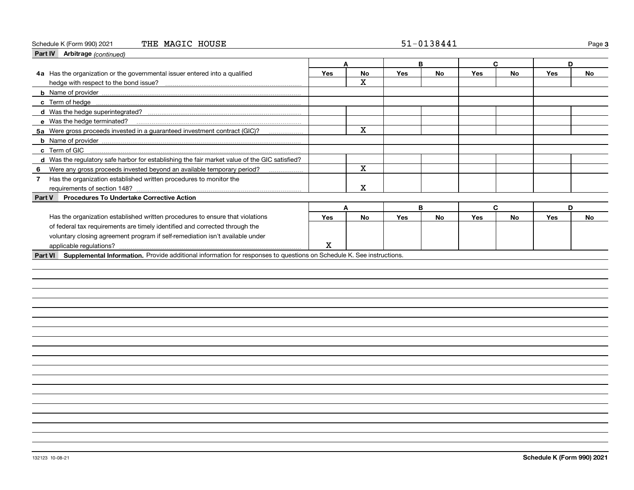#### Schedule K (Form 990) 2021  $\bf{THE\,\, MAGIC\,\, HOUSE}$   $\bf{51-0138441}$   $\bf{51-0138441}$

|  | $-0138441$ |  |  |  |
|--|------------|--|--|--|
|  |            |  |  |  |

**3**

|        | Part IV Arbitrage (continued)                                                                                                |            |             |     |           |     |           |     |           |
|--------|------------------------------------------------------------------------------------------------------------------------------|------------|-------------|-----|-----------|-----|-----------|-----|-----------|
|        |                                                                                                                              |            | A           |     | B         |     | C         |     | D         |
|        | 4a Has the organization or the governmental issuer entered into a qualified                                                  | <b>Yes</b> | No          | Yes | No        | Yes | No        | Yes | No        |
|        |                                                                                                                              |            | X           |     |           |     |           |     |           |
|        |                                                                                                                              |            |             |     |           |     |           |     |           |
|        |                                                                                                                              |            |             |     |           |     |           |     |           |
|        |                                                                                                                              |            |             |     |           |     |           |     |           |
|        | e Was the hedge terminated?                                                                                                  |            |             |     |           |     |           |     |           |
|        | 5a Were gross proceeds invested in a guaranteed investment contract (GIC)?                                                   |            | $\mathbf X$ |     |           |     |           |     |           |
|        |                                                                                                                              |            |             |     |           |     |           |     |           |
|        | c Term of GIC                                                                                                                |            |             |     |           |     |           |     |           |
|        | d Was the regulatory safe harbor for establishing the fair market value of the GIC satisfied?                                |            |             |     |           |     |           |     |           |
|        | 6 Were any gross proceeds invested beyond an available temporary period?                                                     |            | $\mathbf X$ |     |           |     |           |     |           |
|        | 7 Has the organization established written procedures to monitor the                                                         |            |             |     |           |     |           |     |           |
|        |                                                                                                                              |            | $\mathbf X$ |     |           |     |           |     |           |
| Part V | <b>Procedures To Undertake Corrective Action</b>                                                                             |            |             |     |           |     |           |     |           |
|        |                                                                                                                              |            | A           | B   |           |     | C         |     | D         |
|        | Has the organization established written procedures to ensure that violations                                                | <b>Yes</b> | <b>No</b>   | Yes | <b>No</b> | Yes | <b>No</b> | Yes | <b>No</b> |
|        | of federal tax requirements are timely identified and corrected through the                                                  |            |             |     |           |     |           |     |           |
|        | voluntary closing agreement program if self-remediation isn't available under                                                |            |             |     |           |     |           |     |           |
|        |                                                                                                                              | X          |             |     |           |     |           |     |           |
|        | Part VI Supplemental Information. Provide additional information for responses to questions on Schedule K. See instructions. |            |             |     |           |     |           |     |           |
|        |                                                                                                                              |            |             |     |           |     |           |     |           |
|        |                                                                                                                              |            |             |     |           |     |           |     |           |
|        |                                                                                                                              |            |             |     |           |     |           |     |           |
|        |                                                                                                                              |            |             |     |           |     |           |     |           |
|        |                                                                                                                              |            |             |     |           |     |           |     |           |
|        |                                                                                                                              |            |             |     |           |     |           |     |           |
|        |                                                                                                                              |            |             |     |           |     |           |     |           |
|        |                                                                                                                              |            |             |     |           |     |           |     |           |
|        |                                                                                                                              |            |             |     |           |     |           |     |           |
|        |                                                                                                                              |            |             |     |           |     |           |     |           |
|        |                                                                                                                              |            |             |     |           |     |           |     |           |
|        |                                                                                                                              |            |             |     |           |     |           |     |           |
|        |                                                                                                                              |            |             |     |           |     |           |     |           |
|        |                                                                                                                              |            |             |     |           |     |           |     |           |
|        |                                                                                                                              |            |             |     |           |     |           |     |           |
|        |                                                                                                                              |            |             |     |           |     |           |     |           |
|        |                                                                                                                              |            |             |     |           |     |           |     |           |
|        |                                                                                                                              |            |             |     |           |     |           |     |           |
|        |                                                                                                                              |            |             |     |           |     |           |     |           |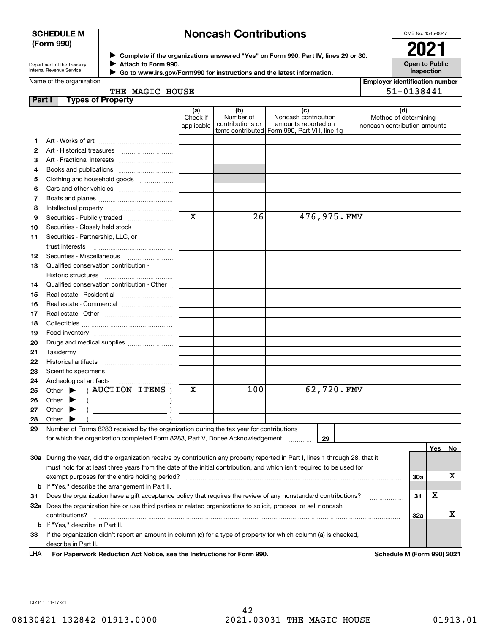# **SCHEDULE M (Form 990)**

# **Noncash Contributions**

OMB No. 1545-0047

Department of the Treasury Internal Revenue Service

**Complete if the organizations answered "Yes" on Form 990, Part IV, lines 29 or 30.** <sup>J</sup>**2021 Attach to Form 990.** J

**Open to Public Inspection**

| Internal Revenue Service | Go to www.irs.gov/Form990 for instructions and the latest information. |
|--------------------------|------------------------------------------------------------------------|
| Name of the organization |                                                                        |

| <b>Employer identification number</b> |
|---------------------------------------|
| $51 - 0138441$                        |

THE MAGIC HOUSE

| <b>Part I</b> | <b>Types of Property</b>                                                                                                       |                               |                                      |                                                                                                       |                                                              |     |     |
|---------------|--------------------------------------------------------------------------------------------------------------------------------|-------------------------------|--------------------------------------|-------------------------------------------------------------------------------------------------------|--------------------------------------------------------------|-----|-----|
|               |                                                                                                                                | (a)<br>Check if<br>applicable | (b)<br>Number of<br>contributions or | (c)<br>Noncash contribution<br>amounts reported on<br>items contributed  Form 990, Part VIII, line 1g | (d)<br>Method of determining<br>noncash contribution amounts |     |     |
| 1.            |                                                                                                                                |                               |                                      |                                                                                                       |                                                              |     |     |
| 2             |                                                                                                                                |                               |                                      |                                                                                                       |                                                              |     |     |
| з             | Art - Fractional interests                                                                                                     |                               |                                      |                                                                                                       |                                                              |     |     |
| 4             | Books and publications                                                                                                         |                               |                                      |                                                                                                       |                                                              |     |     |
| 5             | Clothing and household goods                                                                                                   |                               |                                      |                                                                                                       |                                                              |     |     |
| 6             |                                                                                                                                |                               |                                      |                                                                                                       |                                                              |     |     |
| 7             |                                                                                                                                |                               |                                      |                                                                                                       |                                                              |     |     |
| 8             |                                                                                                                                |                               |                                      |                                                                                                       |                                                              |     |     |
| 9             | Securities - Publicly traded                                                                                                   | $\mathbf x$                   | 26                                   | 476,975.FMV                                                                                           |                                                              |     |     |
| 10            | Securities - Closely held stock                                                                                                |                               |                                      |                                                                                                       |                                                              |     |     |
| 11            | Securities - Partnership, LLC, or                                                                                              |                               |                                      |                                                                                                       |                                                              |     |     |
|               | trust interests                                                                                                                |                               |                                      |                                                                                                       |                                                              |     |     |
| 12            | Securities - Miscellaneous                                                                                                     |                               |                                      |                                                                                                       |                                                              |     |     |
| 13            | Qualified conservation contribution -                                                                                          |                               |                                      |                                                                                                       |                                                              |     |     |
|               | Historic structures                                                                                                            |                               |                                      |                                                                                                       |                                                              |     |     |
| 14            | Qualified conservation contribution - Other                                                                                    |                               |                                      |                                                                                                       |                                                              |     |     |
| 15            | Real estate - Residential                                                                                                      |                               |                                      |                                                                                                       |                                                              |     |     |
| 16            | Real estate - Commercial                                                                                                       |                               |                                      |                                                                                                       |                                                              |     |     |
| 17            |                                                                                                                                |                               |                                      |                                                                                                       |                                                              |     |     |
| 18            |                                                                                                                                |                               |                                      |                                                                                                       |                                                              |     |     |
| 19            |                                                                                                                                |                               |                                      |                                                                                                       |                                                              |     |     |
| 20            | Drugs and medical supplies                                                                                                     |                               |                                      |                                                                                                       |                                                              |     |     |
| 21            |                                                                                                                                |                               |                                      |                                                                                                       |                                                              |     |     |
| 22            |                                                                                                                                |                               |                                      |                                                                                                       |                                                              |     |     |
| 23            |                                                                                                                                |                               |                                      |                                                                                                       |                                                              |     |     |
| 24            |                                                                                                                                |                               |                                      |                                                                                                       |                                                              |     |     |
| 25            | $($ AUCTION ITEMS $)$<br>Other $\blacktriangleright$                                                                           | X                             | 100                                  | 62,720.FMV                                                                                            |                                                              |     |     |
| 26            | Other<br><u> The Communication of the Communication</u>                                                                        |                               |                                      |                                                                                                       |                                                              |     |     |
| 27            | Other<br>▶                                                                                                                     |                               |                                      |                                                                                                       |                                                              |     |     |
| 28            | Other                                                                                                                          |                               |                                      |                                                                                                       |                                                              |     |     |
| 29            | Number of Forms 8283 received by the organization during the tax year for contributions                                        |                               |                                      |                                                                                                       |                                                              |     |     |
|               | for which the organization completed Form 8283, Part V, Donee Acknowledgement                                                  |                               |                                      | 29                                                                                                    |                                                              |     |     |
|               |                                                                                                                                |                               |                                      |                                                                                                       |                                                              | Yes | No. |
|               | 30a During the year, did the organization receive by contribution any property reported in Part I, lines 1 through 28, that it |                               |                                      |                                                                                                       |                                                              |     |     |
|               | must hold for at least three years from the date of the initial contribution, and which isn't required to be used for          |                               |                                      |                                                                                                       |                                                              |     |     |
|               | exempt purposes for the entire holding period?                                                                                 |                               |                                      |                                                                                                       | 30a                                                          |     | x   |
|               | <b>b</b> If "Yes," describe the arrangement in Part II.                                                                        |                               |                                      |                                                                                                       |                                                              |     |     |
| 31            | Does the organization have a gift acceptance policy that requires the review of any nonstandard contributions?                 |                               |                                      |                                                                                                       | 31                                                           | х   |     |
|               | 32a Does the organization hire or use third parties or related organizations to solicit, process, or sell noncash              |                               |                                      |                                                                                                       |                                                              |     |     |
|               | contributions?                                                                                                                 |                               |                                      |                                                                                                       | <b>32a</b>                                                   |     | х   |
|               | <b>b</b> If "Yes," describe in Part II.                                                                                        |                               |                                      |                                                                                                       |                                                              |     |     |
| 33            | If the organization didn't report an amount in column (c) for a type of property for which column (a) is checked,              |                               |                                      |                                                                                                       |                                                              |     |     |
|               | describe in Part II.                                                                                                           |                               |                                      |                                                                                                       |                                                              |     |     |

**For Paperwork Reduction Act Notice, see the Instructions for Form 990. Schedule M (Form 990) 2021** LHA

132141 11-17-21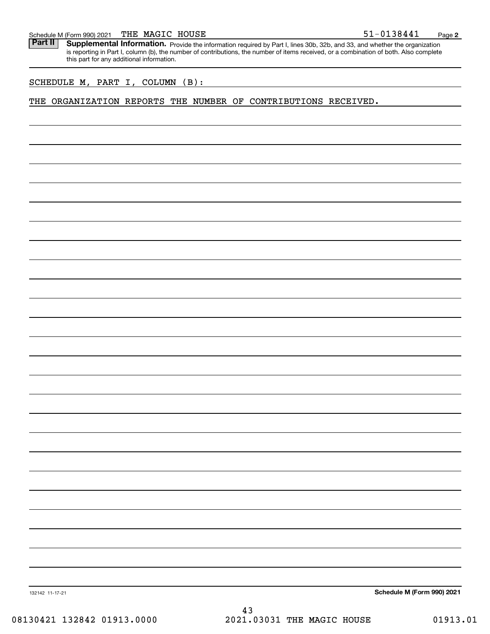#### Schedule M (Form 990) 2021 Page THE MAGIC HOUSE 51-0138441

Part II | Supplemental Information. Provide the information required by Part I, lines 30b, 32b, and 33, and whether the organization is reporting in Part I, column (b), the number of contributions, the number of items received, or a combination of both. Also complete this part for any additional information.

# SCHEDULE M, PART I, COLUMN (B):

## THE ORGANIZATION REPORTS THE NUMBER OF CONTRIBUTIONS RECEIVED.

**Schedule M (Form 990) 2021**

132142 11-17-21

43 08130421 132842 01913.0000 2021.03031 THE MAGIC HOUSE 01913.01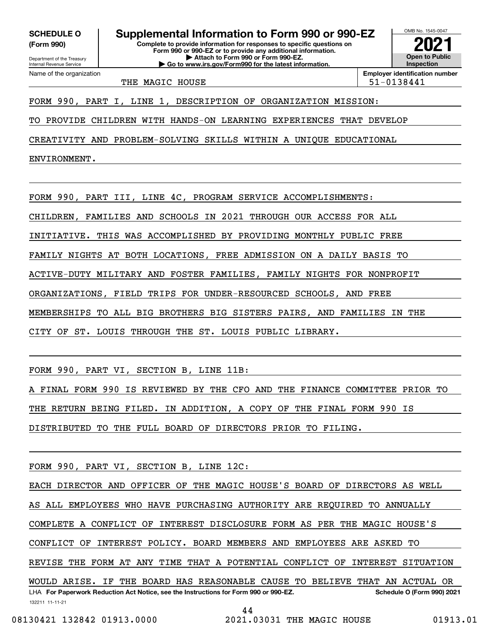**(Form 990)**

**Complete to provide information for responses to specific questions on Form 990 or 990-EZ or to provide any additional information. | Attach to Form 990 or Form 990-EZ. SCHEDULE O Supplemental Information to Form 990 or 990-EZ**

**| Go to www.irs.gov/Form990 for the latest information.**

THE MAGIC HOUSE  $\vert$  51-0138441

OMB No. 1545-0047

**2021**

FORM 990, PART I, LINE 1, DESCRIPTION OF ORGANIZATION MISSION:

TO PROVIDE CHILDREN WITH HANDS-ON LEARNING EXPERIENCES THAT DEVELOP

CREATIVITY AND PROBLEM-SOLVING SKILLS WITHIN A UNIQUE EDUCATIONAL

ENVIRONMENT.

FORM 990, PART III, LINE 4C, PROGRAM SERVICE ACCOMPLISHMENTS:

CHILDREN, FAMILIES AND SCHOOLS IN 2021 THROUGH OUR ACCESS FOR ALL

INITIATIVE. THIS WAS ACCOMPLISHED BY PROVIDING MONTHLY PUBLIC FREE

FAMILY NIGHTS AT BOTH LOCATIONS, FREE ADMISSION ON A DAILY BASIS TO

ACTIVE-DUTY MILITARY AND FOSTER FAMILIES, FAMILY NIGHTS FOR NONPROFIT

ORGANIZATIONS, FIELD TRIPS FOR UNDER-RESOURCED SCHOOLS, AND FREE

MEMBERSHIPS TO ALL BIG BROTHERS BIG SISTERS PAIRS, AND FAMILIES IN THE

CITY OF ST. LOUIS THROUGH THE ST. LOUIS PUBLIC LIBRARY.

FORM 990, PART VI, SECTION B, LINE 11B:

A FINAL FORM 990 IS REVIEWED BY THE CFO AND THE FINANCE COMMITTEE PRIOR TO

THE RETURN BEING FILED. IN ADDITION, A COPY OF THE FINAL FORM 990 IS

DISTRIBUTED TO THE FULL BOARD OF DIRECTORS PRIOR TO FILING.

FORM 990, PART VI, SECTION B, LINE 12C:

EACH DIRECTOR AND OFFICER OF THE MAGIC HOUSE'S BOARD OF DIRECTORS AS WELL

AS ALL EMPLOYEES WHO HAVE PURCHASING AUTHORITY ARE REQUIRED TO ANNUALLY

COMPLETE A CONFLICT OF INTEREST DISCLOSURE FORM AS PER THE MAGIC HOUSE'S

CONFLICT OF INTEREST POLICY. BOARD MEMBERS AND EMPLOYEES ARE ASKED TO

REVISE THE FORM AT ANY TIME THAT A POTENTIAL CONFLICT OF INTEREST SITUATION

132211 11-11-21 LHA For Paperwork Reduction Act Notice, see the Instructions for Form 990 or 990-EZ. Schedule O (Form 990) 2021 WOULD ARISE. IF THE BOARD HAS REASONABLE CAUSE TO BELIEVE THAT AN ACTUAL OR